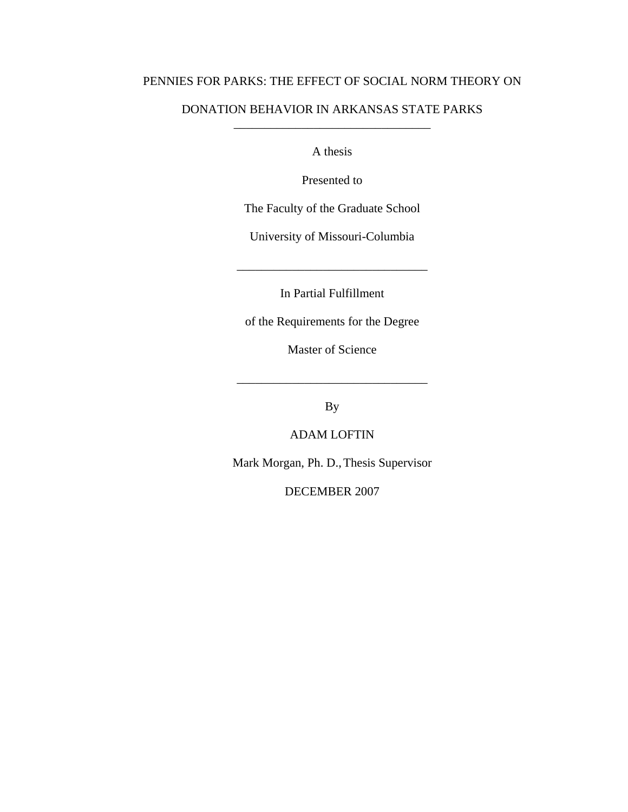## PENNIES FOR PARKS: THE EFFECT OF SOCIAL NORM THEORY ON

## DONATION BEHAVIOR IN ARKANSAS STATE PARKS \_\_\_\_\_\_\_\_\_\_\_\_\_\_\_\_\_\_\_\_\_\_\_\_\_\_\_\_\_\_\_\_

A thesis

Presented to

The Faculty of the Graduate School

University of Missouri-Columbia

In Partial Fulfillment

\_\_\_\_\_\_\_\_\_\_\_\_\_\_\_\_\_\_\_\_\_\_\_\_\_\_\_\_\_\_\_

of the Requirements for the Degree

Master of Science

By

\_\_\_\_\_\_\_\_\_\_\_\_\_\_\_\_\_\_\_\_\_\_\_\_\_\_\_\_\_\_\_

## ADAM LOFTIN

Mark Morgan, Ph. D., Thesis Supervisor

DECEMBER 2007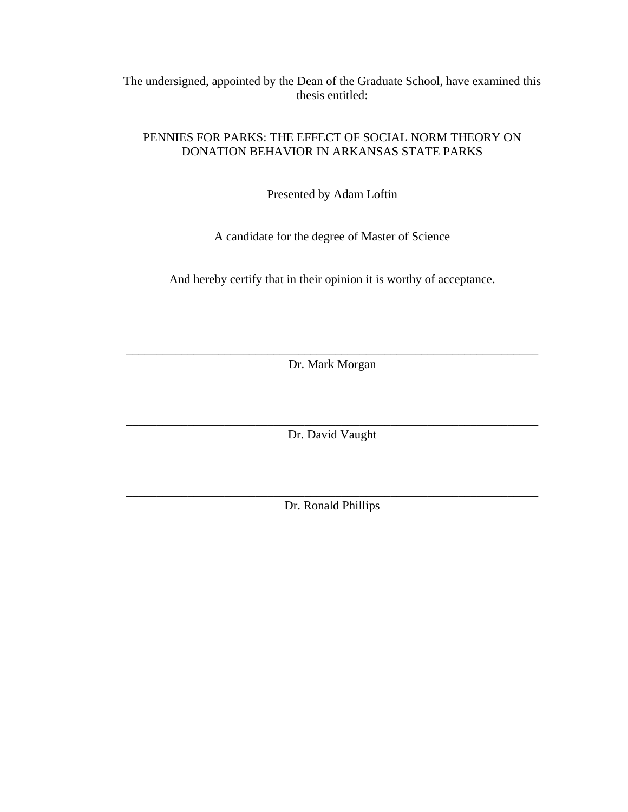The undersigned, appointed by the Dean of the Graduate School, have examined this thesis entitled:

## PENNIES FOR PARKS: THE EFFECT OF SOCIAL NORM THEORY ON DONATION BEHAVIOR IN ARKANSAS STATE PARKS

Presented by Adam Loftin

A candidate for the degree of Master of Science

And hereby certify that in their opinion it is worthy of acceptance.

\_\_\_\_\_\_\_\_\_\_\_\_\_\_\_\_\_\_\_\_\_\_\_\_\_\_\_\_\_\_\_\_\_\_\_\_\_\_\_\_\_\_\_\_\_\_\_\_\_\_\_\_\_\_\_\_\_\_\_\_\_\_\_\_\_\_\_ Dr. Mark Morgan

\_\_\_\_\_\_\_\_\_\_\_\_\_\_\_\_\_\_\_\_\_\_\_\_\_\_\_\_\_\_\_\_\_\_\_\_\_\_\_\_\_\_\_\_\_\_\_\_\_\_\_\_\_\_\_\_\_\_\_\_\_\_\_\_\_\_\_ Dr. David Vaught

\_\_\_\_\_\_\_\_\_\_\_\_\_\_\_\_\_\_\_\_\_\_\_\_\_\_\_\_\_\_\_\_\_\_\_\_\_\_\_\_\_\_\_\_\_\_\_\_\_\_\_\_\_\_\_\_\_\_\_\_\_\_\_\_\_\_\_ Dr. Ronald Phillips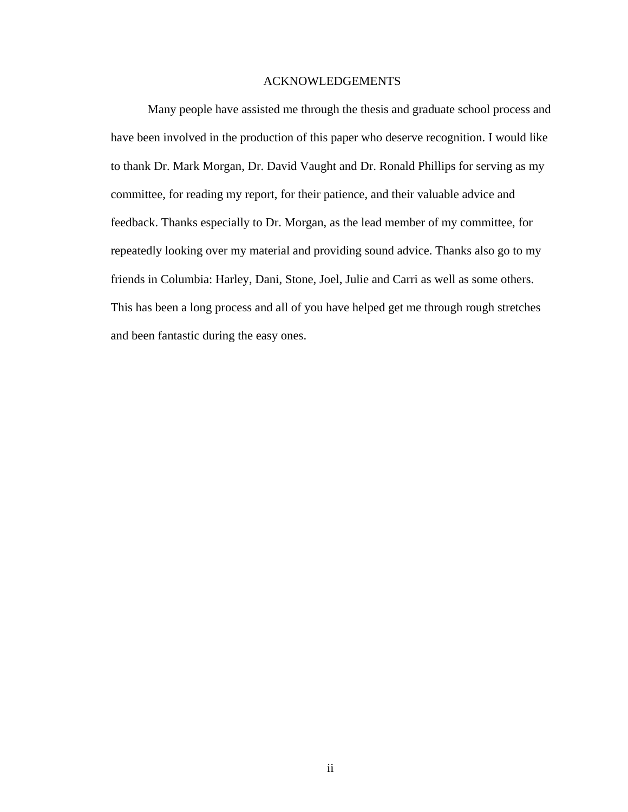## ACKNOWLEDGEMENTS

Many people have assisted me through the thesis and graduate school process and have been involved in the production of this paper who deserve recognition. I would like to thank Dr. Mark Morgan, Dr. David Vaught and Dr. Ronald Phillips for serving as my committee, for reading my report, for their patience, and their valuable advice and feedback. Thanks especially to Dr. Morgan, as the lead member of my committee, for repeatedly looking over my material and providing sound advice. Thanks also go to my friends in Columbia: Harley, Dani, Stone, Joel, Julie and Carri as well as some others. This has been a long process and all of you have helped get me through rough stretches and been fantastic during the easy ones.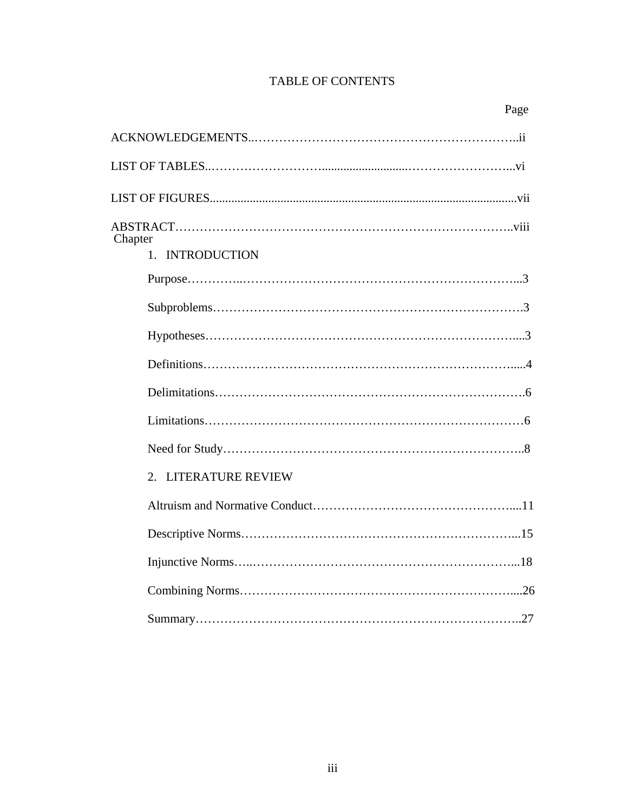# TABLE OF CONTENTS

| Page                 |
|----------------------|
|                      |
|                      |
|                      |
| Chapter              |
| 1. INTRODUCTION      |
|                      |
|                      |
|                      |
|                      |
|                      |
|                      |
|                      |
| 2. LITERATURE REVIEW |
|                      |
|                      |
|                      |
|                      |
|                      |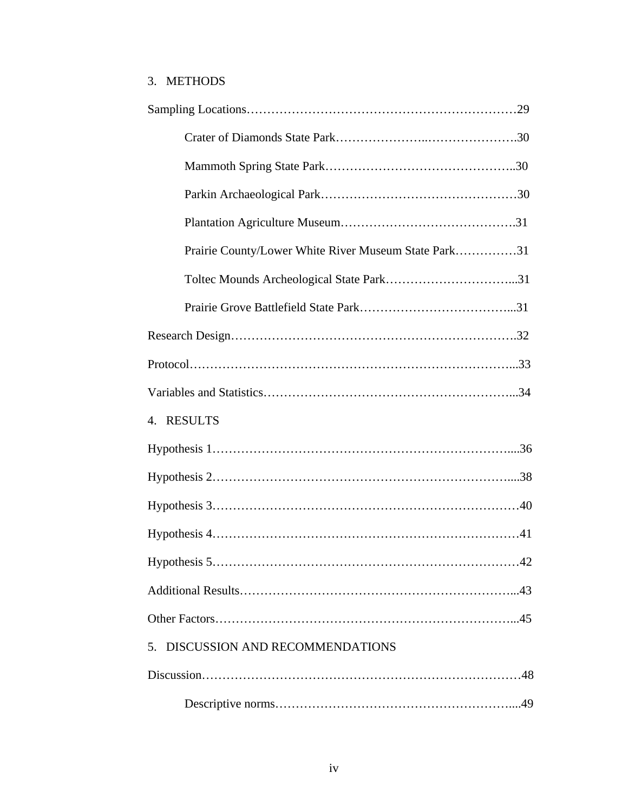# 3. METHODS

| Prairie County/Lower White River Museum State Park31 |
|------------------------------------------------------|
|                                                      |
|                                                      |
|                                                      |
|                                                      |
|                                                      |
| 4. RESULTS                                           |
|                                                      |
|                                                      |
|                                                      |
|                                                      |
| 42                                                   |
|                                                      |
|                                                      |
| 5. DISCUSSION AND RECOMMENDATIONS                    |
|                                                      |
|                                                      |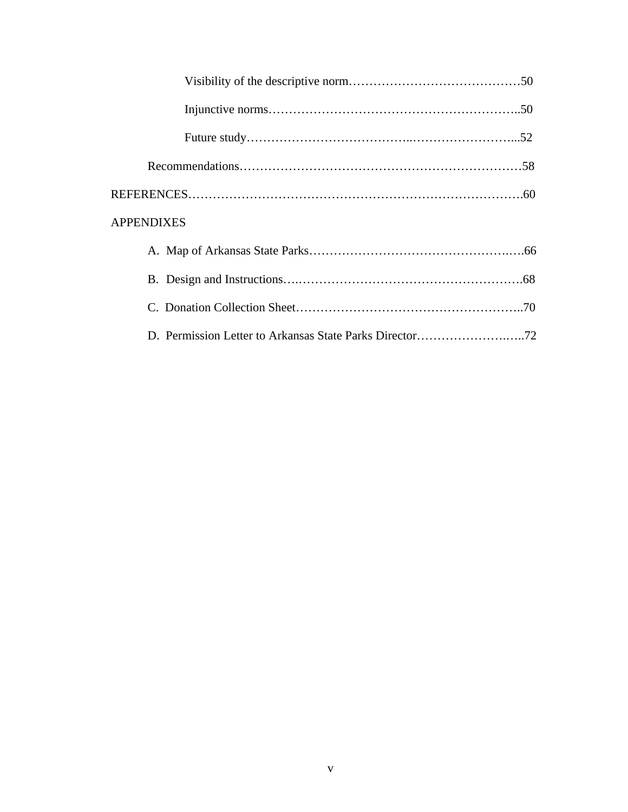| <b>APPENDIXES</b>                                       |  |
|---------------------------------------------------------|--|
|                                                         |  |
|                                                         |  |
|                                                         |  |
| D. Permission Letter to Arkansas State Parks Director72 |  |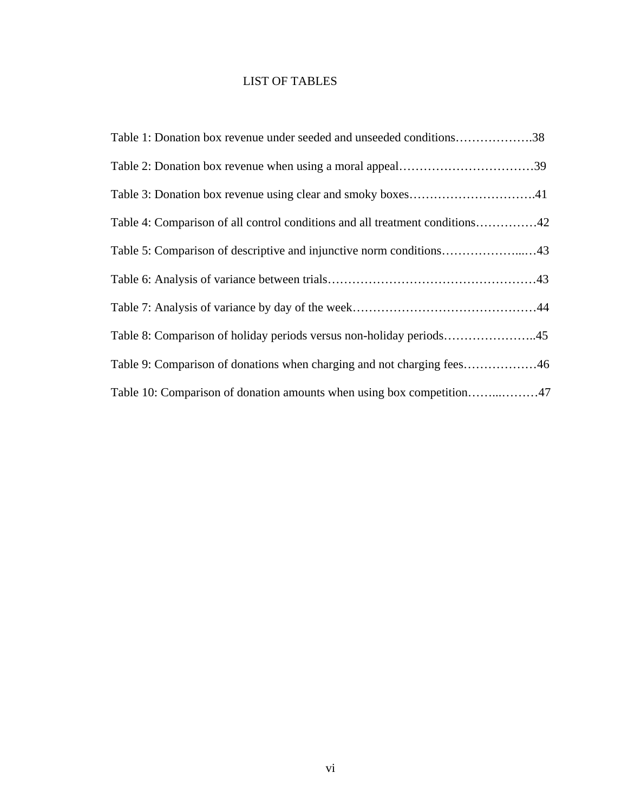# LIST OF TABLES

| Table 1: Donation box revenue under seeded and unseeded conditions38         |
|------------------------------------------------------------------------------|
|                                                                              |
|                                                                              |
| Table 4: Comparison of all control conditions and all treatment conditions42 |
|                                                                              |
|                                                                              |
|                                                                              |
|                                                                              |
| Table 9: Comparison of donations when charging and not charging fees46       |
|                                                                              |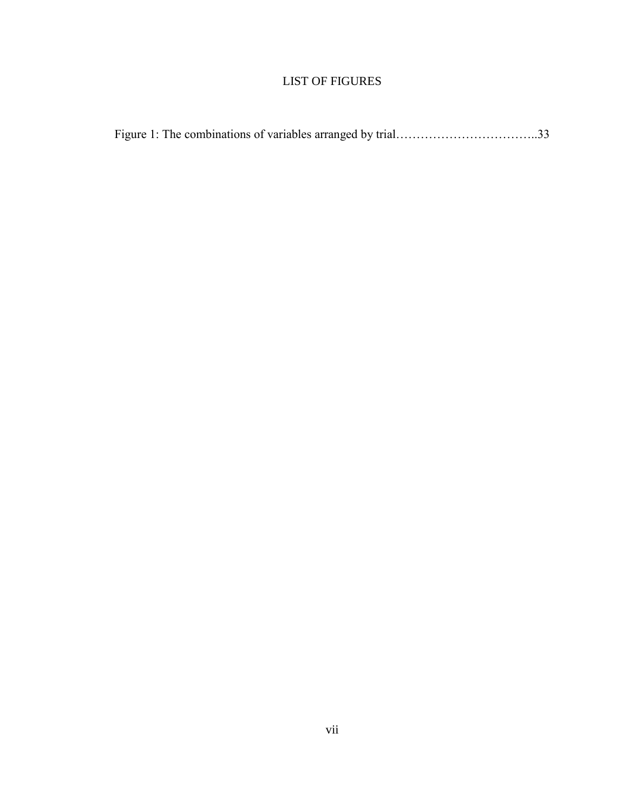# LIST OF FIGURES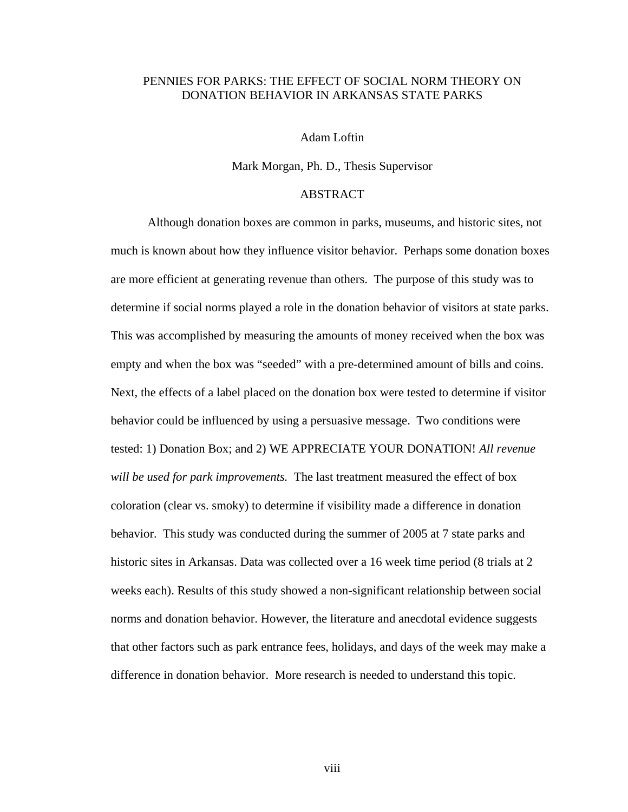## PENNIES FOR PARKS: THE EFFECT OF SOCIAL NORM THEORY ON DONATION BEHAVIOR IN ARKANSAS STATE PARKS

### Adam Loftin

#### Mark Morgan, Ph. D., Thesis Supervisor

## ABSTRACT

 Although donation boxes are common in parks, museums, and historic sites, not much is known about how they influence visitor behavior. Perhaps some donation boxes are more efficient at generating revenue than others. The purpose of this study was to determine if social norms played a role in the donation behavior of visitors at state parks. This was accomplished by measuring the amounts of money received when the box was empty and when the box was "seeded" with a pre-determined amount of bills and coins. Next, the effects of a label placed on the donation box were tested to determine if visitor behavior could be influenced by using a persuasive message. Two conditions were tested: 1) Donation Box; and 2) WE APPRECIATE YOUR DONATION! *All revenue will be used for park improvements.* The last treatment measured the effect of box coloration (clear vs. smoky) to determine if visibility made a difference in donation behavior. This study was conducted during the summer of 2005 at 7 state parks and historic sites in Arkansas. Data was collected over a 16 week time period (8 trials at 2 weeks each). Results of this study showed a non-significant relationship between social norms and donation behavior. However, the literature and anecdotal evidence suggests that other factors such as park entrance fees, holidays, and days of the week may make a difference in donation behavior. More research is needed to understand this topic.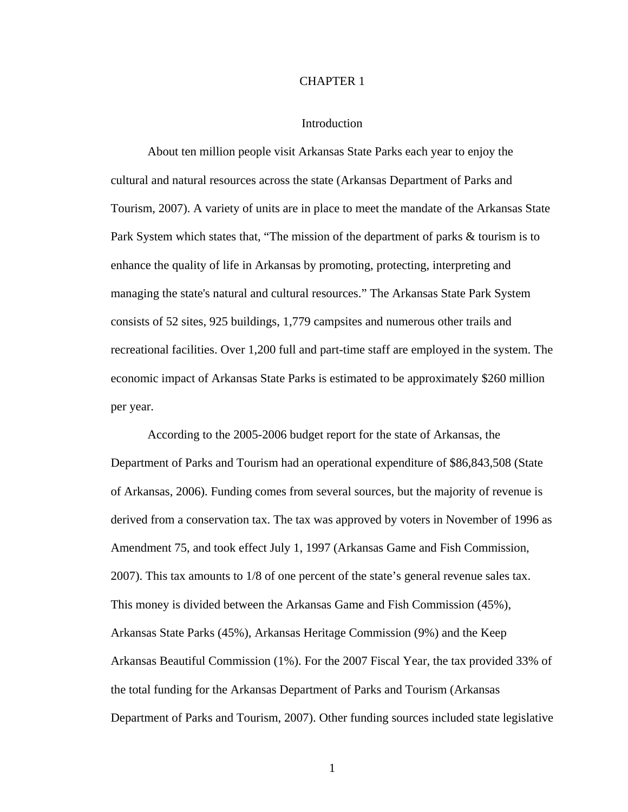### CHAPTER 1

### Introduction

 About ten million people visit Arkansas State Parks each year to enjoy the cultural and natural resources across the state (Arkansas Department of Parks and Tourism, 2007). A variety of units are in place to meet the mandate of the Arkansas State Park System which states that, "The mission of the department of parks & tourism is to enhance the quality of life in Arkansas by promoting, protecting, interpreting and managing the state's natural and cultural resources." The Arkansas State Park System consists of 52 sites, 925 buildings, 1,779 campsites and numerous other trails and recreational facilities. Over 1,200 full and part-time staff are employed in the system. The economic impact of Arkansas State Parks is estimated to be approximately \$260 million per year.

According to the 2005-2006 budget report for the state of Arkansas, the Department of Parks and Tourism had an operational expenditure of \$86,843,508 (State of Arkansas, 2006). Funding comes from several sources, but the majority of revenue is derived from a conservation tax. The tax was approved by voters in November of 1996 as Amendment 75, and took effect July 1, 1997 (Arkansas Game and Fish Commission, 2007). This tax amounts to 1/8 of one percent of the state's general revenue sales tax. This money is divided between the Arkansas Game and Fish Commission (45%), Arkansas State Parks (45%), Arkansas Heritage Commission (9%) and the Keep Arkansas Beautiful Commission (1%). For the 2007 Fiscal Year, the tax provided 33% of the total funding for the Arkansas Department of Parks and Tourism (Arkansas Department of Parks and Tourism, 2007). Other funding sources included state legislative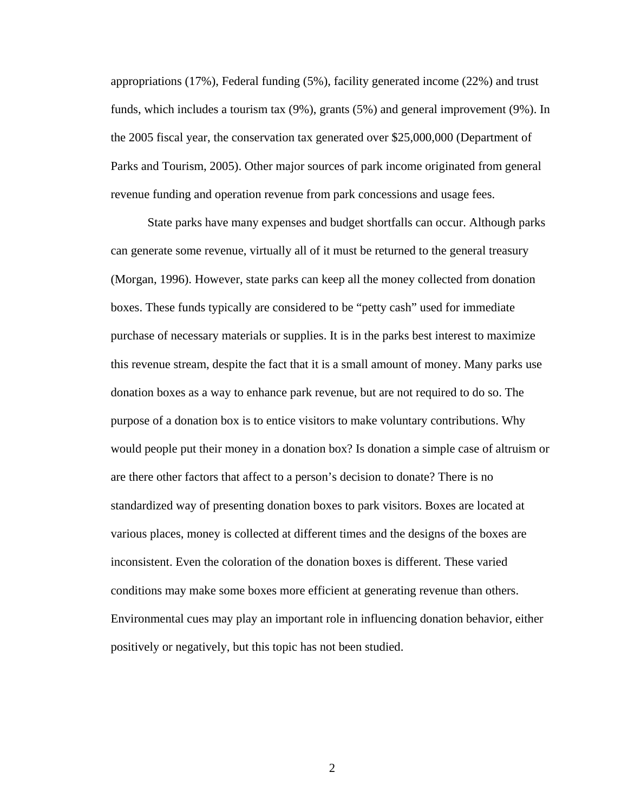appropriations (17%), Federal funding (5%), facility generated income (22%) and trust funds, which includes a tourism tax (9%), grants (5%) and general improvement (9%). In the 2005 fiscal year, the conservation tax generated over \$25,000,000 (Department of Parks and Tourism, 2005). Other major sources of park income originated from general revenue funding and operation revenue from park concessions and usage fees.

State parks have many expenses and budget shortfalls can occur. Although parks can generate some revenue, virtually all of it must be returned to the general treasury (Morgan, 1996). However, state parks can keep all the money collected from donation boxes. These funds typically are considered to be "petty cash" used for immediate purchase of necessary materials or supplies. It is in the parks best interest to maximize this revenue stream, despite the fact that it is a small amount of money. Many parks use donation boxes as a way to enhance park revenue, but are not required to do so. The purpose of a donation box is to entice visitors to make voluntary contributions. Why would people put their money in a donation box? Is donation a simple case of altruism or are there other factors that affect to a person's decision to donate? There is no standardized way of presenting donation boxes to park visitors. Boxes are located at various places, money is collected at different times and the designs of the boxes are inconsistent. Even the coloration of the donation boxes is different. These varied conditions may make some boxes more efficient at generating revenue than others. Environmental cues may play an important role in influencing donation behavior, either positively or negatively, but this topic has not been studied.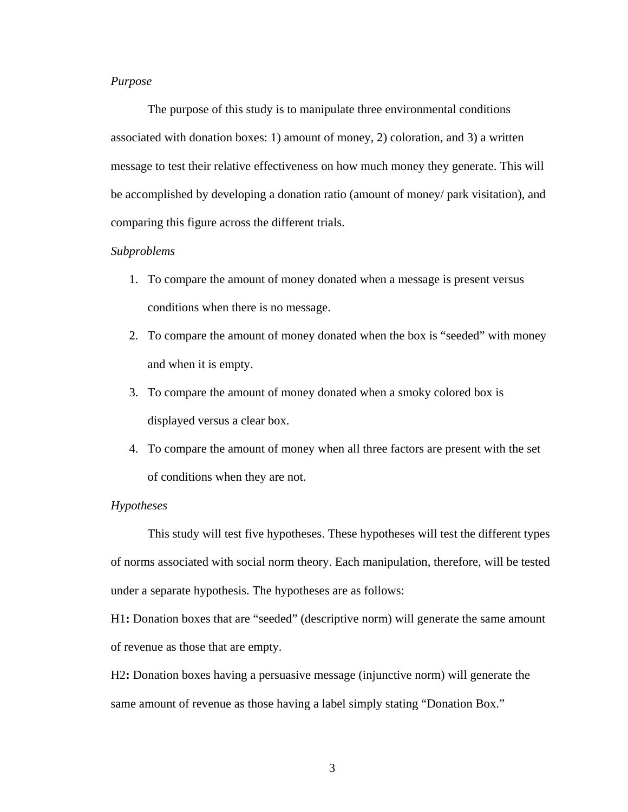## *Purpose*

The purpose of this study is to manipulate three environmental conditions associated with donation boxes: 1) amount of money, 2) coloration, and 3) a written message to test their relative effectiveness on how much money they generate. This will be accomplished by developing a donation ratio (amount of money/ park visitation), and comparing this figure across the different trials.

### *Subproblems*

- 1. To compare the amount of money donated when a message is present versus conditions when there is no message.
- 2. To compare the amount of money donated when the box is "seeded" with money and when it is empty.
- 3. To compare the amount of money donated when a smoky colored box is displayed versus a clear box.
- 4. To compare the amount of money when all three factors are present with the set of conditions when they are not.

#### *Hypotheses*

 This study will test five hypotheses. These hypotheses will test the different types of norms associated with social norm theory. Each manipulation, therefore, will be tested under a separate hypothesis. The hypotheses are as follows:

H1**:** Donation boxes that are "seeded" (descriptive norm) will generate the same amount of revenue as those that are empty.

H2**:** Donation boxes having a persuasive message (injunctive norm) will generate the same amount of revenue as those having a label simply stating "Donation Box."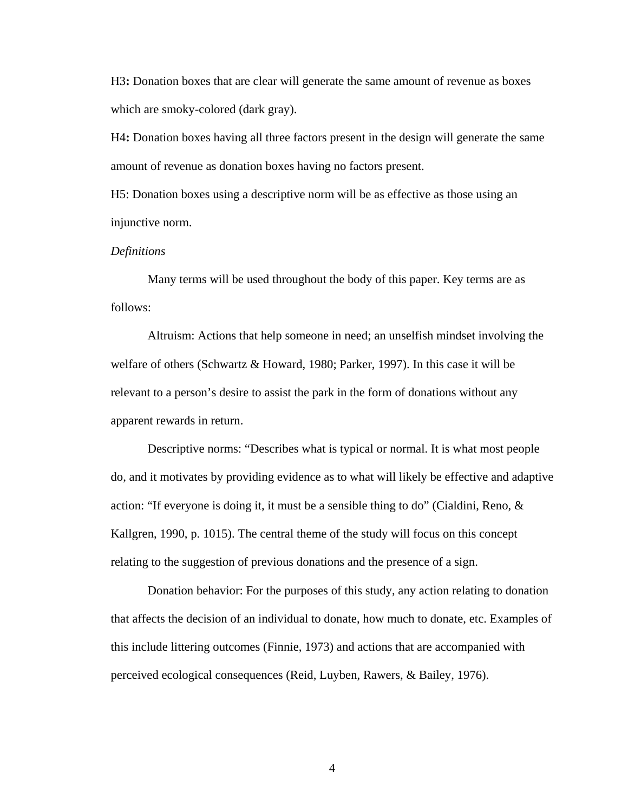H3**:** Donation boxes that are clear will generate the same amount of revenue as boxes which are smoky-colored (dark gray).

H4**:** Donation boxes having all three factors present in the design will generate the same amount of revenue as donation boxes having no factors present.

H5: Donation boxes using a descriptive norm will be as effective as those using an injunctive norm.

### *Definitions*

Many terms will be used throughout the body of this paper. Key terms are as follows:

Altruism: Actions that help someone in need; an unselfish mindset involving the welfare of others (Schwartz & Howard, 1980; Parker, 1997). In this case it will be relevant to a person's desire to assist the park in the form of donations without any apparent rewards in return.

Descriptive norms: "Describes what is typical or normal. It is what most people do, and it motivates by providing evidence as to what will likely be effective and adaptive action: "If everyone is doing it, it must be a sensible thing to do" (Cialdini, Reno,  $\&$ Kallgren, 1990, p. 1015). The central theme of the study will focus on this concept relating to the suggestion of previous donations and the presence of a sign.

Donation behavior: For the purposes of this study, any action relating to donation that affects the decision of an individual to donate, how much to donate, etc. Examples of this include littering outcomes (Finnie, 1973) and actions that are accompanied with perceived ecological consequences (Reid, Luyben, Rawers, & Bailey, 1976).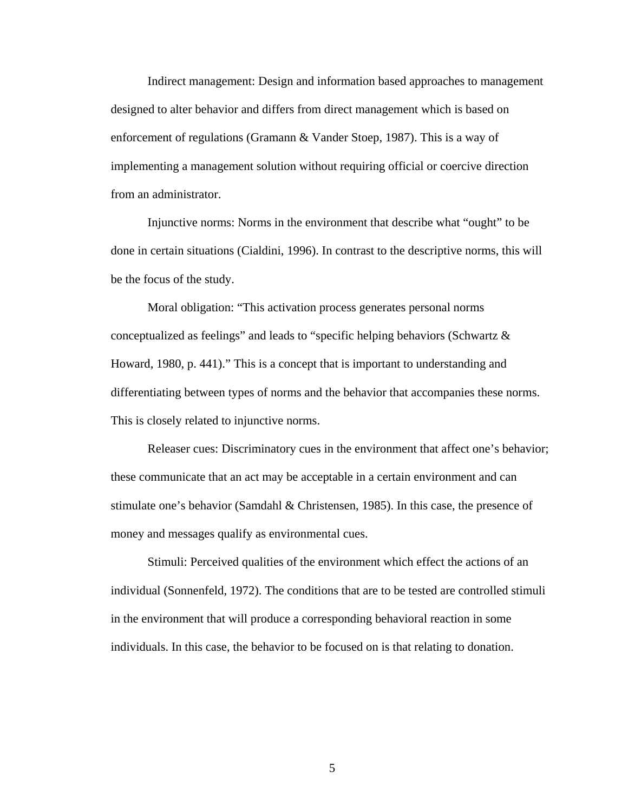Indirect management: Design and information based approaches to management designed to alter behavior and differs from direct management which is based on enforcement of regulations (Gramann & Vander Stoep, 1987). This is a way of implementing a management solution without requiring official or coercive direction from an administrator.

Injunctive norms: Norms in the environment that describe what "ought" to be done in certain situations (Cialdini, 1996). In contrast to the descriptive norms, this will be the focus of the study.

Moral obligation: "This activation process generates personal norms conceptualized as feelings" and leads to "specific helping behaviors (Schwartz & Howard, 1980, p. 441)." This is a concept that is important to understanding and differentiating between types of norms and the behavior that accompanies these norms. This is closely related to injunctive norms.

Releaser cues: Discriminatory cues in the environment that affect one's behavior; these communicate that an act may be acceptable in a certain environment and can stimulate one's behavior (Samdahl & Christensen, 1985). In this case, the presence of money and messages qualify as environmental cues.

Stimuli: Perceived qualities of the environment which effect the actions of an individual (Sonnenfeld, 1972). The conditions that are to be tested are controlled stimuli in the environment that will produce a corresponding behavioral reaction in some individuals. In this case, the behavior to be focused on is that relating to donation.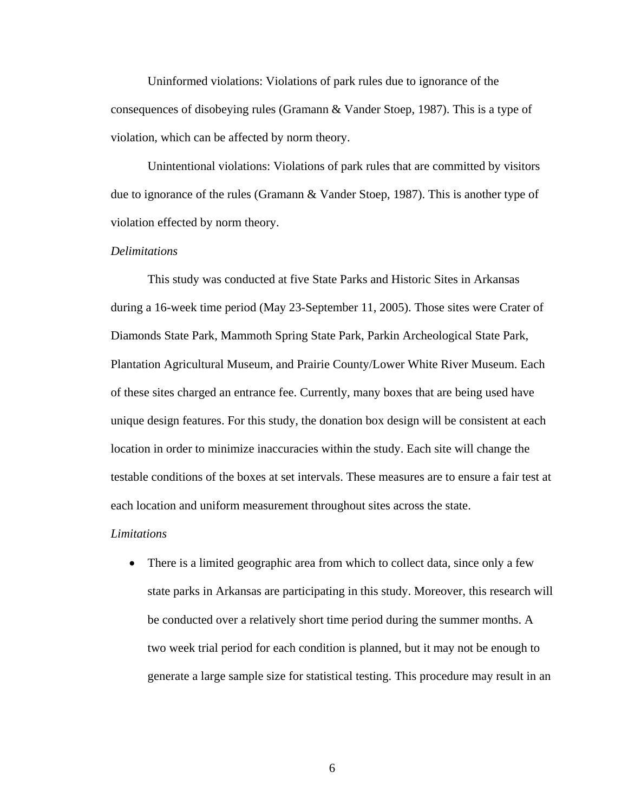Uninformed violations: Violations of park rules due to ignorance of the consequences of disobeying rules (Gramann & Vander Stoep, 1987). This is a type of violation, which can be affected by norm theory.

Unintentional violations: Violations of park rules that are committed by visitors due to ignorance of the rules (Gramann & Vander Stoep, 1987). This is another type of violation effected by norm theory.

## *Delimitations*

This study was conducted at five State Parks and Historic Sites in Arkansas during a 16-week time period (May 23-September 11, 2005). Those sites were Crater of Diamonds State Park, Mammoth Spring State Park, Parkin Archeological State Park, Plantation Agricultural Museum, and Prairie County/Lower White River Museum. Each of these sites charged an entrance fee. Currently, many boxes that are being used have unique design features. For this study, the donation box design will be consistent at each location in order to minimize inaccuracies within the study. Each site will change the testable conditions of the boxes at set intervals. These measures are to ensure a fair test at each location and uniform measurement throughout sites across the state.

#### *Limitations*

• There is a limited geographic area from which to collect data, since only a few state parks in Arkansas are participating in this study. Moreover, this research will be conducted over a relatively short time period during the summer months. A two week trial period for each condition is planned, but it may not be enough to generate a large sample size for statistical testing. This procedure may result in an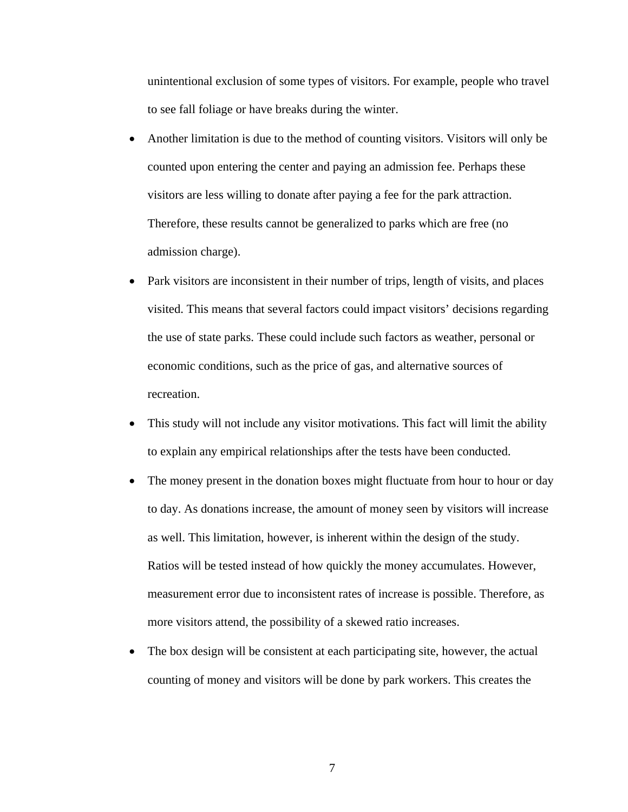unintentional exclusion of some types of visitors. For example, people who travel to see fall foliage or have breaks during the winter.

- Another limitation is due to the method of counting visitors. Visitors will only be counted upon entering the center and paying an admission fee. Perhaps these visitors are less willing to donate after paying a fee for the park attraction. Therefore, these results cannot be generalized to parks which are free (no admission charge).
- Park visitors are inconsistent in their number of trips, length of visits, and places visited. This means that several factors could impact visitors' decisions regarding the use of state parks. These could include such factors as weather, personal or economic conditions, such as the price of gas, and alternative sources of recreation.
- This study will not include any visitor motivations. This fact will limit the ability to explain any empirical relationships after the tests have been conducted.
- The money present in the donation boxes might fluctuate from hour to hour or day to day. As donations increase, the amount of money seen by visitors will increase as well. This limitation, however, is inherent within the design of the study. Ratios will be tested instead of how quickly the money accumulates. However, measurement error due to inconsistent rates of increase is possible. Therefore, as more visitors attend, the possibility of a skewed ratio increases.
- The box design will be consistent at each participating site, however, the actual counting of money and visitors will be done by park workers. This creates the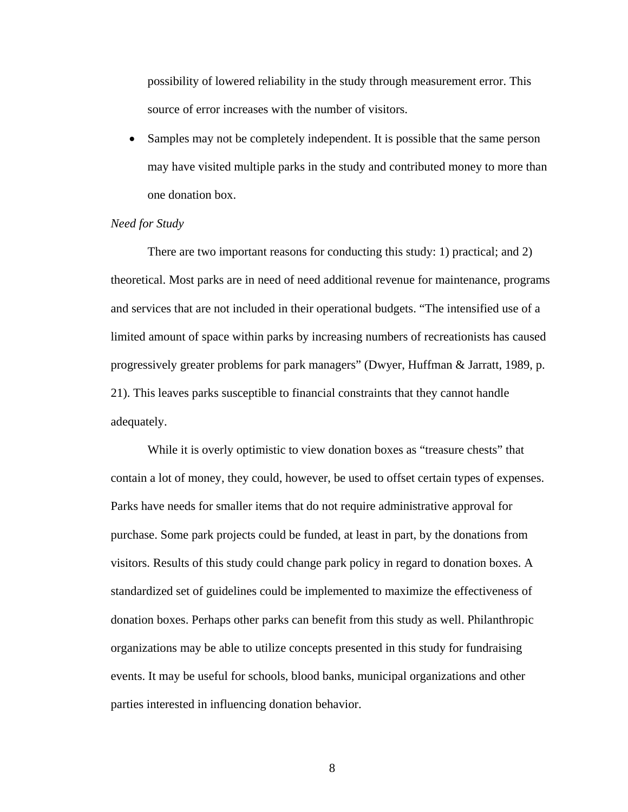possibility of lowered reliability in the study through measurement error. This source of error increases with the number of visitors.

• Samples may not be completely independent. It is possible that the same person may have visited multiple parks in the study and contributed money to more than one donation box.

#### *Need for Study*

There are two important reasons for conducting this study: 1) practical; and 2) theoretical. Most parks are in need of need additional revenue for maintenance, programs and services that are not included in their operational budgets. "The intensified use of a limited amount of space within parks by increasing numbers of recreationists has caused progressively greater problems for park managers" (Dwyer, Huffman & Jarratt, 1989, p. 21). This leaves parks susceptible to financial constraints that they cannot handle adequately.

While it is overly optimistic to view donation boxes as "treasure chests" that contain a lot of money, they could, however, be used to offset certain types of expenses. Parks have needs for smaller items that do not require administrative approval for purchase. Some park projects could be funded, at least in part, by the donations from visitors. Results of this study could change park policy in regard to donation boxes. A standardized set of guidelines could be implemented to maximize the effectiveness of donation boxes. Perhaps other parks can benefit from this study as well. Philanthropic organizations may be able to utilize concepts presented in this study for fundraising events. It may be useful for schools, blood banks, municipal organizations and other parties interested in influencing donation behavior.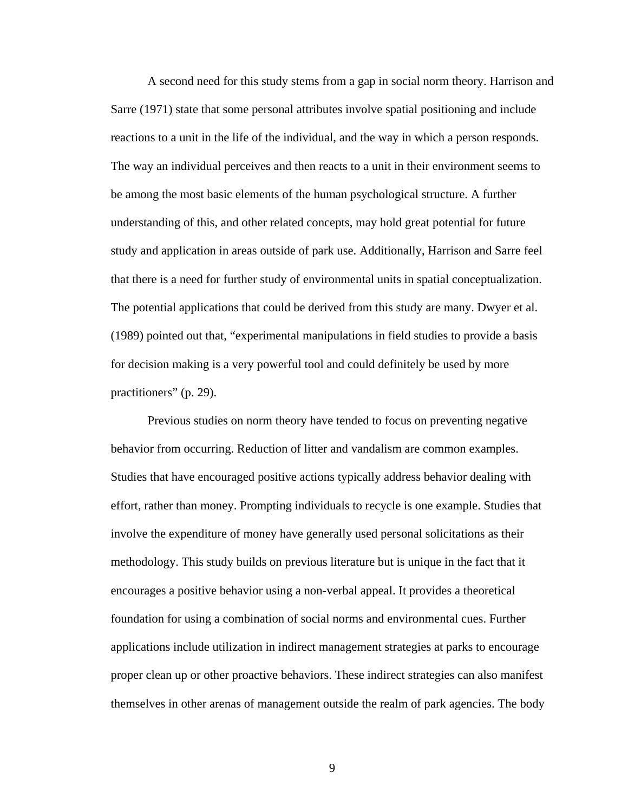A second need for this study stems from a gap in social norm theory. Harrison and Sarre (1971) state that some personal attributes involve spatial positioning and include reactions to a unit in the life of the individual, and the way in which a person responds. The way an individual perceives and then reacts to a unit in their environment seems to be among the most basic elements of the human psychological structure. A further understanding of this, and other related concepts, may hold great potential for future study and application in areas outside of park use. Additionally, Harrison and Sarre feel that there is a need for further study of environmental units in spatial conceptualization. The potential applications that could be derived from this study are many. Dwyer et al. (1989) pointed out that, "experimental manipulations in field studies to provide a basis for decision making is a very powerful tool and could definitely be used by more practitioners" (p. 29).

Previous studies on norm theory have tended to focus on preventing negative behavior from occurring. Reduction of litter and vandalism are common examples. Studies that have encouraged positive actions typically address behavior dealing with effort, rather than money. Prompting individuals to recycle is one example. Studies that involve the expenditure of money have generally used personal solicitations as their methodology. This study builds on previous literature but is unique in the fact that it encourages a positive behavior using a non-verbal appeal. It provides a theoretical foundation for using a combination of social norms and environmental cues. Further applications include utilization in indirect management strategies at parks to encourage proper clean up or other proactive behaviors. These indirect strategies can also manifest themselves in other arenas of management outside the realm of park agencies. The body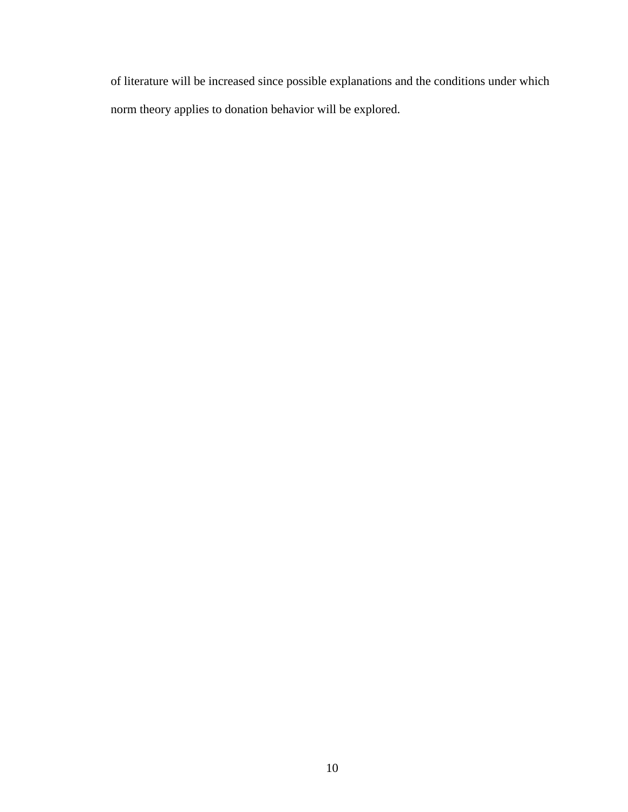of literature will be increased since possible explanations and the conditions under which norm theory applies to donation behavior will be explored.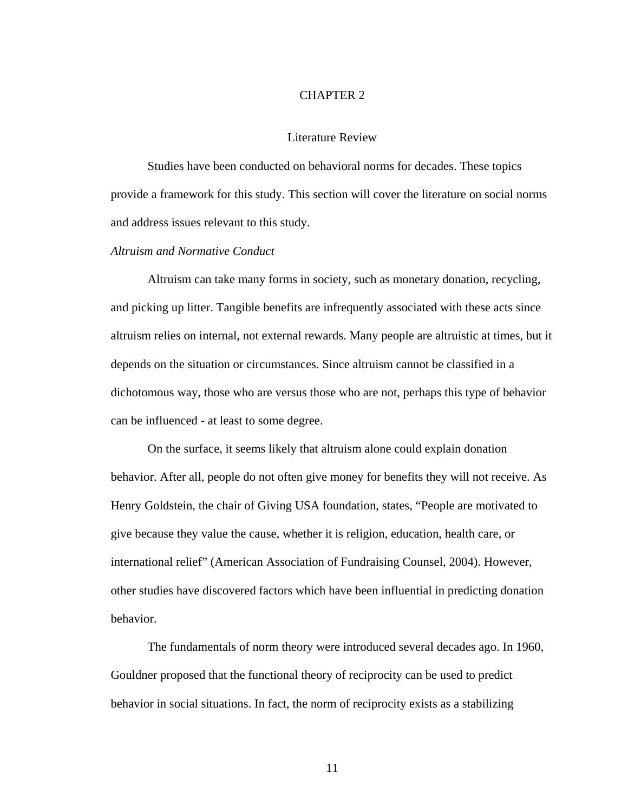## CHAPTER 2

## Literature Review

 Studies have been conducted on behavioral norms for decades. These topics provide a framework for this study. This section will cover the literature on social norms and address issues relevant to this study.

### *Altruism and Normative Conduct*

Altruism can take many forms in society, such as monetary donation, recycling, and picking up litter. Tangible benefits are infrequently associated with these acts since altruism relies on internal, not external rewards. Many people are altruistic at times, but it depends on the situation or circumstances. Since altruism cannot be classified in a dichotomous way, those who are versus those who are not, perhaps this type of behavior can be influenced - at least to some degree.

On the surface, it seems likely that altruism alone could explain donation behavior. After all, people do not often give money for benefits they will not receive. As Henry Goldstein, the chair of Giving USA foundation, states, "People are motivated to give because they value the cause, whether it is religion, education, health care, or international relief" (American Association of Fundraising Counsel, 2004). However, other studies have discovered factors which have been influential in predicting donation behavior.

The fundamentals of norm theory were introduced several decades ago. In 1960, Gouldner proposed that the functional theory of reciprocity can be used to predict behavior in social situations. In fact, the norm of reciprocity exists as a stabilizing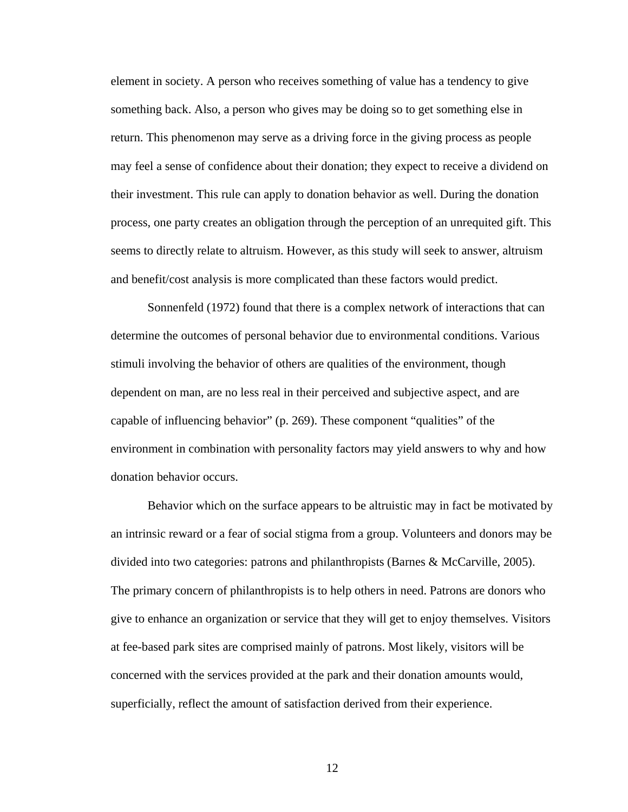element in society. A person who receives something of value has a tendency to give something back. Also, a person who gives may be doing so to get something else in return. This phenomenon may serve as a driving force in the giving process as people may feel a sense of confidence about their donation; they expect to receive a dividend on their investment. This rule can apply to donation behavior as well. During the donation process, one party creates an obligation through the perception of an unrequited gift. This seems to directly relate to altruism. However, as this study will seek to answer, altruism and benefit/cost analysis is more complicated than these factors would predict.

Sonnenfeld (1972) found that there is a complex network of interactions that can determine the outcomes of personal behavior due to environmental conditions. Various stimuli involving the behavior of others are qualities of the environment, though dependent on man, are no less real in their perceived and subjective aspect, and are capable of influencing behavior" (p. 269). These component "qualities" of the environment in combination with personality factors may yield answers to why and how donation behavior occurs.

Behavior which on the surface appears to be altruistic may in fact be motivated by an intrinsic reward or a fear of social stigma from a group. Volunteers and donors may be divided into two categories: patrons and philanthropists (Barnes & McCarville, 2005). The primary concern of philanthropists is to help others in need. Patrons are donors who give to enhance an organization or service that they will get to enjoy themselves. Visitors at fee-based park sites are comprised mainly of patrons. Most likely, visitors will be concerned with the services provided at the park and their donation amounts would, superficially, reflect the amount of satisfaction derived from their experience.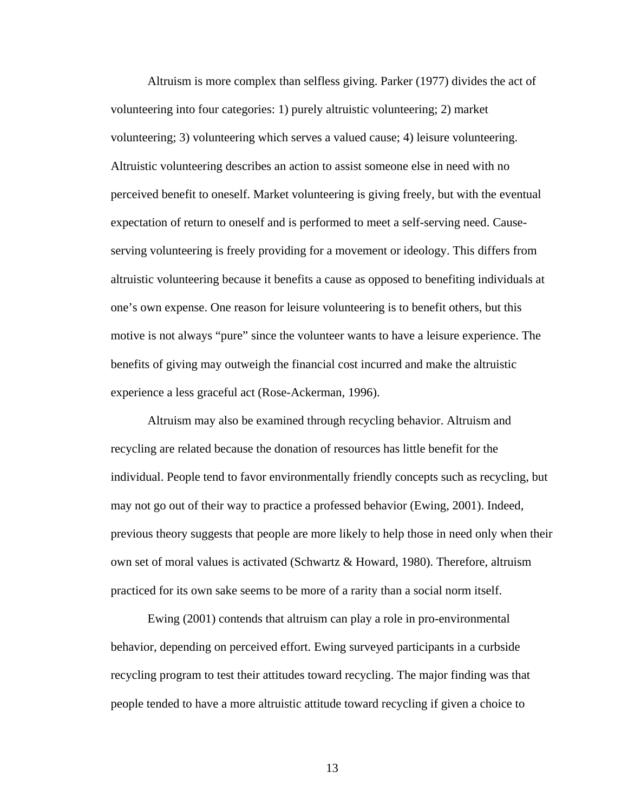Altruism is more complex than selfless giving. Parker (1977) divides the act of volunteering into four categories: 1) purely altruistic volunteering; 2) market volunteering; 3) volunteering which serves a valued cause; 4) leisure volunteering. Altruistic volunteering describes an action to assist someone else in need with no perceived benefit to oneself. Market volunteering is giving freely, but with the eventual expectation of return to oneself and is performed to meet a self-serving need. Causeserving volunteering is freely providing for a movement or ideology. This differs from altruistic volunteering because it benefits a cause as opposed to benefiting individuals at one's own expense. One reason for leisure volunteering is to benefit others, but this motive is not always "pure" since the volunteer wants to have a leisure experience. The benefits of giving may outweigh the financial cost incurred and make the altruistic experience a less graceful act (Rose-Ackerman, 1996).

Altruism may also be examined through recycling behavior. Altruism and recycling are related because the donation of resources has little benefit for the individual. People tend to favor environmentally friendly concepts such as recycling, but may not go out of their way to practice a professed behavior (Ewing, 2001). Indeed, previous theory suggests that people are more likely to help those in need only when their own set of moral values is activated (Schwartz & Howard, 1980). Therefore, altruism practiced for its own sake seems to be more of a rarity than a social norm itself.

Ewing (2001) contends that altruism can play a role in pro-environmental behavior, depending on perceived effort. Ewing surveyed participants in a curbside recycling program to test their attitudes toward recycling. The major finding was that people tended to have a more altruistic attitude toward recycling if given a choice to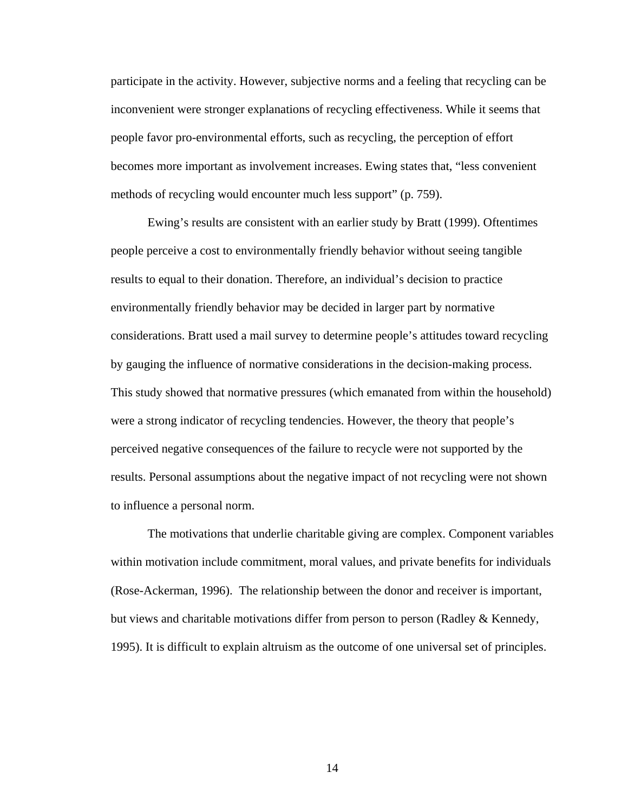participate in the activity. However, subjective norms and a feeling that recycling can be inconvenient were stronger explanations of recycling effectiveness. While it seems that people favor pro-environmental efforts, such as recycling, the perception of effort becomes more important as involvement increases. Ewing states that, "less convenient methods of recycling would encounter much less support" (p. 759).

Ewing's results are consistent with an earlier study by Bratt (1999). Oftentimes people perceive a cost to environmentally friendly behavior without seeing tangible results to equal to their donation. Therefore, an individual's decision to practice environmentally friendly behavior may be decided in larger part by normative considerations. Bratt used a mail survey to determine people's attitudes toward recycling by gauging the influence of normative considerations in the decision-making process. This study showed that normative pressures (which emanated from within the household) were a strong indicator of recycling tendencies. However, the theory that people's perceived negative consequences of the failure to recycle were not supported by the results. Personal assumptions about the negative impact of not recycling were not shown to influence a personal norm.

The motivations that underlie charitable giving are complex. Component variables within motivation include commitment, moral values, and private benefits for individuals (Rose-Ackerman, 1996). The relationship between the donor and receiver is important, but views and charitable motivations differ from person to person (Radley & Kennedy, 1995). It is difficult to explain altruism as the outcome of one universal set of principles.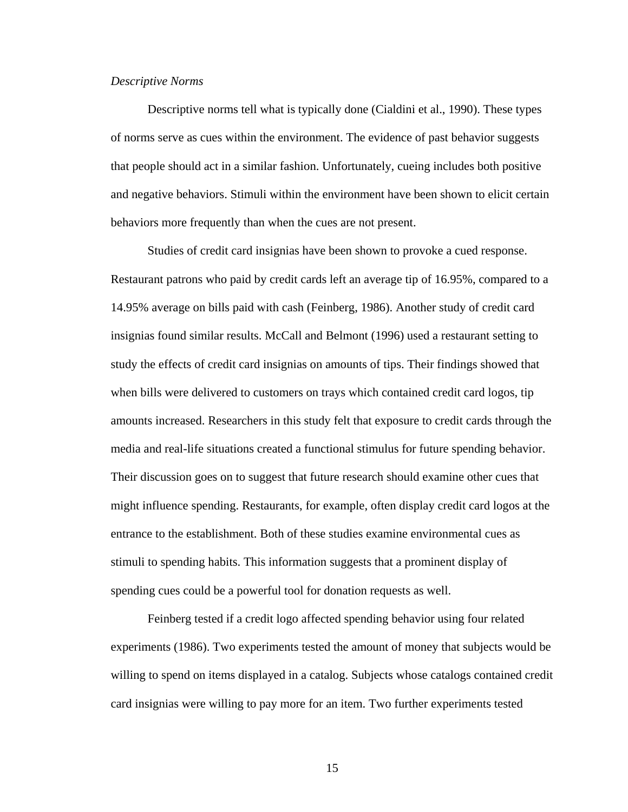#### *Descriptive Norms*

Descriptive norms tell what is typically done (Cialdini et al., 1990). These types of norms serve as cues within the environment. The evidence of past behavior suggests that people should act in a similar fashion. Unfortunately, cueing includes both positive and negative behaviors. Stimuli within the environment have been shown to elicit certain behaviors more frequently than when the cues are not present.

Studies of credit card insignias have been shown to provoke a cued response. Restaurant patrons who paid by credit cards left an average tip of 16.95%, compared to a 14.95% average on bills paid with cash (Feinberg, 1986). Another study of credit card insignias found similar results. McCall and Belmont (1996) used a restaurant setting to study the effects of credit card insignias on amounts of tips. Their findings showed that when bills were delivered to customers on trays which contained credit card logos, tip amounts increased. Researchers in this study felt that exposure to credit cards through the media and real-life situations created a functional stimulus for future spending behavior. Their discussion goes on to suggest that future research should examine other cues that might influence spending. Restaurants, for example, often display credit card logos at the entrance to the establishment. Both of these studies examine environmental cues as stimuli to spending habits. This information suggests that a prominent display of spending cues could be a powerful tool for donation requests as well.

Feinberg tested if a credit logo affected spending behavior using four related experiments (1986). Two experiments tested the amount of money that subjects would be willing to spend on items displayed in a catalog. Subjects whose catalogs contained credit card insignias were willing to pay more for an item. Two further experiments tested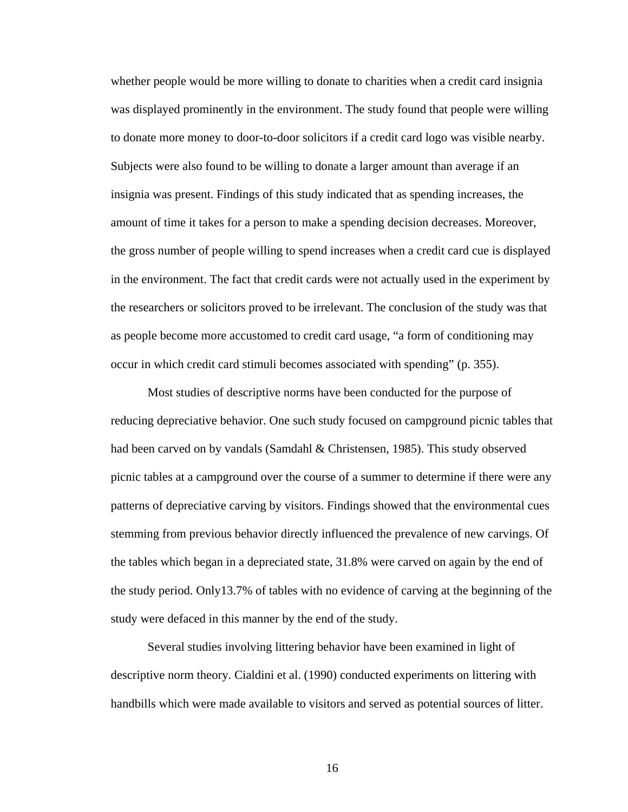whether people would be more willing to donate to charities when a credit card insignia was displayed prominently in the environment. The study found that people were willing to donate more money to door-to-door solicitors if a credit card logo was visible nearby. Subjects were also found to be willing to donate a larger amount than average if an insignia was present. Findings of this study indicated that as spending increases, the amount of time it takes for a person to make a spending decision decreases. Moreover, the gross number of people willing to spend increases when a credit card cue is displayed in the environment. The fact that credit cards were not actually used in the experiment by the researchers or solicitors proved to be irrelevant. The conclusion of the study was that as people become more accustomed to credit card usage, "a form of conditioning may occur in which credit card stimuli becomes associated with spending" (p. 355).

Most studies of descriptive norms have been conducted for the purpose of reducing depreciative behavior. One such study focused on campground picnic tables that had been carved on by vandals (Samdahl & Christensen, 1985). This study observed picnic tables at a campground over the course of a summer to determine if there were any patterns of depreciative carving by visitors. Findings showed that the environmental cues stemming from previous behavior directly influenced the prevalence of new carvings. Of the tables which began in a depreciated state, 31.8% were carved on again by the end of the study period. Only13.7% of tables with no evidence of carving at the beginning of the study were defaced in this manner by the end of the study.

Several studies involving littering behavior have been examined in light of descriptive norm theory. Cialdini et al. (1990) conducted experiments on littering with handbills which were made available to visitors and served as potential sources of litter.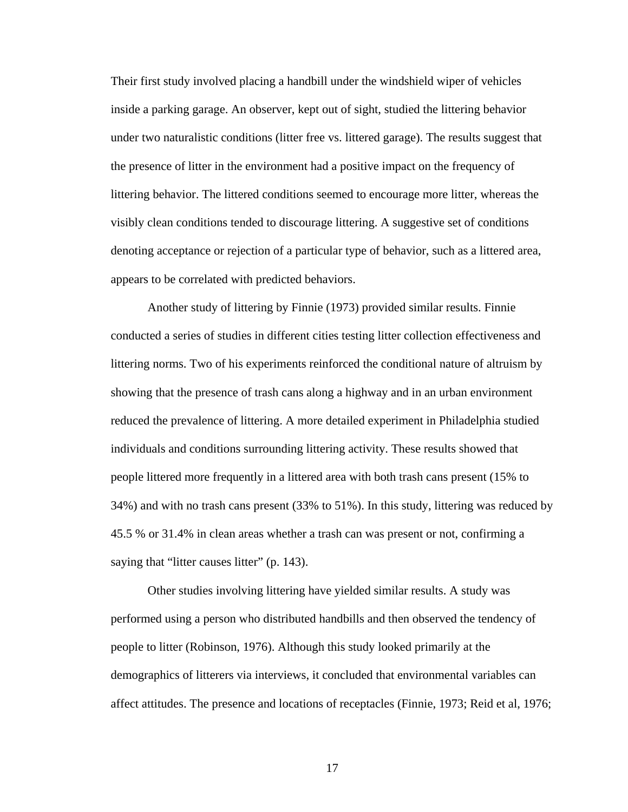Their first study involved placing a handbill under the windshield wiper of vehicles inside a parking garage. An observer, kept out of sight, studied the littering behavior under two naturalistic conditions (litter free vs. littered garage). The results suggest that the presence of litter in the environment had a positive impact on the frequency of littering behavior. The littered conditions seemed to encourage more litter, whereas the visibly clean conditions tended to discourage littering. A suggestive set of conditions denoting acceptance or rejection of a particular type of behavior, such as a littered area, appears to be correlated with predicted behaviors.

 Another study of littering by Finnie (1973) provided similar results. Finnie conducted a series of studies in different cities testing litter collection effectiveness and littering norms. Two of his experiments reinforced the conditional nature of altruism by showing that the presence of trash cans along a highway and in an urban environment reduced the prevalence of littering. A more detailed experiment in Philadelphia studied individuals and conditions surrounding littering activity. These results showed that people littered more frequently in a littered area with both trash cans present (15% to 34%) and with no trash cans present (33% to 51%). In this study, littering was reduced by 45.5 % or 31.4% in clean areas whether a trash can was present or not, confirming a saying that "litter causes litter" (p. 143).

Other studies involving littering have yielded similar results. A study was performed using a person who distributed handbills and then observed the tendency of people to litter (Robinson, 1976). Although this study looked primarily at the demographics of litterers via interviews, it concluded that environmental variables can affect attitudes. The presence and locations of receptacles (Finnie, 1973; Reid et al, 1976;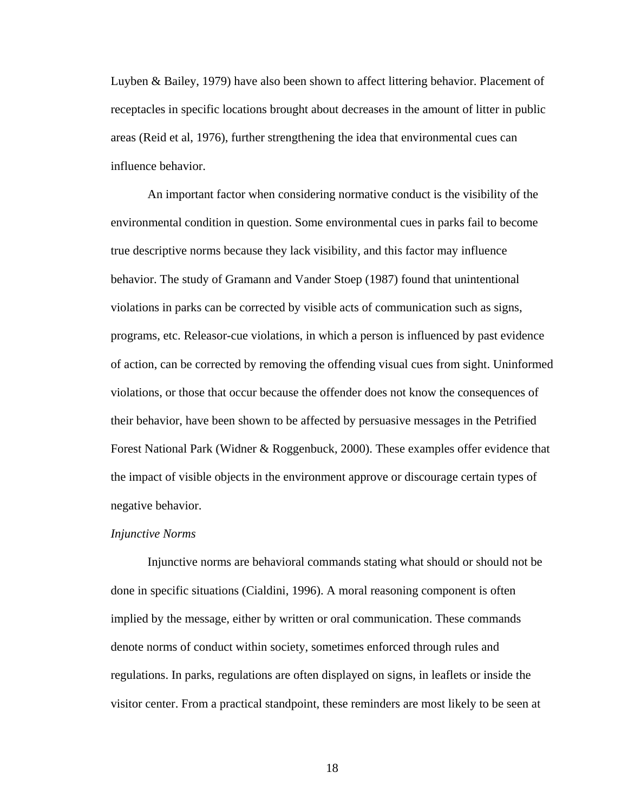Luyben & Bailey, 1979) have also been shown to affect littering behavior. Placement of receptacles in specific locations brought about decreases in the amount of litter in public areas (Reid et al, 1976), further strengthening the idea that environmental cues can influence behavior.

An important factor when considering normative conduct is the visibility of the environmental condition in question. Some environmental cues in parks fail to become true descriptive norms because they lack visibility, and this factor may influence behavior. The study of Gramann and Vander Stoep (1987) found that unintentional violations in parks can be corrected by visible acts of communication such as signs, programs, etc. Releasor-cue violations, in which a person is influenced by past evidence of action, can be corrected by removing the offending visual cues from sight. Uninformed violations, or those that occur because the offender does not know the consequences of their behavior, have been shown to be affected by persuasive messages in the Petrified Forest National Park (Widner & Roggenbuck, 2000). These examples offer evidence that the impact of visible objects in the environment approve or discourage certain types of negative behavior.

#### *Injunctive Norms*

Injunctive norms are behavioral commands stating what should or should not be done in specific situations (Cialdini, 1996). A moral reasoning component is often implied by the message, either by written or oral communication. These commands denote norms of conduct within society, sometimes enforced through rules and regulations. In parks, regulations are often displayed on signs, in leaflets or inside the visitor center. From a practical standpoint, these reminders are most likely to be seen at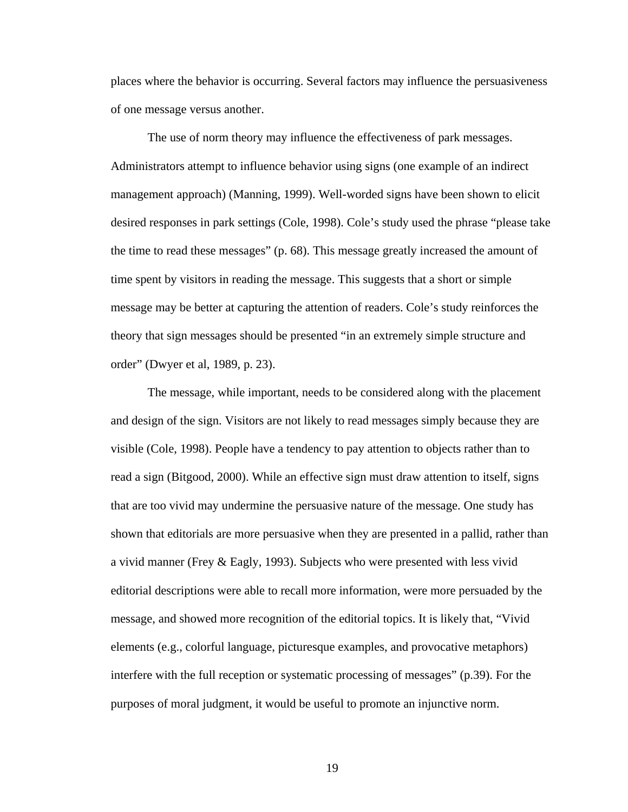places where the behavior is occurring. Several factors may influence the persuasiveness of one message versus another.

The use of norm theory may influence the effectiveness of park messages. Administrators attempt to influence behavior using signs (one example of an indirect management approach) (Manning, 1999). Well-worded signs have been shown to elicit desired responses in park settings (Cole, 1998). Cole's study used the phrase "please take the time to read these messages" (p. 68). This message greatly increased the amount of time spent by visitors in reading the message. This suggests that a short or simple message may be better at capturing the attention of readers. Cole's study reinforces the theory that sign messages should be presented "in an extremely simple structure and order" (Dwyer et al, 1989, p. 23).

The message, while important, needs to be considered along with the placement and design of the sign. Visitors are not likely to read messages simply because they are visible (Cole, 1998). People have a tendency to pay attention to objects rather than to read a sign (Bitgood, 2000). While an effective sign must draw attention to itself, signs that are too vivid may undermine the persuasive nature of the message. One study has shown that editorials are more persuasive when they are presented in a pallid, rather than a vivid manner (Frey & Eagly, 1993). Subjects who were presented with less vivid editorial descriptions were able to recall more information, were more persuaded by the message, and showed more recognition of the editorial topics. It is likely that, "Vivid elements (e.g., colorful language, picturesque examples, and provocative metaphors) interfere with the full reception or systematic processing of messages" (p.39). For the purposes of moral judgment, it would be useful to promote an injunctive norm.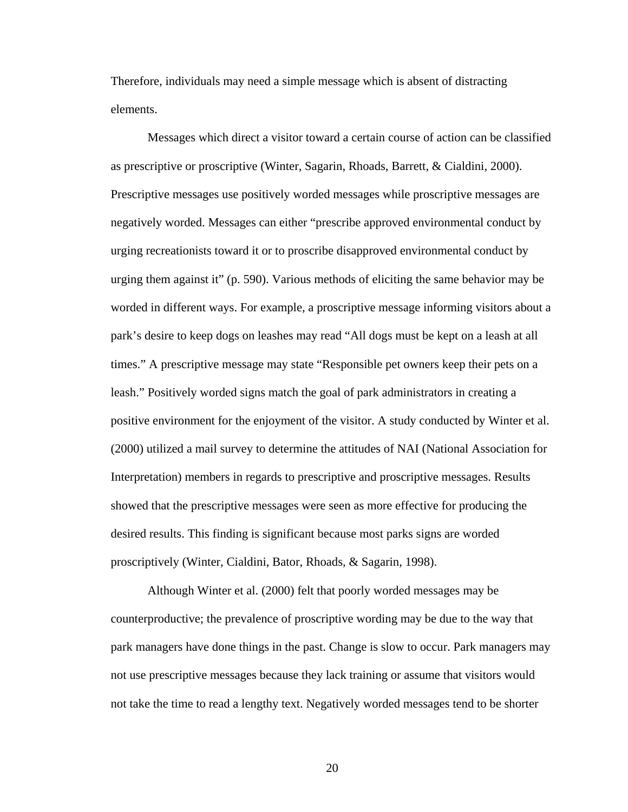Therefore, individuals may need a simple message which is absent of distracting elements.

Messages which direct a visitor toward a certain course of action can be classified as prescriptive or proscriptive (Winter, Sagarin, Rhoads, Barrett, & Cialdini, 2000). Prescriptive messages use positively worded messages while proscriptive messages are negatively worded. Messages can either "prescribe approved environmental conduct by urging recreationists toward it or to proscribe disapproved environmental conduct by urging them against it" (p. 590). Various methods of eliciting the same behavior may be worded in different ways. For example, a proscriptive message informing visitors about a park's desire to keep dogs on leashes may read "All dogs must be kept on a leash at all times." A prescriptive message may state "Responsible pet owners keep their pets on a leash." Positively worded signs match the goal of park administrators in creating a positive environment for the enjoyment of the visitor. A study conducted by Winter et al. (2000) utilized a mail survey to determine the attitudes of NAI (National Association for Interpretation) members in regards to prescriptive and proscriptive messages. Results showed that the prescriptive messages were seen as more effective for producing the desired results. This finding is significant because most parks signs are worded proscriptively (Winter, Cialdini, Bator, Rhoads, & Sagarin, 1998).

Although Winter et al. (2000) felt that poorly worded messages may be counterproductive; the prevalence of proscriptive wording may be due to the way that park managers have done things in the past. Change is slow to occur. Park managers may not use prescriptive messages because they lack training or assume that visitors would not take the time to read a lengthy text. Negatively worded messages tend to be shorter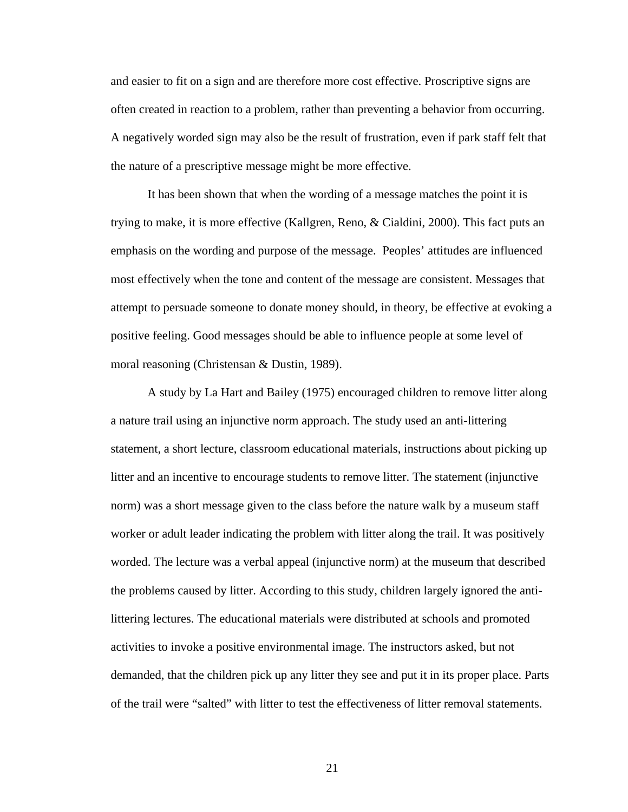and easier to fit on a sign and are therefore more cost effective. Proscriptive signs are often created in reaction to a problem, rather than preventing a behavior from occurring. A negatively worded sign may also be the result of frustration, even if park staff felt that the nature of a prescriptive message might be more effective.

It has been shown that when the wording of a message matches the point it is trying to make, it is more effective (Kallgren, Reno, & Cialdini, 2000). This fact puts an emphasis on the wording and purpose of the message. Peoples' attitudes are influenced most effectively when the tone and content of the message are consistent. Messages that attempt to persuade someone to donate money should, in theory, be effective at evoking a positive feeling. Good messages should be able to influence people at some level of moral reasoning (Christensan & Dustin, 1989).

A study by La Hart and Bailey (1975) encouraged children to remove litter along a nature trail using an injunctive norm approach. The study used an anti-littering statement, a short lecture, classroom educational materials, instructions about picking up litter and an incentive to encourage students to remove litter. The statement (injunctive norm) was a short message given to the class before the nature walk by a museum staff worker or adult leader indicating the problem with litter along the trail. It was positively worded. The lecture was a verbal appeal (injunctive norm) at the museum that described the problems caused by litter. According to this study, children largely ignored the antilittering lectures. The educational materials were distributed at schools and promoted activities to invoke a positive environmental image. The instructors asked, but not demanded, that the children pick up any litter they see and put it in its proper place. Parts of the trail were "salted" with litter to test the effectiveness of litter removal statements.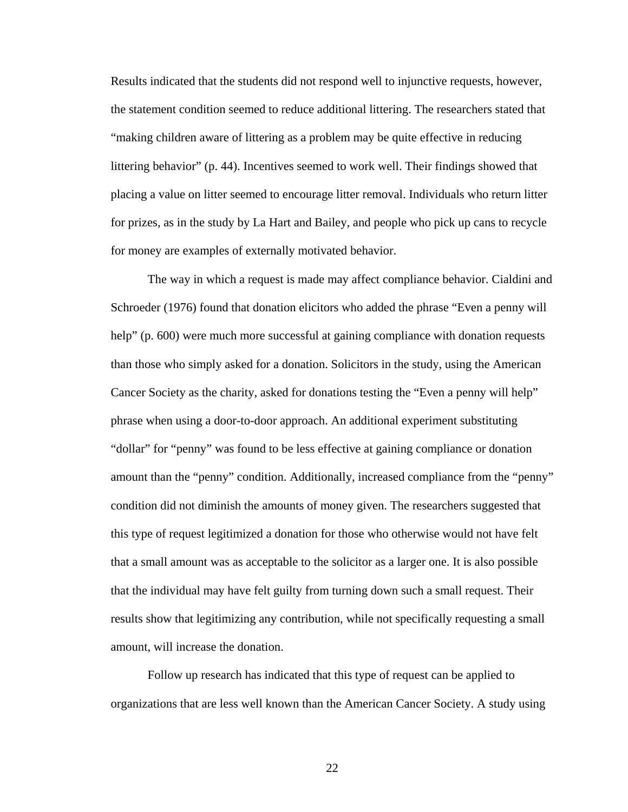Results indicated that the students did not respond well to injunctive requests, however, the statement condition seemed to reduce additional littering. The researchers stated that "making children aware of littering as a problem may be quite effective in reducing littering behavior" (p. 44). Incentives seemed to work well. Their findings showed that placing a value on litter seemed to encourage litter removal. Individuals who return litter for prizes, as in the study by La Hart and Bailey, and people who pick up cans to recycle for money are examples of externally motivated behavior.

The way in which a request is made may affect compliance behavior. Cialdini and Schroeder (1976) found that donation elicitors who added the phrase "Even a penny will help" (p. 600) were much more successful at gaining compliance with donation requests than those who simply asked for a donation. Solicitors in the study, using the American Cancer Society as the charity, asked for donations testing the "Even a penny will help" phrase when using a door-to-door approach. An additional experiment substituting "dollar" for "penny" was found to be less effective at gaining compliance or donation amount than the "penny" condition. Additionally, increased compliance from the "penny" condition did not diminish the amounts of money given. The researchers suggested that this type of request legitimized a donation for those who otherwise would not have felt that a small amount was as acceptable to the solicitor as a larger one. It is also possible that the individual may have felt guilty from turning down such a small request. Their results show that legitimizing any contribution, while not specifically requesting a small amount, will increase the donation.

Follow up research has indicated that this type of request can be applied to organizations that are less well known than the American Cancer Society. A study using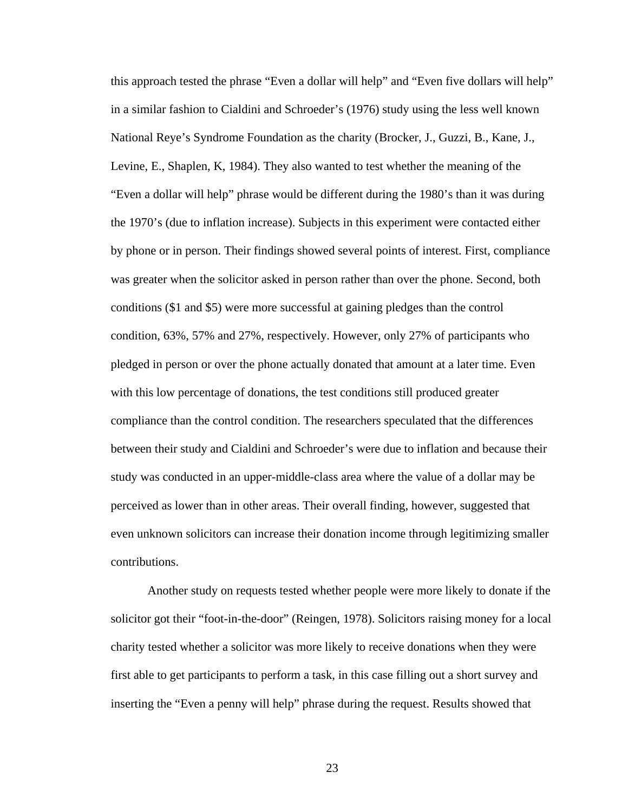this approach tested the phrase "Even a dollar will help" and "Even five dollars will help" in a similar fashion to Cialdini and Schroeder's (1976) study using the less well known National Reye's Syndrome Foundation as the charity (Brocker, J., Guzzi, B., Kane, J., Levine, E., Shaplen, K, 1984). They also wanted to test whether the meaning of the "Even a dollar will help" phrase would be different during the 1980's than it was during the 1970's (due to inflation increase). Subjects in this experiment were contacted either by phone or in person. Their findings showed several points of interest. First, compliance was greater when the solicitor asked in person rather than over the phone. Second, both conditions (\$1 and \$5) were more successful at gaining pledges than the control condition, 63%, 57% and 27%, respectively. However, only 27% of participants who pledged in person or over the phone actually donated that amount at a later time. Even with this low percentage of donations, the test conditions still produced greater compliance than the control condition. The researchers speculated that the differences between their study and Cialdini and Schroeder's were due to inflation and because their study was conducted in an upper-middle-class area where the value of a dollar may be perceived as lower than in other areas. Their overall finding, however, suggested that even unknown solicitors can increase their donation income through legitimizing smaller contributions.

Another study on requests tested whether people were more likely to donate if the solicitor got their "foot-in-the-door" (Reingen, 1978). Solicitors raising money for a local charity tested whether a solicitor was more likely to receive donations when they were first able to get participants to perform a task, in this case filling out a short survey and inserting the "Even a penny will help" phrase during the request. Results showed that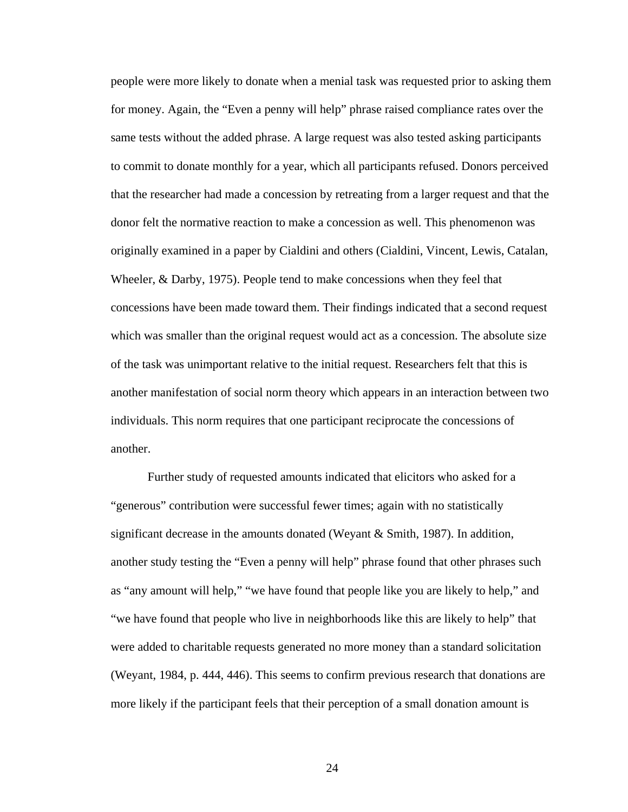people were more likely to donate when a menial task was requested prior to asking them for money. Again, the "Even a penny will help" phrase raised compliance rates over the same tests without the added phrase. A large request was also tested asking participants to commit to donate monthly for a year, which all participants refused. Donors perceived that the researcher had made a concession by retreating from a larger request and that the donor felt the normative reaction to make a concession as well. This phenomenon was originally examined in a paper by Cialdini and others (Cialdini, Vincent, Lewis, Catalan, Wheeler, & Darby, 1975). People tend to make concessions when they feel that concessions have been made toward them. Their findings indicated that a second request which was smaller than the original request would act as a concession. The absolute size of the task was unimportant relative to the initial request. Researchers felt that this is another manifestation of social norm theory which appears in an interaction between two individuals. This norm requires that one participant reciprocate the concessions of another.

Further study of requested amounts indicated that elicitors who asked for a "generous" contribution were successful fewer times; again with no statistically significant decrease in the amounts donated (Weyant & Smith, 1987). In addition, another study testing the "Even a penny will help" phrase found that other phrases such as "any amount will help," "we have found that people like you are likely to help," and "we have found that people who live in neighborhoods like this are likely to help" that were added to charitable requests generated no more money than a standard solicitation (Weyant, 1984, p. 444, 446). This seems to confirm previous research that donations are more likely if the participant feels that their perception of a small donation amount is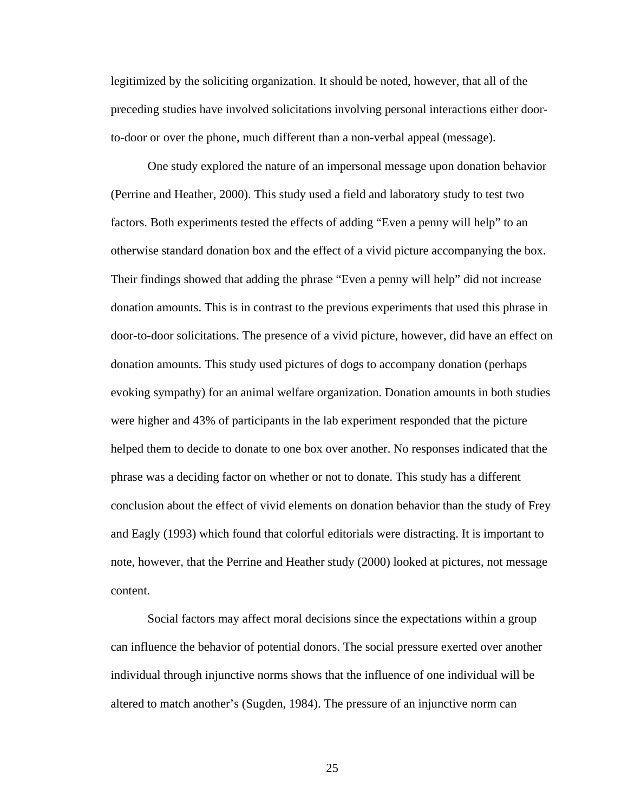legitimized by the soliciting organization. It should be noted, however, that all of the preceding studies have involved solicitations involving personal interactions either doorto-door or over the phone, much different than a non-verbal appeal (message).

One study explored the nature of an impersonal message upon donation behavior (Perrine and Heather, 2000). This study used a field and laboratory study to test two factors. Both experiments tested the effects of adding "Even a penny will help" to an otherwise standard donation box and the effect of a vivid picture accompanying the box. Their findings showed that adding the phrase "Even a penny will help" did not increase donation amounts. This is in contrast to the previous experiments that used this phrase in door-to-door solicitations. The presence of a vivid picture, however, did have an effect on donation amounts. This study used pictures of dogs to accompany donation (perhaps evoking sympathy) for an animal welfare organization. Donation amounts in both studies were higher and 43% of participants in the lab experiment responded that the picture helped them to decide to donate to one box over another. No responses indicated that the phrase was a deciding factor on whether or not to donate. This study has a different conclusion about the effect of vivid elements on donation behavior than the study of Frey and Eagly (1993) which found that colorful editorials were distracting. It is important to note, however, that the Perrine and Heather study (2000) looked at pictures, not message content.

Social factors may affect moral decisions since the expectations within a group can influence the behavior of potential donors. The social pressure exerted over another individual through injunctive norms shows that the influence of one individual will be altered to match another's (Sugden, 1984). The pressure of an injunctive norm can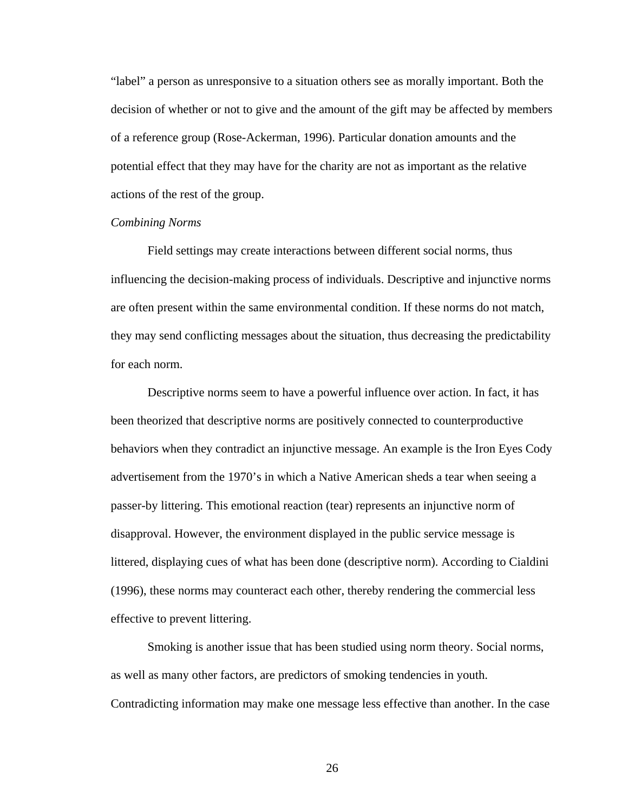"label" a person as unresponsive to a situation others see as morally important. Both the decision of whether or not to give and the amount of the gift may be affected by members of a reference group (Rose-Ackerman, 1996). Particular donation amounts and the potential effect that they may have for the charity are not as important as the relative actions of the rest of the group.

## *Combining Norms*

Field settings may create interactions between different social norms, thus influencing the decision-making process of individuals. Descriptive and injunctive norms are often present within the same environmental condition. If these norms do not match, they may send conflicting messages about the situation, thus decreasing the predictability for each norm.

Descriptive norms seem to have a powerful influence over action. In fact, it has been theorized that descriptive norms are positively connected to counterproductive behaviors when they contradict an injunctive message. An example is the Iron Eyes Cody advertisement from the 1970's in which a Native American sheds a tear when seeing a passer-by littering. This emotional reaction (tear) represents an injunctive norm of disapproval. However, the environment displayed in the public service message is littered, displaying cues of what has been done (descriptive norm). According to Cialdini (1996), these norms may counteract each other, thereby rendering the commercial less effective to prevent littering.

Smoking is another issue that has been studied using norm theory. Social norms, as well as many other factors, are predictors of smoking tendencies in youth. Contradicting information may make one message less effective than another. In the case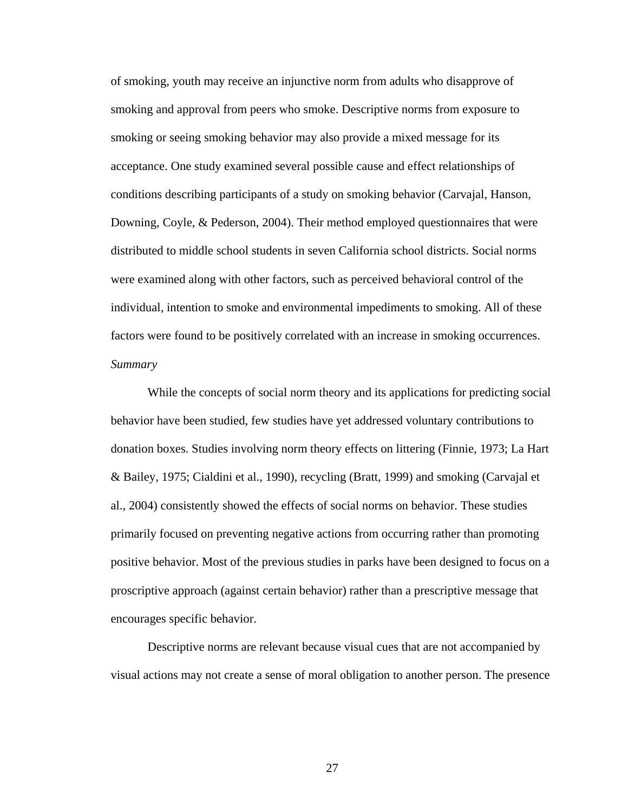of smoking, youth may receive an injunctive norm from adults who disapprove of smoking and approval from peers who smoke. Descriptive norms from exposure to smoking or seeing smoking behavior may also provide a mixed message for its acceptance. One study examined several possible cause and effect relationships of conditions describing participants of a study on smoking behavior (Carvajal, Hanson, Downing, Coyle, & Pederson, 2004). Their method employed questionnaires that were distributed to middle school students in seven California school districts. Social norms were examined along with other factors, such as perceived behavioral control of the individual, intention to smoke and environmental impediments to smoking. All of these factors were found to be positively correlated with an increase in smoking occurrences. *Summary* 

While the concepts of social norm theory and its applications for predicting social behavior have been studied, few studies have yet addressed voluntary contributions to donation boxes. Studies involving norm theory effects on littering (Finnie, 1973; La Hart & Bailey, 1975; Cialdini et al., 1990), recycling (Bratt, 1999) and smoking (Carvajal et al., 2004) consistently showed the effects of social norms on behavior. These studies primarily focused on preventing negative actions from occurring rather than promoting positive behavior. Most of the previous studies in parks have been designed to focus on a proscriptive approach (against certain behavior) rather than a prescriptive message that encourages specific behavior.

Descriptive norms are relevant because visual cues that are not accompanied by visual actions may not create a sense of moral obligation to another person. The presence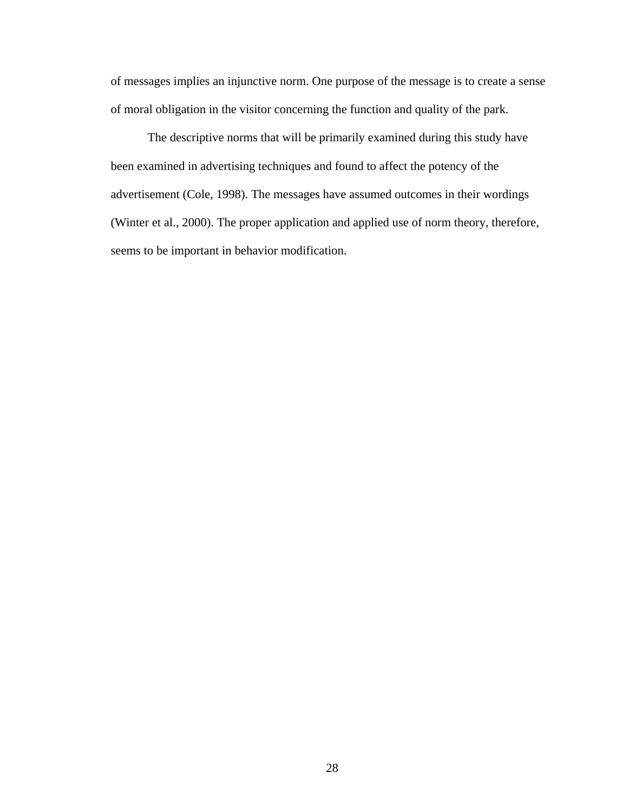of messages implies an injunctive norm. One purpose of the message is to create a sense of moral obligation in the visitor concerning the function and quality of the park.

The descriptive norms that will be primarily examined during this study have been examined in advertising techniques and found to affect the potency of the advertisement (Cole, 1998). The messages have assumed outcomes in their wordings (Winter et al., 2000). The proper application and applied use of norm theory, therefore, seems to be important in behavior modification.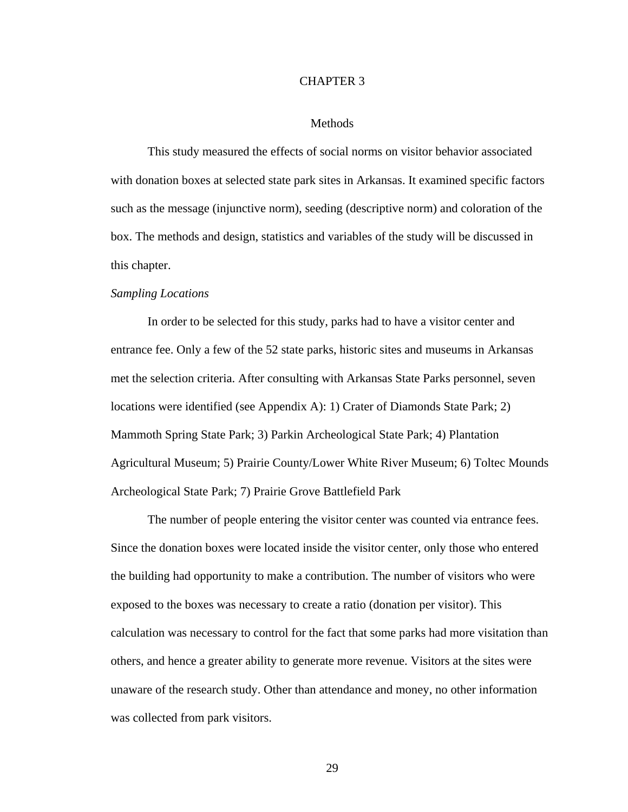#### CHAPTER 3

### Methods

 This study measured the effects of social norms on visitor behavior associated with donation boxes at selected state park sites in Arkansas. It examined specific factors such as the message (injunctive norm), seeding (descriptive norm) and coloration of the box. The methods and design, statistics and variables of the study will be discussed in this chapter.

#### *Sampling Locations*

In order to be selected for this study, parks had to have a visitor center and entrance fee. Only a few of the 52 state parks, historic sites and museums in Arkansas met the selection criteria. After consulting with Arkansas State Parks personnel, seven locations were identified (see Appendix A): 1) Crater of Diamonds State Park; 2) Mammoth Spring State Park; 3) Parkin Archeological State Park; 4) Plantation Agricultural Museum; 5) Prairie County/Lower White River Museum; 6) Toltec Mounds Archeological State Park; 7) Prairie Grove Battlefield Park

The number of people entering the visitor center was counted via entrance fees. Since the donation boxes were located inside the visitor center, only those who entered the building had opportunity to make a contribution. The number of visitors who were exposed to the boxes was necessary to create a ratio (donation per visitor). This calculation was necessary to control for the fact that some parks had more visitation than others, and hence a greater ability to generate more revenue. Visitors at the sites were unaware of the research study. Other than attendance and money, no other information was collected from park visitors.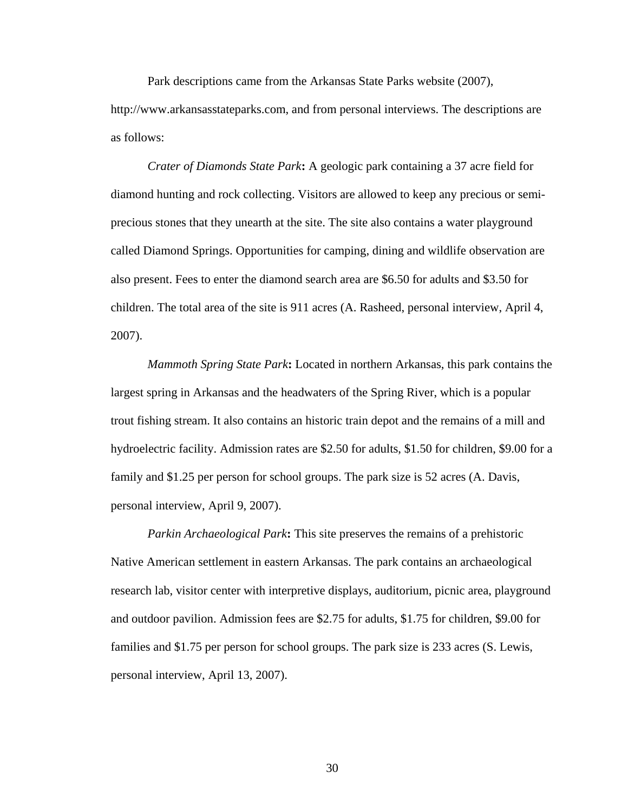Park descriptions came from the Arkansas State Parks website (2007), http://www.arkansasstateparks.com, and from personal interviews. The descriptions are as follows:

 *Crater of Diamonds State Park***:** A geologic park containing a 37 acre field for diamond hunting and rock collecting. Visitors are allowed to keep any precious or semiprecious stones that they unearth at the site. The site also contains a water playground called Diamond Springs. Opportunities for camping, dining and wildlife observation are also present. Fees to enter the diamond search area are \$6.50 for adults and \$3.50 for children. The total area of the site is 911 acres (A. Rasheed, personal interview, April 4, 2007).

 *Mammoth Spring State Park***:** Located in northern Arkansas, this park contains the largest spring in Arkansas and the headwaters of the Spring River, which is a popular trout fishing stream. It also contains an historic train depot and the remains of a mill and hydroelectric facility. Admission rates are \$2.50 for adults, \$1.50 for children, \$9.00 for a family and \$1.25 per person for school groups. The park size is 52 acres (A. Davis, personal interview, April 9, 2007).

 *Parkin Archaeological Park***:** This site preserves the remains of a prehistoric Native American settlement in eastern Arkansas. The park contains an archaeological research lab, visitor center with interpretive displays, auditorium, picnic area, playground and outdoor pavilion. Admission fees are \$2.75 for adults, \$1.75 for children, \$9.00 for families and \$1.75 per person for school groups. The park size is 233 acres (S. Lewis, personal interview, April 13, 2007).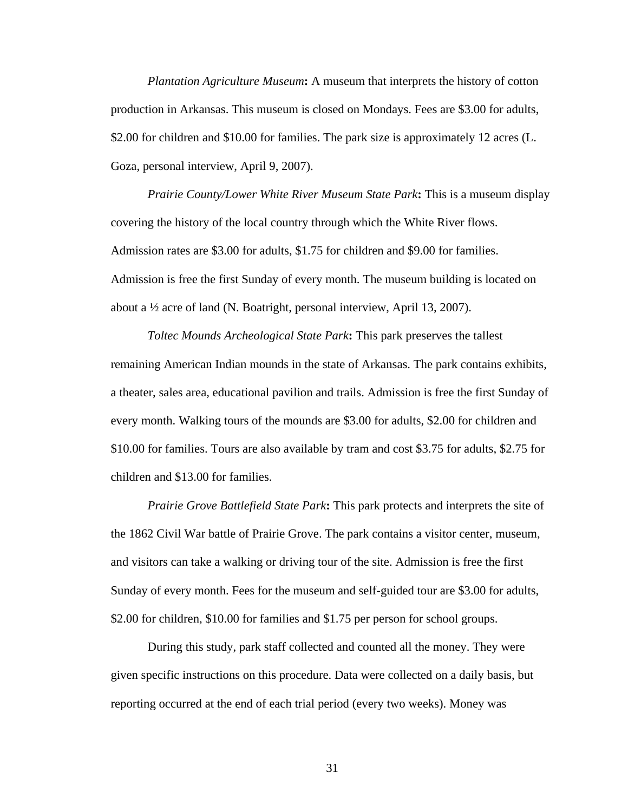*Plantation Agriculture Museum***:** A museum that interprets the history of cotton production in Arkansas. This museum is closed on Mondays. Fees are \$3.00 for adults, \$2.00 for children and \$10.00 for families. The park size is approximately 12 acres (L. Goza, personal interview, April 9, 2007).

 *Prairie County/Lower White River Museum State Park***:** This is a museum display covering the history of the local country through which the White River flows. Admission rates are \$3.00 for adults, \$1.75 for children and \$9.00 for families. Admission is free the first Sunday of every month. The museum building is located on about a ½ acre of land (N. Boatright, personal interview, April 13, 2007).

 *Toltec Mounds Archeological State Park***:** This park preserves the tallest remaining American Indian mounds in the state of Arkansas. The park contains exhibits, a theater, sales area, educational pavilion and trails. Admission is free the first Sunday of every month. Walking tours of the mounds are \$3.00 for adults, \$2.00 for children and \$10.00 for families. Tours are also available by tram and cost \$3.75 for adults, \$2.75 for children and \$13.00 for families.

 *Prairie Grove Battlefield State Park***:** This park protects and interprets the site of the 1862 Civil War battle of Prairie Grove. The park contains a visitor center, museum, and visitors can take a walking or driving tour of the site. Admission is free the first Sunday of every month. Fees for the museum and self-guided tour are \$3.00 for adults, \$2.00 for children, \$10.00 for families and \$1.75 per person for school groups.

During this study, park staff collected and counted all the money. They were given specific instructions on this procedure. Data were collected on a daily basis, but reporting occurred at the end of each trial period (every two weeks). Money was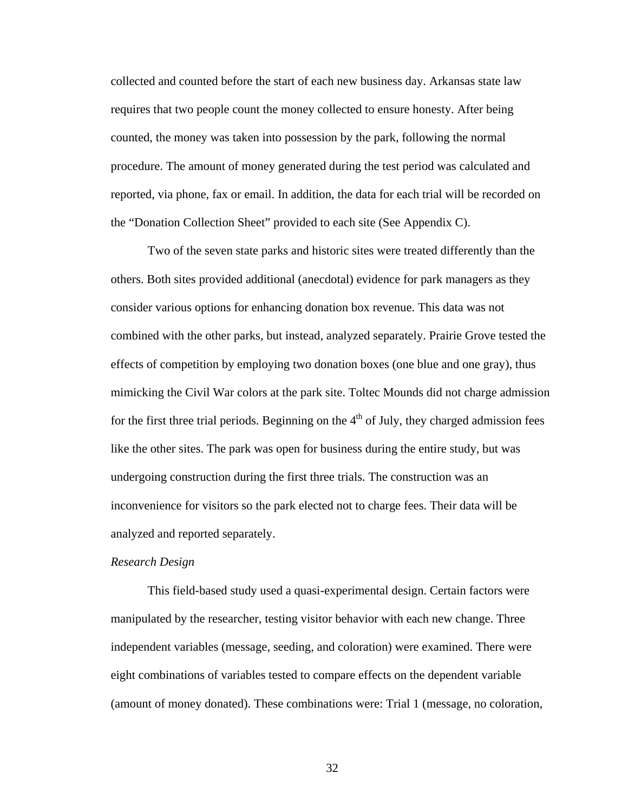collected and counted before the start of each new business day. Arkansas state law requires that two people count the money collected to ensure honesty. After being counted, the money was taken into possession by the park, following the normal procedure. The amount of money generated during the test period was calculated and reported, via phone, fax or email. In addition, the data for each trial will be recorded on the "Donation Collection Sheet" provided to each site (See Appendix C).

Two of the seven state parks and historic sites were treated differently than the others. Both sites provided additional (anecdotal) evidence for park managers as they consider various options for enhancing donation box revenue. This data was not combined with the other parks, but instead, analyzed separately. Prairie Grove tested the effects of competition by employing two donation boxes (one blue and one gray), thus mimicking the Civil War colors at the park site. Toltec Mounds did not charge admission for the first three trial periods. Beginning on the  $4<sup>th</sup>$  of July, they charged admission fees like the other sites. The park was open for business during the entire study, but was undergoing construction during the first three trials. The construction was an inconvenience for visitors so the park elected not to charge fees. Their data will be analyzed and reported separately.

#### *Research Design*

 This field-based study used a quasi-experimental design. Certain factors were manipulated by the researcher, testing visitor behavior with each new change. Three independent variables (message, seeding, and coloration) were examined. There were eight combinations of variables tested to compare effects on the dependent variable (amount of money donated). These combinations were: Trial 1 (message, no coloration,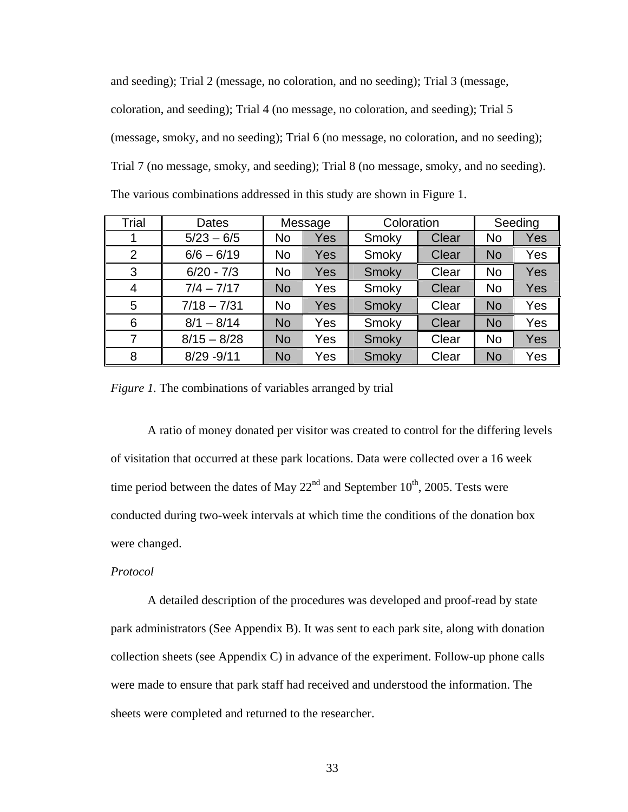and seeding); Trial 2 (message, no coloration, and no seeding); Trial 3 (message, coloration, and seeding); Trial 4 (no message, no coloration, and seeding); Trial 5 (message, smoky, and no seeding); Trial 6 (no message, no coloration, and no seeding); Trial 7 (no message, smoky, and seeding); Trial 8 (no message, smoky, and no seeding). The various combinations addressed in this study are shown in Figure 1.

| Trial          | Dates         |                | Message    | Coloration |       | Seeding   |     |
|----------------|---------------|----------------|------------|------------|-------|-----------|-----|
| 1              | $5/23 - 6/5$  | <b>No</b>      | <b>Yes</b> | Smoky      | Clear | No        | Yes |
| $\overline{2}$ | $6/6 - 6/19$  | N <sub>o</sub> | Yes        | Smoky      | Clear | <b>No</b> | Yes |
| 3              | $6/20 - 7/3$  | <b>No</b>      | Yes        | Smoky      | Clear | <b>No</b> | Yes |
| 4              | $7/4 - 7/17$  | <b>No</b>      | Yes        | Smoky      | Clear | No        | Yes |
| 5              | $7/18 - 7/31$ | <b>No</b>      | Yes        | Smoky      | Clear | <b>No</b> | Yes |
| 6              | $8/1 - 8/14$  | <b>No</b>      | Yes        | Smoky      | Clear | <b>No</b> | Yes |
| 7              | $8/15 - 8/28$ | <b>No</b>      | Yes        | Smoky      | Clear | <b>No</b> | Yes |
| 8              | $8/29 - 9/11$ | <b>No</b>      | Yes        | Smoky      | Clear | <b>No</b> | Yes |

*Figure 1.* The combinations of variables arranged by trial

 A ratio of money donated per visitor was created to control for the differing levels of visitation that occurred at these park locations. Data were collected over a 16 week time period between the dates of May  $22<sup>nd</sup>$  and September 10<sup>th</sup>, 2005. Tests were conducted during two-week intervals at which time the conditions of the donation box were changed.

### *Protocol*

A detailed description of the procedures was developed and proof-read by state park administrators (See Appendix B). It was sent to each park site, along with donation collection sheets (see Appendix C) in advance of the experiment. Follow-up phone calls were made to ensure that park staff had received and understood the information. The sheets were completed and returned to the researcher.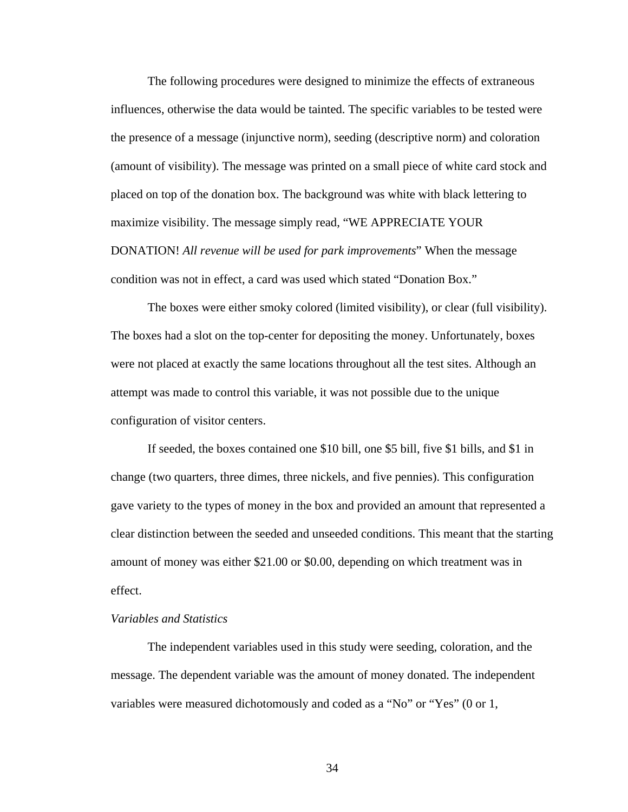The following procedures were designed to minimize the effects of extraneous influences, otherwise the data would be tainted. The specific variables to be tested were the presence of a message (injunctive norm), seeding (descriptive norm) and coloration (amount of visibility). The message was printed on a small piece of white card stock and placed on top of the donation box. The background was white with black lettering to maximize visibility. The message simply read, "WE APPRECIATE YOUR DONATION! *All revenue will be used for park improvements*" When the message condition was not in effect, a card was used which stated "Donation Box."

The boxes were either smoky colored (limited visibility), or clear (full visibility). The boxes had a slot on the top-center for depositing the money. Unfortunately, boxes were not placed at exactly the same locations throughout all the test sites. Although an attempt was made to control this variable, it was not possible due to the unique configuration of visitor centers.

If seeded, the boxes contained one \$10 bill, one \$5 bill, five \$1 bills, and \$1 in change (two quarters, three dimes, three nickels, and five pennies). This configuration gave variety to the types of money in the box and provided an amount that represented a clear distinction between the seeded and unseeded conditions. This meant that the starting amount of money was either \$21.00 or \$0.00, depending on which treatment was in effect.

### *Variables and Statistics*

The independent variables used in this study were seeding, coloration, and the message. The dependent variable was the amount of money donated. The independent variables were measured dichotomously and coded as a "No" or "Yes" (0 or 1,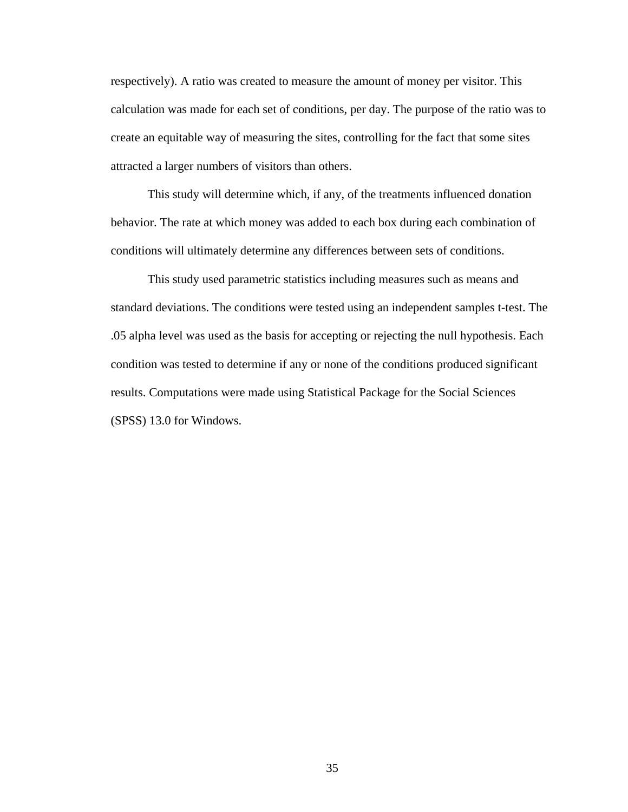respectively). A ratio was created to measure the amount of money per visitor. This calculation was made for each set of conditions, per day. The purpose of the ratio was to create an equitable way of measuring the sites, controlling for the fact that some sites attracted a larger numbers of visitors than others.

This study will determine which, if any, of the treatments influenced donation behavior. The rate at which money was added to each box during each combination of conditions will ultimately determine any differences between sets of conditions.

This study used parametric statistics including measures such as means and standard deviations. The conditions were tested using an independent samples t-test. The .05 alpha level was used as the basis for accepting or rejecting the null hypothesis. Each condition was tested to determine if any or none of the conditions produced significant results. Computations were made using Statistical Package for the Social Sciences (SPSS) 13.0 for Windows.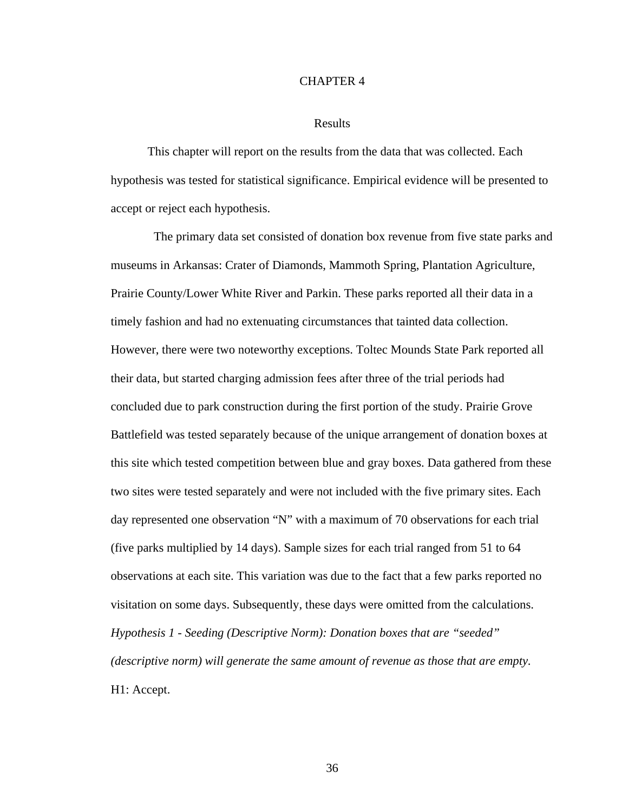#### CHAPTER 4

### Results

 This chapter will report on the results from the data that was collected. Each hypothesis was tested for statistical significance. Empirical evidence will be presented to accept or reject each hypothesis.

 The primary data set consisted of donation box revenue from five state parks and museums in Arkansas: Crater of Diamonds, Mammoth Spring, Plantation Agriculture, Prairie County/Lower White River and Parkin. These parks reported all their data in a timely fashion and had no extenuating circumstances that tainted data collection. However, there were two noteworthy exceptions. Toltec Mounds State Park reported all their data, but started charging admission fees after three of the trial periods had concluded due to park construction during the first portion of the study. Prairie Grove Battlefield was tested separately because of the unique arrangement of donation boxes at this site which tested competition between blue and gray boxes. Data gathered from these two sites were tested separately and were not included with the five primary sites. Each day represented one observation "N" with a maximum of 70 observations for each trial (five parks multiplied by 14 days). Sample sizes for each trial ranged from 51 to 64 observations at each site. This variation was due to the fact that a few parks reported no visitation on some days. Subsequently, these days were omitted from the calculations. *Hypothesis 1 - Seeding (Descriptive Norm): Donation boxes that are "seeded" (descriptive norm) will generate the same amount of revenue as those that are empty.*  H1: Accept.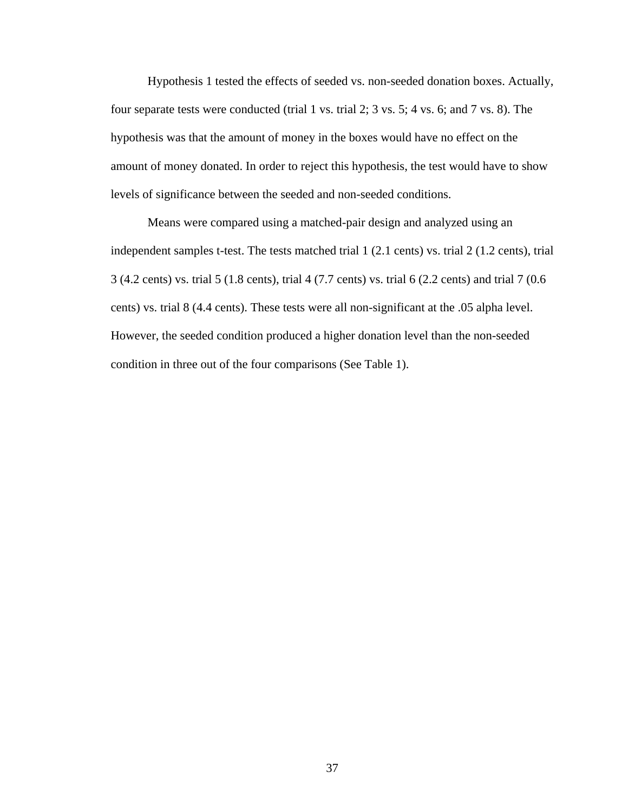Hypothesis 1 tested the effects of seeded vs. non-seeded donation boxes. Actually, four separate tests were conducted (trial 1 vs. trial 2; 3 vs. 5; 4 vs. 6; and 7 vs. 8). The hypothesis was that the amount of money in the boxes would have no effect on the amount of money donated. In order to reject this hypothesis, the test would have to show levels of significance between the seeded and non-seeded conditions.

 Means were compared using a matched-pair design and analyzed using an independent samples t-test. The tests matched trial 1 (2.1 cents) vs. trial 2 (1.2 cents), trial 3 (4.2 cents) vs. trial 5 (1.8 cents), trial 4 (7.7 cents) vs. trial 6 (2.2 cents) and trial 7 (0.6 cents) vs. trial 8 (4.4 cents). These tests were all non-significant at the .05 alpha level. However, the seeded condition produced a higher donation level than the non-seeded condition in three out of the four comparisons (See Table 1).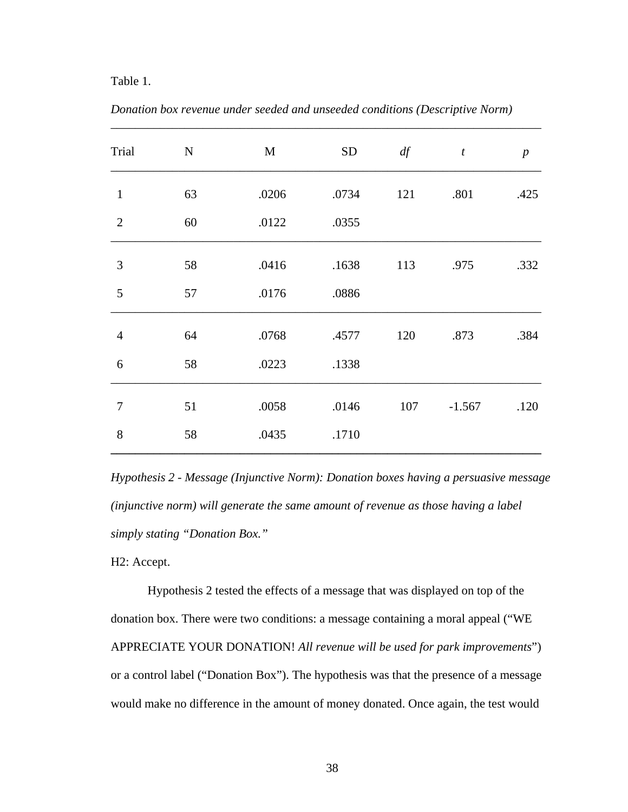### Table 1.

| Trial          | ${\bf N}$ | M     | ${\rm SD}$ | df  | $\boldsymbol{t}$ | $\boldsymbol{p}$ |
|----------------|-----------|-------|------------|-----|------------------|------------------|
| $\mathbf{1}$   | 63        | .0206 | .0734      | 121 | .801             | .425             |
| $\overline{2}$ | 60        | .0122 | .0355      |     |                  |                  |
| 3              | 58        | .0416 | .1638      | 113 | .975             | .332             |
| 5              | 57        | .0176 | .0886      |     |                  |                  |
| $\overline{4}$ | 64        | .0768 | .4577      | 120 | .873             | .384             |
| 6              | 58        | .0223 | .1338      |     |                  |                  |
| $\tau$         | 51        | .0058 | .0146      | 107 | $-1.567$         | .120             |
| 8              | 58        | .0435 | .1710      |     |                  |                  |

*Donation box revenue under seeded and unseeded conditions (Descriptive Norm)* 

\_\_\_\_\_\_\_\_\_\_\_\_\_\_\_\_\_\_\_\_\_\_\_\_\_\_\_\_\_\_\_\_\_\_\_\_\_\_\_\_\_\_\_\_\_\_\_\_\_\_\_\_\_\_\_\_\_\_\_\_\_\_\_\_\_\_\_\_\_\_

*Hypothesis 2 - Message (Injunctive Norm): Donation boxes having a persuasive message (injunctive norm) will generate the same amount of revenue as those having a label simply stating "Donation Box."* 

H2: Accept.

Hypothesis 2 tested the effects of a message that was displayed on top of the donation box. There were two conditions: a message containing a moral appeal ("WE APPRECIATE YOUR DONATION! *All revenue will be used for park improvements*") or a control label ("Donation Box"). The hypothesis was that the presence of a message would make no difference in the amount of money donated. Once again, the test would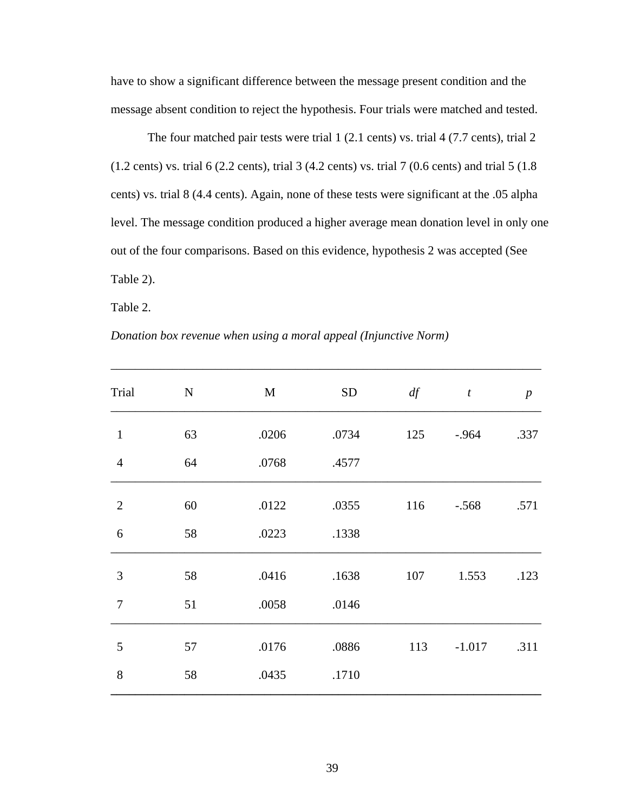have to show a significant difference between the message present condition and the message absent condition to reject the hypothesis. Four trials were matched and tested.

 The four matched pair tests were trial 1 (2.1 cents) vs. trial 4 (7.7 cents), trial 2 (1.2 cents) vs. trial 6 (2.2 cents), trial 3 (4.2 cents) vs. trial 7 (0.6 cents) and trial 5 (1.8 cents) vs. trial 8 (4.4 cents). Again, none of these tests were significant at the .05 alpha level. The message condition produced a higher average mean donation level in only one out of the four comparisons. Based on this evidence, hypothesis 2 was accepted (See Table 2).

\_\_\_\_\_\_\_\_\_\_\_\_\_\_\_\_\_\_\_\_\_\_\_\_\_\_\_\_\_\_\_\_\_\_\_\_\_\_\_\_\_\_\_\_\_\_\_\_\_\_\_\_\_\_\_\_\_\_\_\_\_\_\_\_\_\_\_\_\_\_

Table 2.

|  | Donation box revenue when using a moral appeal (Injunctive Norm) |  |  |  |
|--|------------------------------------------------------------------|--|--|--|
|--|------------------------------------------------------------------|--|--|--|

| Trial          | ${\bf N}$ | M     | ${\rm SD}$ | df  | $\boldsymbol{t}$ | $\boldsymbol{p}$ |
|----------------|-----------|-------|------------|-----|------------------|------------------|
| $\mathbf{1}$   | 63        | .0206 | .0734      | 125 | $-.964$          | .337             |
| $\overline{4}$ | 64        | .0768 | .4577      |     |                  |                  |
| $\overline{2}$ | 60        | .0122 | .0355      | 116 | $-.568$          | .571             |
| 6              | 58        | .0223 | .1338      |     |                  |                  |
| 3              | 58        | .0416 | .1638      | 107 | 1.553            | .123             |
| $\overline{7}$ | 51        | .0058 | .0146      |     |                  |                  |
| 5              | 57        | .0176 | .0886      | 113 | $-1.017$         | .311             |
| 8              | 58        | .0435 | .1710      |     |                  |                  |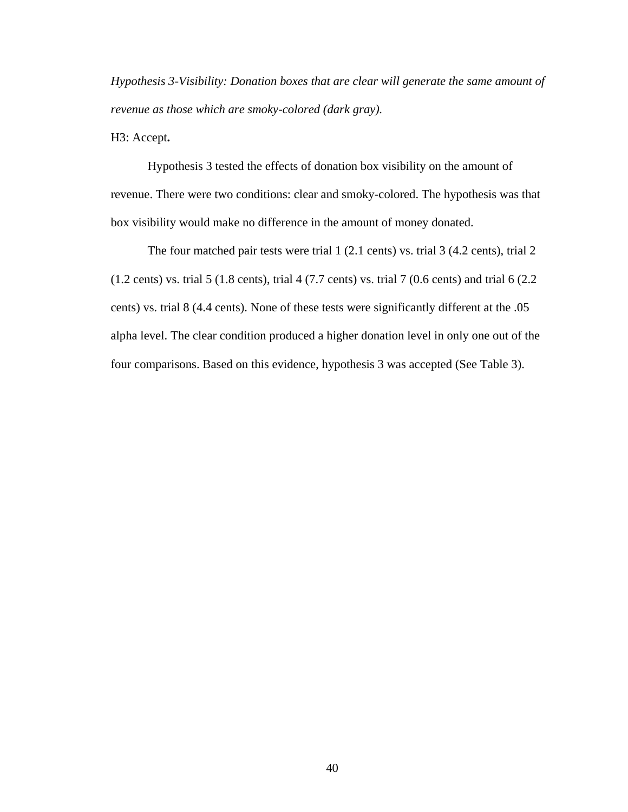*Hypothesis 3-Visibility: Donation boxes that are clear will generate the same amount of revenue as those which are smoky-colored (dark gray).*

H3: Accept**.**

Hypothesis 3 tested the effects of donation box visibility on the amount of revenue. There were two conditions: clear and smoky-colored. The hypothesis was that box visibility would make no difference in the amount of money donated.

 The four matched pair tests were trial 1 (2.1 cents) vs. trial 3 (4.2 cents), trial 2 (1.2 cents) vs. trial 5 (1.8 cents), trial 4 (7.7 cents) vs. trial 7 (0.6 cents) and trial 6 (2.2 cents) vs. trial 8 (4.4 cents). None of these tests were significantly different at the .05 alpha level. The clear condition produced a higher donation level in only one out of the four comparisons. Based on this evidence, hypothesis 3 was accepted (See Table 3).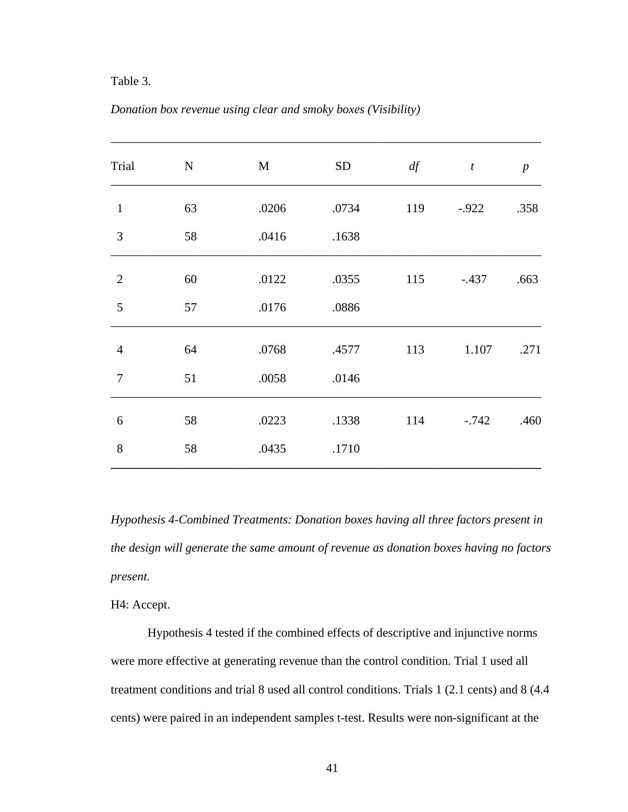### Table 3.

| Trial          | ${\bf N}$ | $\mathbf{M}$ | <b>SD</b> | df  | $\boldsymbol{t}$ | $\boldsymbol{p}$ |
|----------------|-----------|--------------|-----------|-----|------------------|------------------|
| $\mathbf{1}$   | 63        | .0206        | .0734     | 119 | $-0.922$         | .358             |
| 3              | 58        | .0416        | .1638     |     |                  |                  |
| $\overline{2}$ | 60        | .0122        | .0355     | 115 | $-.437$          | .663             |
| 5              | 57        | .0176        | .0886     |     |                  |                  |
| $\overline{4}$ | 64        | .0768        | .4577     | 113 | 1.107            | .271             |
| $\overline{7}$ | 51        | .0058        | .0146     |     |                  |                  |
| 6              | 58        | .0223        | .1338     | 114 | $-0.742$         | .460             |
| 8              | 58        | .0435        | .1710     |     |                  |                  |

### *Donation box revenue using clear and smoky boxes (Visibility)*

*Hypothesis 4-Combined Treatments: Donation boxes having all three factors present in the design will generate the same amount of revenue as donation boxes having no factors present.*

H4: Accept.

Hypothesis 4 tested if the combined effects of descriptive and injunctive norms were more effective at generating revenue than the control condition. Trial 1 used all treatment conditions and trial 8 used all control conditions. Trials 1 (2.1 cents) and 8 (4.4 cents) were paired in an independent samples t-test. Results were non-significant at the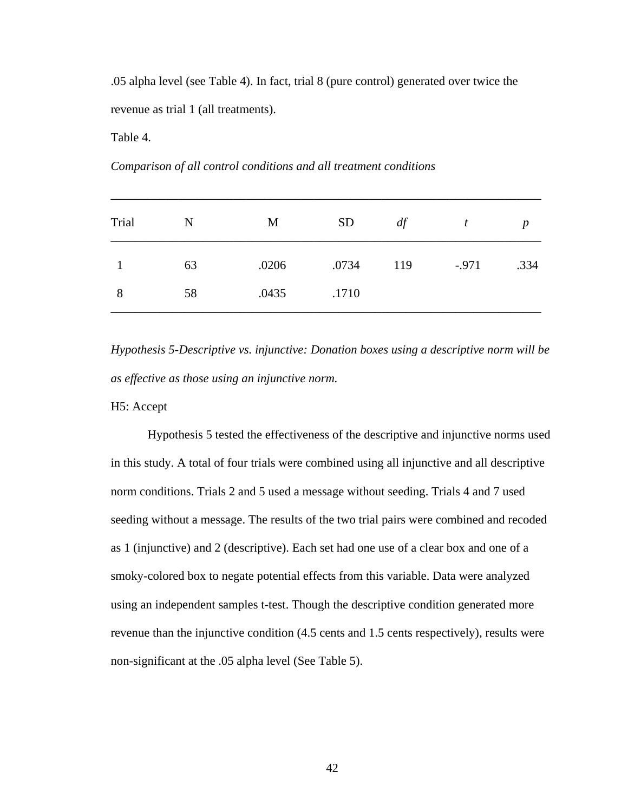.05 alpha level (see Table 4). In fact, trial 8 (pure control) generated over twice the revenue as trial 1 (all treatments).

Table 4.

*Comparison of all control conditions and all treatment conditions*

| Trial | N  | M     | <b>SD</b> | df  | t       | D    |
|-------|----|-------|-----------|-----|---------|------|
|       | 63 | .0206 | .0734     | 119 | $-.971$ | .334 |
| 8     | 58 | .0435 | .1710     |     |         |      |

*Hypothesis 5-Descriptive vs. injunctive: Donation boxes using a descriptive norm will be as effective as those using an injunctive norm.* 

H5: Accept

 Hypothesis 5 tested the effectiveness of the descriptive and injunctive norms used in this study. A total of four trials were combined using all injunctive and all descriptive norm conditions. Trials 2 and 5 used a message without seeding. Trials 4 and 7 used seeding without a message. The results of the two trial pairs were combined and recoded as 1 (injunctive) and 2 (descriptive). Each set had one use of a clear box and one of a smoky-colored box to negate potential effects from this variable. Data were analyzed using an independent samples t-test. Though the descriptive condition generated more revenue than the injunctive condition (4.5 cents and 1.5 cents respectively), results were non-significant at the .05 alpha level (See Table 5).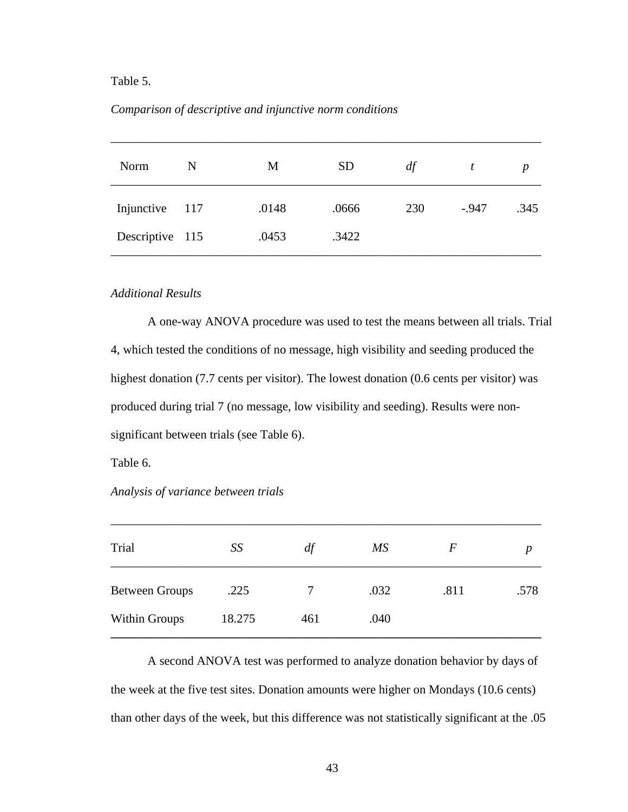### Table 5.

### *Comparison of descriptive and injunctive norm conditions*

| Norm            | N | M     | <b>SD</b> | df  | t       | p    |
|-----------------|---|-------|-----------|-----|---------|------|
| Injunctive 117  |   | .0148 | .0666     | 230 | $-.947$ | .345 |
| Descriptive 115 |   | .0453 | .3422     |     |         |      |

### *Additional Results*

A one-way ANOVA procedure was used to test the means between all trials. Trial 4, which tested the conditions of no message, high visibility and seeding produced the highest donation (7.7 cents per visitor). The lowest donation (0.6 cents per visitor) was produced during trial 7 (no message, low visibility and seeding). Results were nonsignificant between trials (see Table 6).

Table 6.

*Analysis of variance between trials* 

| Trial                 | SS     | df  | МS   | F    | D    |
|-----------------------|--------|-----|------|------|------|
| <b>Between Groups</b> | .225   |     | .032 | .811 | .578 |
| Within Groups         | 18.275 | 461 | .040 |      |      |

\_\_\_\_\_\_\_\_\_\_\_\_\_\_\_\_\_\_\_\_\_\_\_\_\_\_\_\_\_\_\_\_\_\_\_\_\_\_\_\_\_\_\_\_\_\_\_\_\_\_\_\_\_\_\_\_\_\_\_\_\_\_\_\_\_\_\_\_\_\_

 A second ANOVA test was performed to analyze donation behavior by days of the week at the five test sites. Donation amounts were higher on Mondays (10.6 cents) than other days of the week, but this difference was not statistically significant at the .05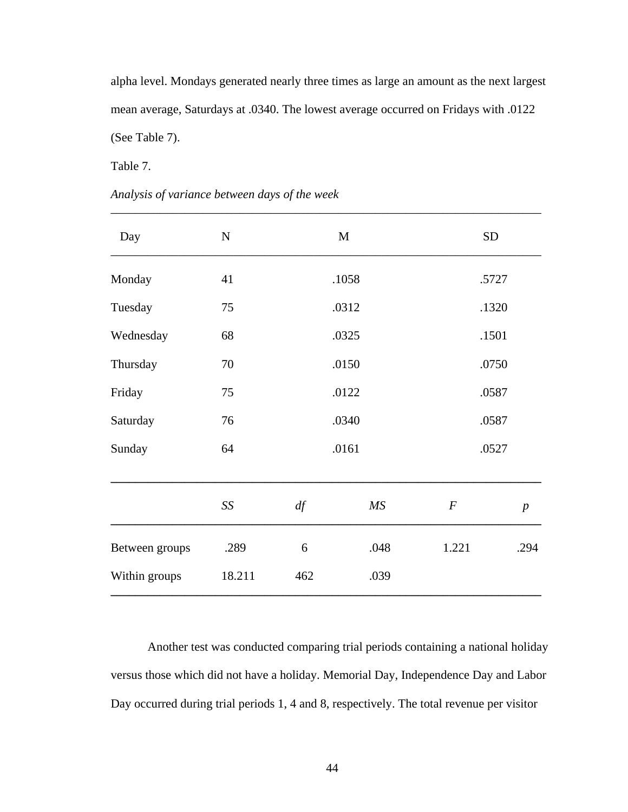alpha level. Mondays generated nearly three times as large an amount as the next largest mean average, Saturdays at .0340. The lowest average occurred on Fridays with .0122 (See Table 7).

Table 7.

# *Analysis of variance between days of the week*

| Day            | ${\bf N}$ |     | $\mathbf M$ | ${\rm SD}$       |                  |  |
|----------------|-----------|-----|-------------|------------------|------------------|--|
| Monday         | 41        |     | .1058       | .5727            |                  |  |
| Tuesday        | 75        |     | .0312       | .1320            |                  |  |
| Wednesday      | 68        |     | .0325       | .1501            |                  |  |
| Thursday       | 70        |     | .0150       | .0750            |                  |  |
| Friday         | 75        |     | .0122       |                  | .0587            |  |
| Saturday       | 76        |     | .0340       | .0587            |                  |  |
| Sunday         | 64        |     | .0161       | .0527            |                  |  |
|                | SS        | df  | MS          | $\boldsymbol{F}$ | $\boldsymbol{p}$ |  |
| Between groups | .289      | 6   | .048        | 1.221            | .294             |  |
| Within groups  | 18.211    | 462 | .039        |                  |                  |  |
|                |           |     |             |                  |                  |  |

Another test was conducted comparing trial periods containing a national holiday versus those which did not have a holiday. Memorial Day, Independence Day and Labor Day occurred during trial periods 1, 4 and 8, respectively. The total revenue per visitor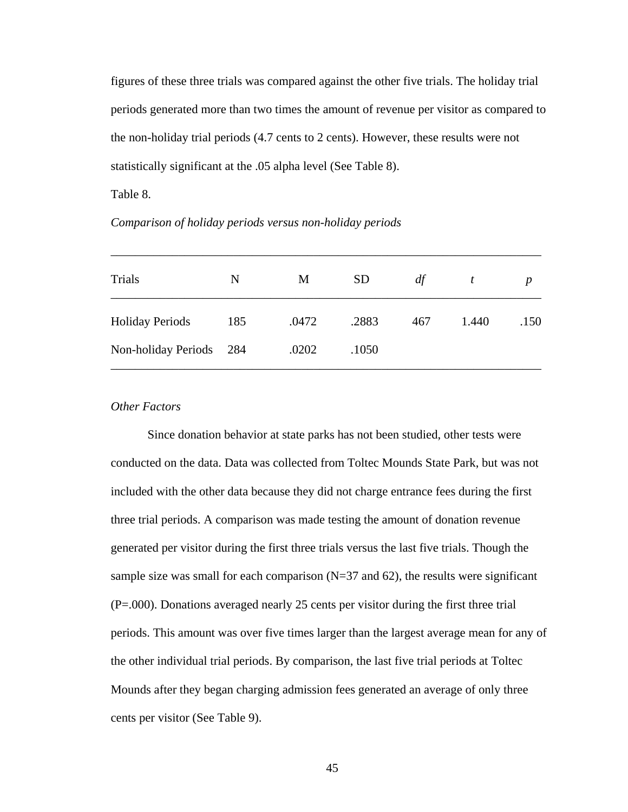figures of these three trials was compared against the other five trials. The holiday trial periods generated more than two times the amount of revenue per visitor as compared to the non-holiday trial periods (4.7 cents to 2 cents). However, these results were not statistically significant at the .05 alpha level (See Table 8).

Table 8.

*Comparison of holiday periods versus non-holiday periods*

| Trials                 | N     | M     | <b>SD</b> | df  |       | p    |
|------------------------|-------|-------|-----------|-----|-------|------|
| <b>Holiday Periods</b> | 185   | .0472 | .2883     | 467 | 1.440 | .150 |
| Non-holiday Periods    | - 284 | .0202 | .1050     |     |       |      |

\_\_\_\_\_\_\_\_\_\_\_\_\_\_\_\_\_\_\_\_\_\_\_\_\_\_\_\_\_\_\_\_\_\_\_\_\_\_\_\_\_\_\_\_\_\_\_\_\_\_\_\_\_\_\_\_\_\_\_\_\_\_\_\_\_\_\_\_\_\_

### *Other Factors*

 Since donation behavior at state parks has not been studied, other tests were conducted on the data. Data was collected from Toltec Mounds State Park, but was not included with the other data because they did not charge entrance fees during the first three trial periods. A comparison was made testing the amount of donation revenue generated per visitor during the first three trials versus the last five trials. Though the sample size was small for each comparison  $(N=37 \text{ and } 62)$ , the results were significant (P=.000). Donations averaged nearly 25 cents per visitor during the first three trial periods. This amount was over five times larger than the largest average mean for any of the other individual trial periods. By comparison, the last five trial periods at Toltec Mounds after they began charging admission fees generated an average of only three cents per visitor (See Table 9).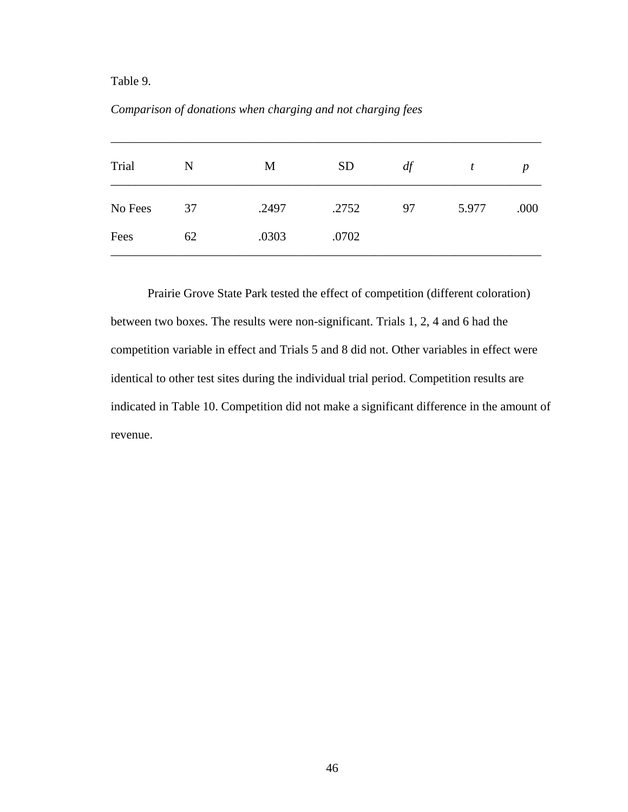# Table 9.

# *Comparison of donations when charging and not charging fees*

| Trial   | N  | M     | <b>SD</b> | df | t     | p    |
|---------|----|-------|-----------|----|-------|------|
| No Fees | 37 | .2497 | .2752     | 97 | 5.977 | .000 |
| Fees    | 62 | .0303 | .0702     |    |       |      |

Prairie Grove State Park tested the effect of competition (different coloration) between two boxes. The results were non-significant. Trials 1, 2, 4 and 6 had the competition variable in effect and Trials 5 and 8 did not. Other variables in effect were identical to other test sites during the individual trial period. Competition results are indicated in Table 10. Competition did not make a significant difference in the amount of revenue.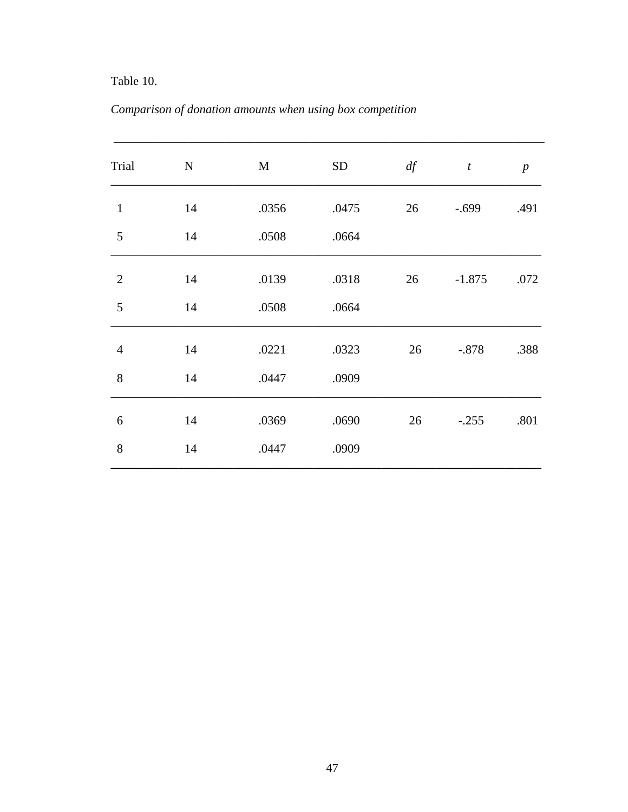# Table 10.

|  | Comparison of donation amounts when using box competition |  |
|--|-----------------------------------------------------------|--|
|  |                                                           |  |

| Trial          | ${\bf N}$ | M     | <b>SD</b> | df | $\boldsymbol{t}$ | $\boldsymbol{p}$ |
|----------------|-----------|-------|-----------|----|------------------|------------------|
| $\mathbf{1}$   | 14        | .0356 | .0475     | 26 | $-.699$          | .491             |
| 5              | 14        | .0508 | .0664     |    |                  |                  |
| $\overline{2}$ | 14        | .0139 | .0318     | 26 | $-1.875$         | .072             |
| 5              | 14        | .0508 | .0664     |    |                  |                  |
| $\overline{4}$ | 14        | .0221 | .0323     | 26 | $-.878$          | .388             |
| 8              | 14        | .0447 | .0909     |    |                  |                  |
| 6              | 14        | .0369 | .0690     | 26 | $-.255$          | .801             |
| 8              | 14        | .0447 | .0909     |    |                  |                  |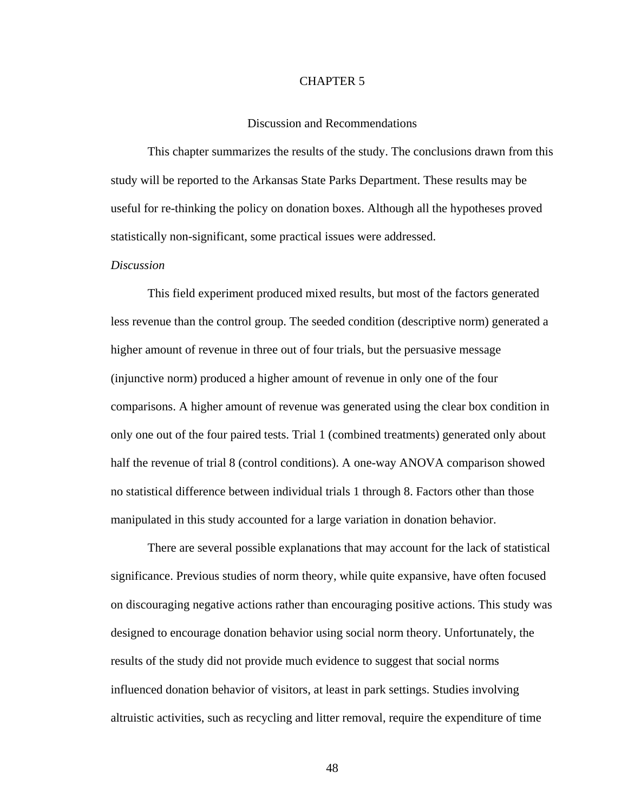### CHAPTER 5

### Discussion and Recommendations

This chapter summarizes the results of the study. The conclusions drawn from this study will be reported to the Arkansas State Parks Department. These results may be useful for re-thinking the policy on donation boxes. Although all the hypotheses proved statistically non-significant, some practical issues were addressed.

### *Discussion*

This field experiment produced mixed results, but most of the factors generated less revenue than the control group. The seeded condition (descriptive norm) generated a higher amount of revenue in three out of four trials, but the persuasive message (injunctive norm) produced a higher amount of revenue in only one of the four comparisons. A higher amount of revenue was generated using the clear box condition in only one out of the four paired tests. Trial 1 (combined treatments) generated only about half the revenue of trial 8 (control conditions). A one-way ANOVA comparison showed no statistical difference between individual trials 1 through 8. Factors other than those manipulated in this study accounted for a large variation in donation behavior.

There are several possible explanations that may account for the lack of statistical significance. Previous studies of norm theory, while quite expansive, have often focused on discouraging negative actions rather than encouraging positive actions. This study was designed to encourage donation behavior using social norm theory. Unfortunately, the results of the study did not provide much evidence to suggest that social norms influenced donation behavior of visitors, at least in park settings. Studies involving altruistic activities, such as recycling and litter removal, require the expenditure of time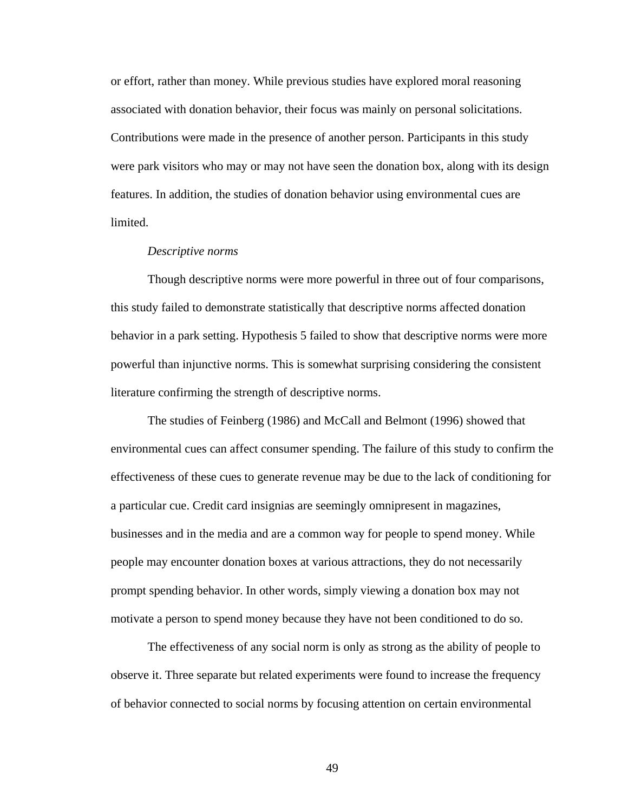or effort, rather than money. While previous studies have explored moral reasoning associated with donation behavior, their focus was mainly on personal solicitations. Contributions were made in the presence of another person. Participants in this study were park visitors who may or may not have seen the donation box, along with its design features. In addition, the studies of donation behavior using environmental cues are limited.

#### *Descriptive norms*

Though descriptive norms were more powerful in three out of four comparisons, this study failed to demonstrate statistically that descriptive norms affected donation behavior in a park setting. Hypothesis 5 failed to show that descriptive norms were more powerful than injunctive norms. This is somewhat surprising considering the consistent literature confirming the strength of descriptive norms.

The studies of Feinberg (1986) and McCall and Belmont (1996) showed that environmental cues can affect consumer spending. The failure of this study to confirm the effectiveness of these cues to generate revenue may be due to the lack of conditioning for a particular cue. Credit card insignias are seemingly omnipresent in magazines, businesses and in the media and are a common way for people to spend money. While people may encounter donation boxes at various attractions, they do not necessarily prompt spending behavior. In other words, simply viewing a donation box may not motivate a person to spend money because they have not been conditioned to do so.

 The effectiveness of any social norm is only as strong as the ability of people to observe it. Three separate but related experiments were found to increase the frequency of behavior connected to social norms by focusing attention on certain environmental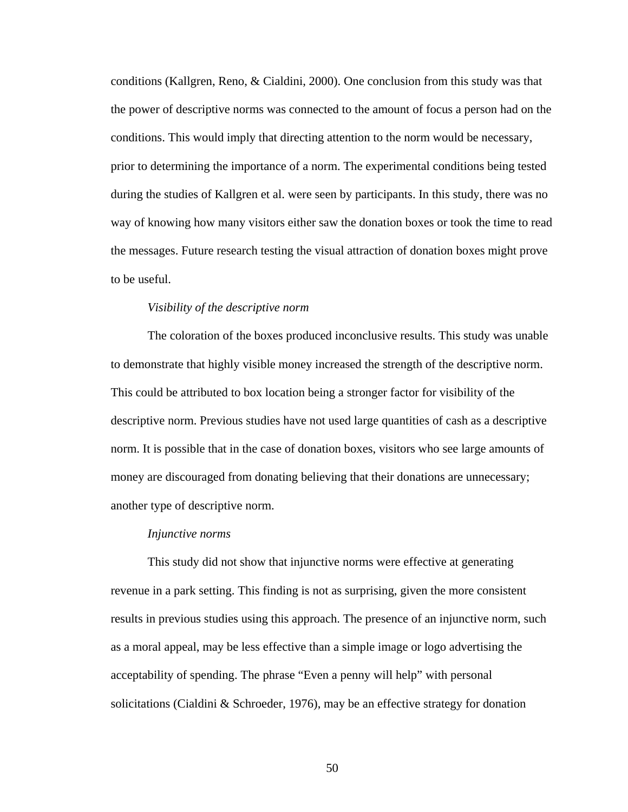conditions (Kallgren, Reno, & Cialdini, 2000). One conclusion from this study was that the power of descriptive norms was connected to the amount of focus a person had on the conditions. This would imply that directing attention to the norm would be necessary, prior to determining the importance of a norm. The experimental conditions being tested during the studies of Kallgren et al. were seen by participants. In this study, there was no way of knowing how many visitors either saw the donation boxes or took the time to read the messages. Future research testing the visual attraction of donation boxes might prove to be useful.

#### *Visibility of the descriptive norm*

The coloration of the boxes produced inconclusive results. This study was unable to demonstrate that highly visible money increased the strength of the descriptive norm. This could be attributed to box location being a stronger factor for visibility of the descriptive norm. Previous studies have not used large quantities of cash as a descriptive norm. It is possible that in the case of donation boxes, visitors who see large amounts of money are discouraged from donating believing that their donations are unnecessary; another type of descriptive norm.

#### *Injunctive norms*

This study did not show that injunctive norms were effective at generating revenue in a park setting. This finding is not as surprising, given the more consistent results in previous studies using this approach. The presence of an injunctive norm, such as a moral appeal, may be less effective than a simple image or logo advertising the acceptability of spending. The phrase "Even a penny will help" with personal solicitations (Cialdini & Schroeder, 1976), may be an effective strategy for donation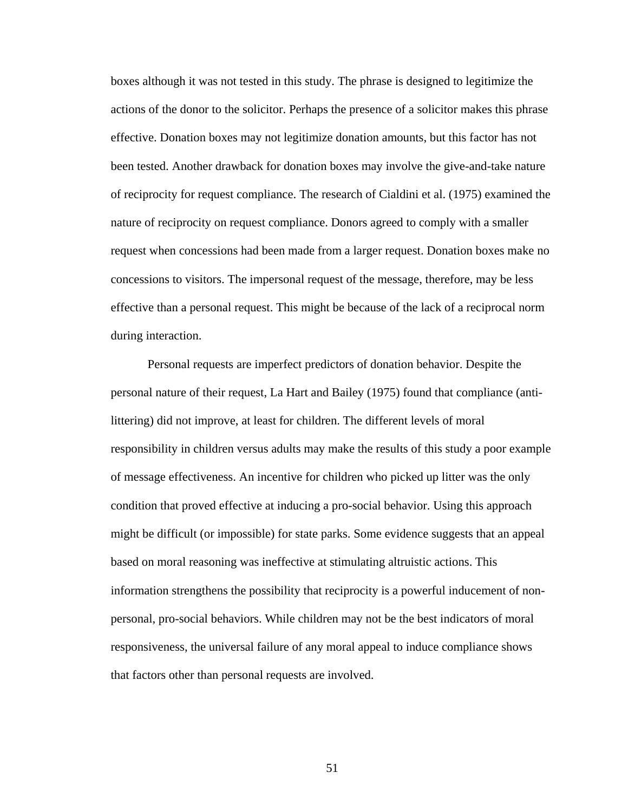boxes although it was not tested in this study. The phrase is designed to legitimize the actions of the donor to the solicitor. Perhaps the presence of a solicitor makes this phrase effective. Donation boxes may not legitimize donation amounts, but this factor has not been tested. Another drawback for donation boxes may involve the give-and-take nature of reciprocity for request compliance. The research of Cialdini et al. (1975) examined the nature of reciprocity on request compliance. Donors agreed to comply with a smaller request when concessions had been made from a larger request. Donation boxes make no concessions to visitors. The impersonal request of the message, therefore, may be less effective than a personal request. This might be because of the lack of a reciprocal norm during interaction.

Personal requests are imperfect predictors of donation behavior. Despite the personal nature of their request, La Hart and Bailey (1975) found that compliance (antilittering) did not improve, at least for children. The different levels of moral responsibility in children versus adults may make the results of this study a poor example of message effectiveness. An incentive for children who picked up litter was the only condition that proved effective at inducing a pro-social behavior. Using this approach might be difficult (or impossible) for state parks. Some evidence suggests that an appeal based on moral reasoning was ineffective at stimulating altruistic actions. This information strengthens the possibility that reciprocity is a powerful inducement of nonpersonal, pro-social behaviors. While children may not be the best indicators of moral responsiveness, the universal failure of any moral appeal to induce compliance shows that factors other than personal requests are involved.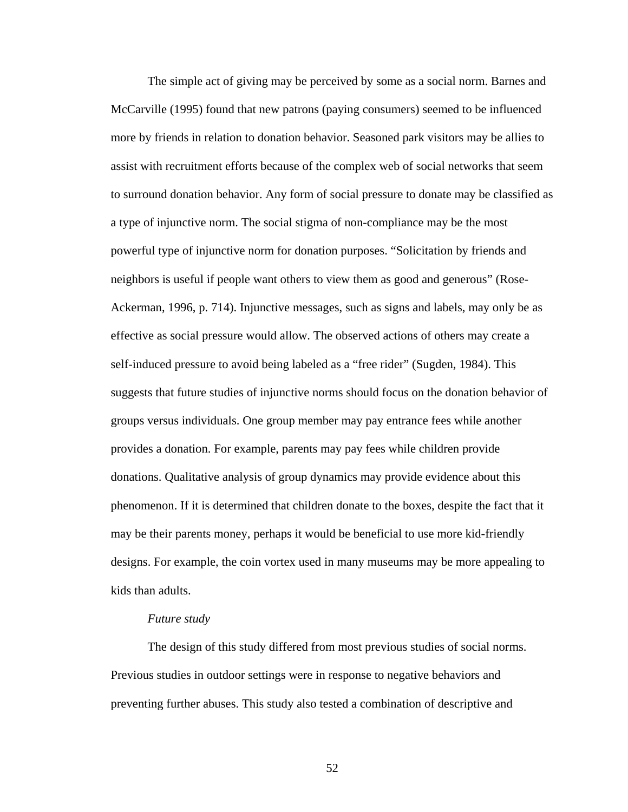The simple act of giving may be perceived by some as a social norm. Barnes and McCarville (1995) found that new patrons (paying consumers) seemed to be influenced more by friends in relation to donation behavior. Seasoned park visitors may be allies to assist with recruitment efforts because of the complex web of social networks that seem to surround donation behavior. Any form of social pressure to donate may be classified as a type of injunctive norm. The social stigma of non-compliance may be the most powerful type of injunctive norm for donation purposes. "Solicitation by friends and neighbors is useful if people want others to view them as good and generous" (Rose-Ackerman, 1996, p. 714). Injunctive messages, such as signs and labels, may only be as effective as social pressure would allow. The observed actions of others may create a self-induced pressure to avoid being labeled as a "free rider" (Sugden, 1984). This suggests that future studies of injunctive norms should focus on the donation behavior of groups versus individuals. One group member may pay entrance fees while another provides a donation. For example, parents may pay fees while children provide donations. Qualitative analysis of group dynamics may provide evidence about this phenomenon. If it is determined that children donate to the boxes, despite the fact that it may be their parents money, perhaps it would be beneficial to use more kid-friendly designs. For example, the coin vortex used in many museums may be more appealing to kids than adults.

#### *Future study*

The design of this study differed from most previous studies of social norms. Previous studies in outdoor settings were in response to negative behaviors and preventing further abuses. This study also tested a combination of descriptive and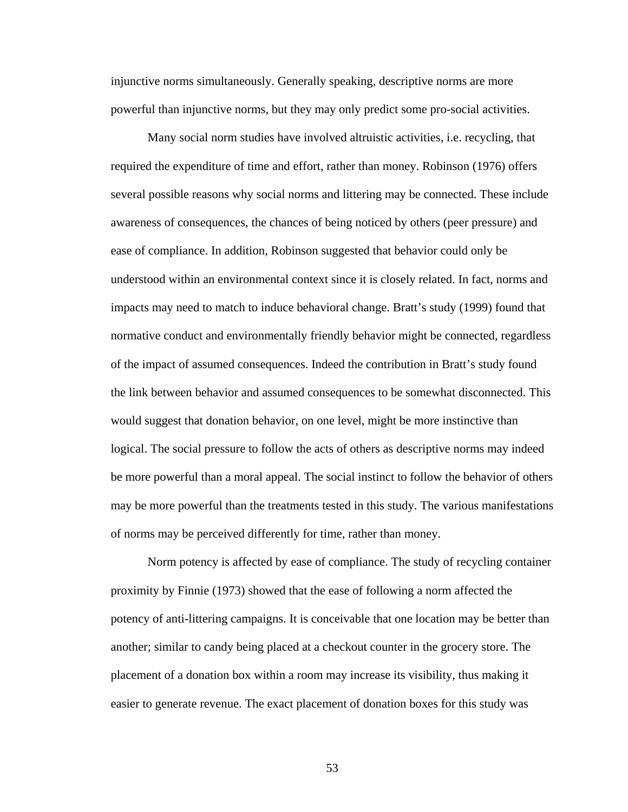injunctive norms simultaneously. Generally speaking, descriptive norms are more powerful than injunctive norms, but they may only predict some pro-social activities.

Many social norm studies have involved altruistic activities, i.e. recycling, that required the expenditure of time and effort, rather than money. Robinson (1976) offers several possible reasons why social norms and littering may be connected. These include awareness of consequences, the chances of being noticed by others (peer pressure) and ease of compliance. In addition, Robinson suggested that behavior could only be understood within an environmental context since it is closely related. In fact, norms and impacts may need to match to induce behavioral change. Bratt's study (1999) found that normative conduct and environmentally friendly behavior might be connected, regardless of the impact of assumed consequences. Indeed the contribution in Bratt's study found the link between behavior and assumed consequences to be somewhat disconnected. This would suggest that donation behavior, on one level, might be more instinctive than logical. The social pressure to follow the acts of others as descriptive norms may indeed be more powerful than a moral appeal. The social instinct to follow the behavior of others may be more powerful than the treatments tested in this study. The various manifestations of norms may be perceived differently for time, rather than money.

 Norm potency is affected by ease of compliance. The study of recycling container proximity by Finnie (1973) showed that the ease of following a norm affected the potency of anti-littering campaigns. It is conceivable that one location may be better than another; similar to candy being placed at a checkout counter in the grocery store. The placement of a donation box within a room may increase its visibility, thus making it easier to generate revenue. The exact placement of donation boxes for this study was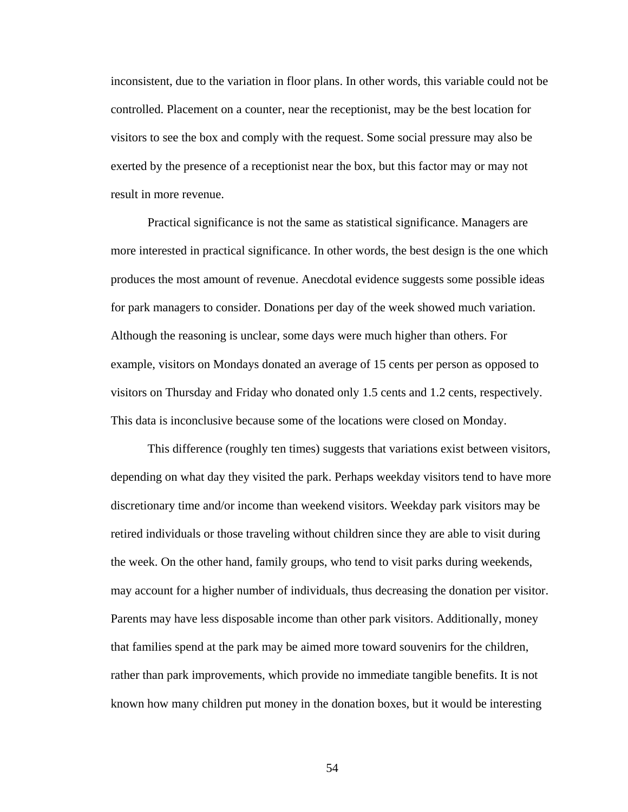inconsistent, due to the variation in floor plans. In other words, this variable could not be controlled. Placement on a counter, near the receptionist, may be the best location for visitors to see the box and comply with the request. Some social pressure may also be exerted by the presence of a receptionist near the box, but this factor may or may not result in more revenue.

Practical significance is not the same as statistical significance. Managers are more interested in practical significance. In other words, the best design is the one which produces the most amount of revenue. Anecdotal evidence suggests some possible ideas for park managers to consider. Donations per day of the week showed much variation. Although the reasoning is unclear, some days were much higher than others. For example, visitors on Mondays donated an average of 15 cents per person as opposed to visitors on Thursday and Friday who donated only 1.5 cents and 1.2 cents, respectively. This data is inconclusive because some of the locations were closed on Monday.

This difference (roughly ten times) suggests that variations exist between visitors, depending on what day they visited the park. Perhaps weekday visitors tend to have more discretionary time and/or income than weekend visitors. Weekday park visitors may be retired individuals or those traveling without children since they are able to visit during the week. On the other hand, family groups, who tend to visit parks during weekends, may account for a higher number of individuals, thus decreasing the donation per visitor. Parents may have less disposable income than other park visitors. Additionally, money that families spend at the park may be aimed more toward souvenirs for the children, rather than park improvements, which provide no immediate tangible benefits. It is not known how many children put money in the donation boxes, but it would be interesting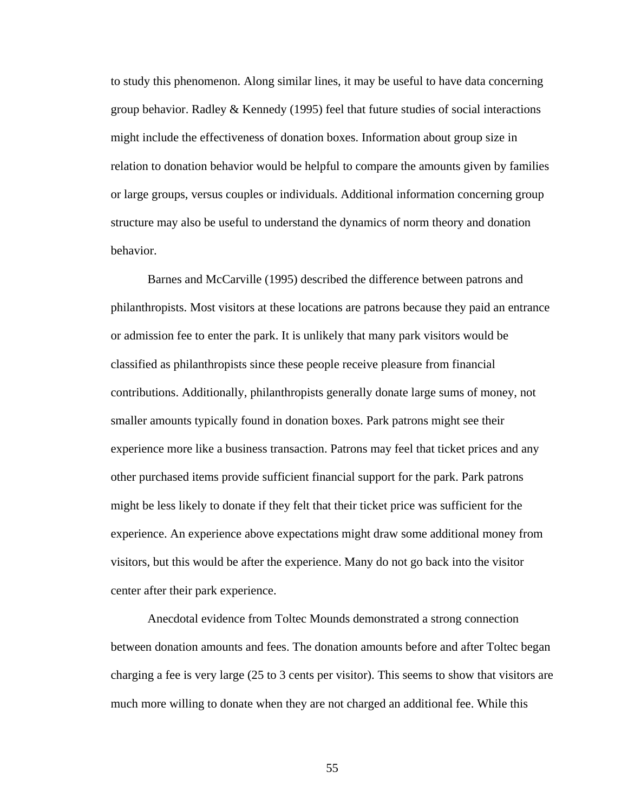to study this phenomenon. Along similar lines, it may be useful to have data concerning group behavior. Radley & Kennedy (1995) feel that future studies of social interactions might include the effectiveness of donation boxes. Information about group size in relation to donation behavior would be helpful to compare the amounts given by families or large groups, versus couples or individuals. Additional information concerning group structure may also be useful to understand the dynamics of norm theory and donation behavior.

Barnes and McCarville (1995) described the difference between patrons and philanthropists. Most visitors at these locations are patrons because they paid an entrance or admission fee to enter the park. It is unlikely that many park visitors would be classified as philanthropists since these people receive pleasure from financial contributions. Additionally, philanthropists generally donate large sums of money, not smaller amounts typically found in donation boxes. Park patrons might see their experience more like a business transaction. Patrons may feel that ticket prices and any other purchased items provide sufficient financial support for the park. Park patrons might be less likely to donate if they felt that their ticket price was sufficient for the experience. An experience above expectations might draw some additional money from visitors, but this would be after the experience. Many do not go back into the visitor center after their park experience.

Anecdotal evidence from Toltec Mounds demonstrated a strong connection between donation amounts and fees. The donation amounts before and after Toltec began charging a fee is very large (25 to 3 cents per visitor). This seems to show that visitors are much more willing to donate when they are not charged an additional fee. While this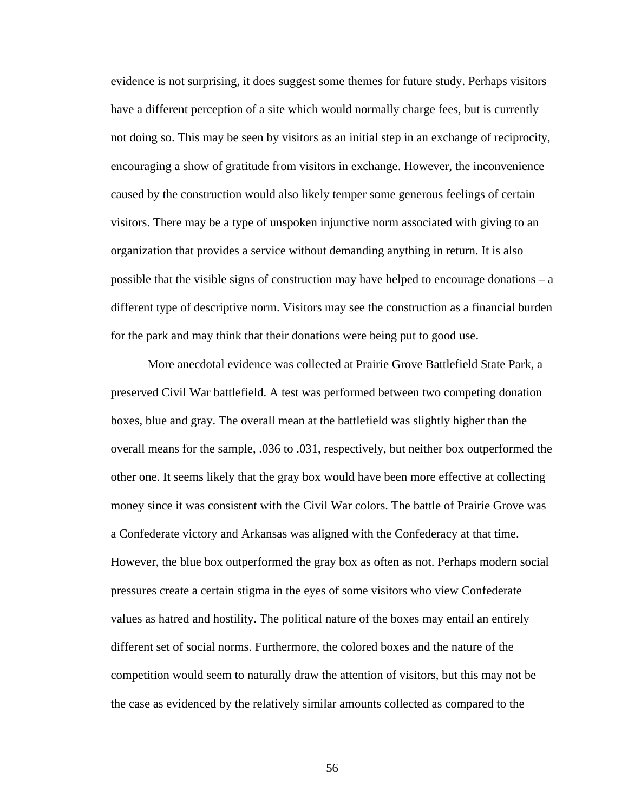evidence is not surprising, it does suggest some themes for future study. Perhaps visitors have a different perception of a site which would normally charge fees, but is currently not doing so. This may be seen by visitors as an initial step in an exchange of reciprocity, encouraging a show of gratitude from visitors in exchange. However, the inconvenience caused by the construction would also likely temper some generous feelings of certain visitors. There may be a type of unspoken injunctive norm associated with giving to an organization that provides a service without demanding anything in return. It is also possible that the visible signs of construction may have helped to encourage donations – a different type of descriptive norm. Visitors may see the construction as a financial burden for the park and may think that their donations were being put to good use.

More anecdotal evidence was collected at Prairie Grove Battlefield State Park, a preserved Civil War battlefield. A test was performed between two competing donation boxes, blue and gray. The overall mean at the battlefield was slightly higher than the overall means for the sample, .036 to .031, respectively, but neither box outperformed the other one. It seems likely that the gray box would have been more effective at collecting money since it was consistent with the Civil War colors. The battle of Prairie Grove was a Confederate victory and Arkansas was aligned with the Confederacy at that time. However, the blue box outperformed the gray box as often as not. Perhaps modern social pressures create a certain stigma in the eyes of some visitors who view Confederate values as hatred and hostility. The political nature of the boxes may entail an entirely different set of social norms. Furthermore, the colored boxes and the nature of the competition would seem to naturally draw the attention of visitors, but this may not be the case as evidenced by the relatively similar amounts collected as compared to the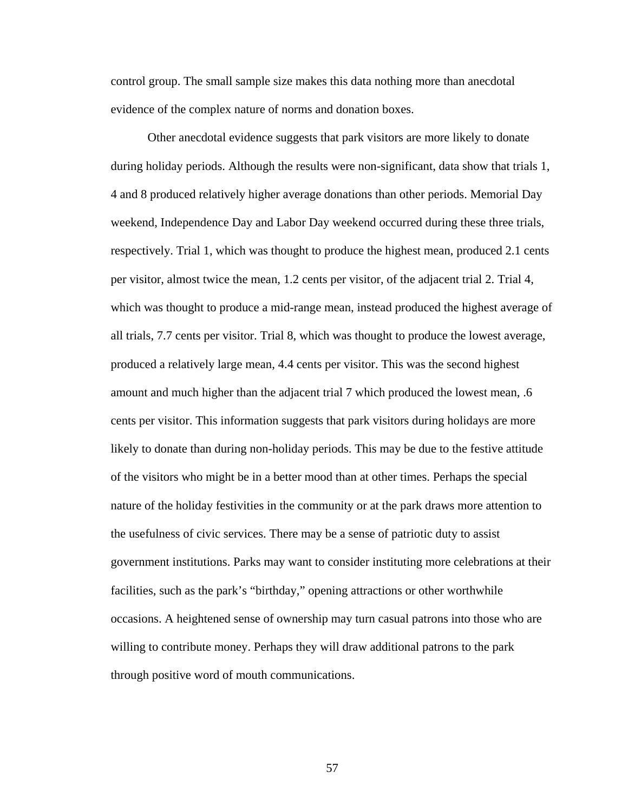control group. The small sample size makes this data nothing more than anecdotal evidence of the complex nature of norms and donation boxes.

Other anecdotal evidence suggests that park visitors are more likely to donate during holiday periods. Although the results were non-significant, data show that trials 1, 4 and 8 produced relatively higher average donations than other periods. Memorial Day weekend, Independence Day and Labor Day weekend occurred during these three trials, respectively. Trial 1, which was thought to produce the highest mean, produced 2.1 cents per visitor, almost twice the mean, 1.2 cents per visitor, of the adjacent trial 2. Trial 4, which was thought to produce a mid-range mean, instead produced the highest average of all trials, 7.7 cents per visitor. Trial 8, which was thought to produce the lowest average, produced a relatively large mean, 4.4 cents per visitor. This was the second highest amount and much higher than the adjacent trial 7 which produced the lowest mean, .6 cents per visitor. This information suggests that park visitors during holidays are more likely to donate than during non-holiday periods. This may be due to the festive attitude of the visitors who might be in a better mood than at other times. Perhaps the special nature of the holiday festivities in the community or at the park draws more attention to the usefulness of civic services. There may be a sense of patriotic duty to assist government institutions. Parks may want to consider instituting more celebrations at their facilities, such as the park's "birthday," opening attractions or other worthwhile occasions. A heightened sense of ownership may turn casual patrons into those who are willing to contribute money. Perhaps they will draw additional patrons to the park through positive word of mouth communications.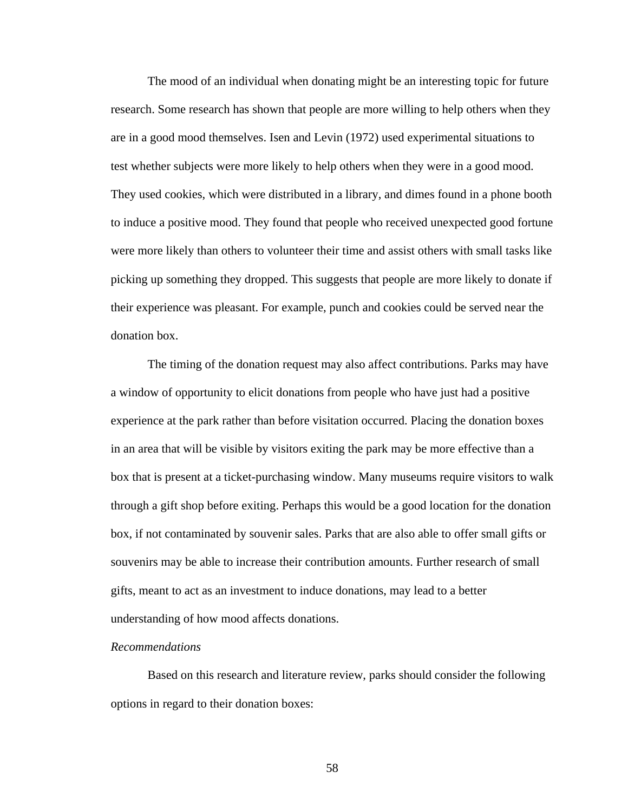The mood of an individual when donating might be an interesting topic for future research. Some research has shown that people are more willing to help others when they are in a good mood themselves. Isen and Levin (1972) used experimental situations to test whether subjects were more likely to help others when they were in a good mood. They used cookies, which were distributed in a library, and dimes found in a phone booth to induce a positive mood. They found that people who received unexpected good fortune were more likely than others to volunteer their time and assist others with small tasks like picking up something they dropped. This suggests that people are more likely to donate if their experience was pleasant. For example, punch and cookies could be served near the donation box.

The timing of the donation request may also affect contributions. Parks may have a window of opportunity to elicit donations from people who have just had a positive experience at the park rather than before visitation occurred. Placing the donation boxes in an area that will be visible by visitors exiting the park may be more effective than a box that is present at a ticket-purchasing window. Many museums require visitors to walk through a gift shop before exiting. Perhaps this would be a good location for the donation box, if not contaminated by souvenir sales. Parks that are also able to offer small gifts or souvenirs may be able to increase their contribution amounts. Further research of small gifts, meant to act as an investment to induce donations, may lead to a better understanding of how mood affects donations.

#### *Recommendations*

Based on this research and literature review, parks should consider the following options in regard to their donation boxes: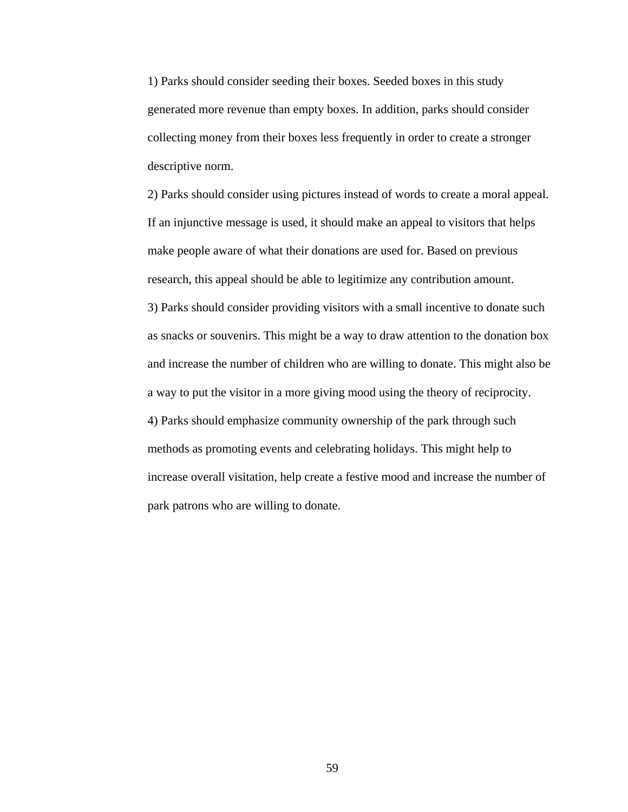1) Parks should consider seeding their boxes. Seeded boxes in this study generated more revenue than empty boxes. In addition, parks should consider collecting money from their boxes less frequently in order to create a stronger descriptive norm.

2) Parks should consider using pictures instead of words to create a moral appeal. If an injunctive message is used, it should make an appeal to visitors that helps make people aware of what their donations are used for. Based on previous research, this appeal should be able to legitimize any contribution amount.

3) Parks should consider providing visitors with a small incentive to donate such as snacks or souvenirs. This might be a way to draw attention to the donation box and increase the number of children who are willing to donate. This might also be a way to put the visitor in a more giving mood using the theory of reciprocity. 4) Parks should emphasize community ownership of the park through such methods as promoting events and celebrating holidays. This might help to increase overall visitation, help create a festive mood and increase the number of park patrons who are willing to donate.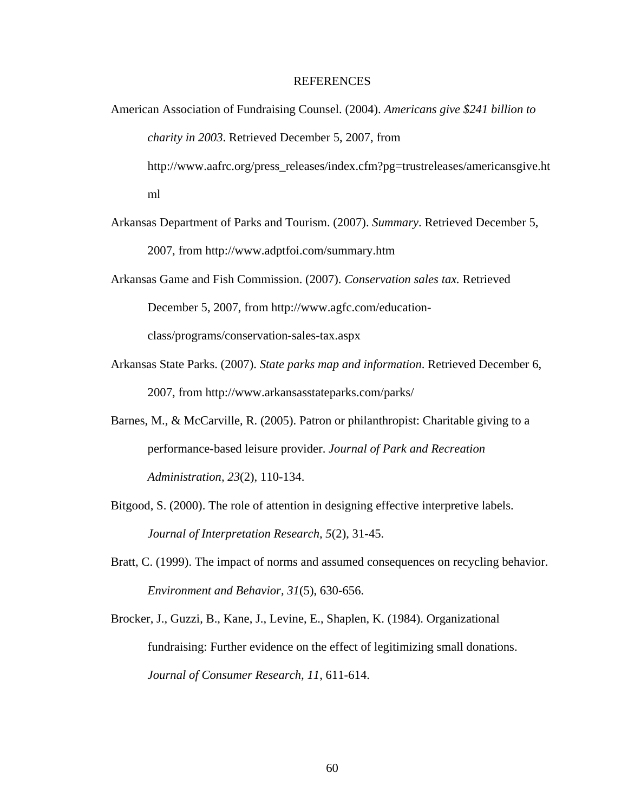#### REFERENCES

- American Association of Fundraising Counsel. (2004). *Americans give \$241 billion to charity in 2003*. Retrieved December 5, 2007, from http://www.aafrc.org/press\_releases/index.cfm?pg=trustreleases/americansgive.ht ml
- Arkansas Department of Parks and Tourism. (2007). *Summary*. Retrieved December 5, 2007, from http://www.adptfoi.com/summary.htm
- Arkansas Game and Fish Commission. (2007). *Conservation sales tax.* Retrieved December 5, 2007, from http://www.agfc.com/educationclass/programs/conservation-sales-tax.aspx
- Arkansas State Parks. (2007). *State parks map and information*. Retrieved December 6, 2007, from http://www.arkansasstateparks.com/parks/
- Barnes, M., & McCarville, R. (2005). Patron or philanthropist: Charitable giving to a performance-based leisure provider. *Journal of Park and Recreation Administration, 23*(2), 110-134.
- Bitgood, S. (2000). The role of attention in designing effective interpretive labels. *Journal of Interpretation Research, 5*(2), 31-45.
- Bratt, C. (1999). The impact of norms and assumed consequences on recycling behavior. *Environment and Behavior, 31*(5), 630-656.
- Brocker, J., Guzzi, B., Kane, J., Levine, E., Shaplen, K. (1984). Organizational fundraising: Further evidence on the effect of legitimizing small donations. *Journal of Consumer Research, 11*, 611-614.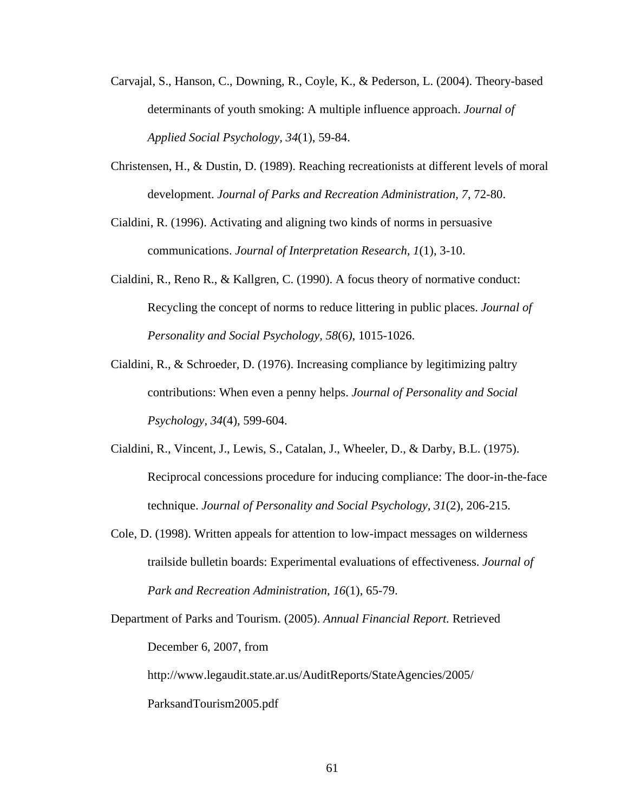- Carvajal, S., Hanson, C., Downing, R., Coyle, K., & Pederson, L. (2004). Theory-based determinants of youth smoking: A multiple influence approach. *Journal of Applied Social Psychology, 34*(1), 59-84.
- Christensen, H., & Dustin, D. (1989). Reaching recreationists at different levels of moral development. *Journal of Parks and Recreation Administration, 7*, 72-80.
- Cialdini, R. (1996). Activating and aligning two kinds of norms in persuasive communications. *Journal of Interpretation Research, 1*(1), 3-10.
- Cialdini, R., Reno R., & Kallgren, C. (1990). A focus theory of normative conduct: Recycling the concept of norms to reduce littering in public places. *Journal of Personality and Social Psychology, 58*(6*)*, 1015-1026.
- Cialdini, R., & Schroeder, D. (1976). Increasing compliance by legitimizing paltry contributions: When even a penny helps. *Journal of Personality and Social Psychology, 34*(4), 599-604.
- Cialdini, R., Vincent, J., Lewis, S., Catalan, J., Wheeler, D., & Darby, B.L. (1975). Reciprocal concessions procedure for inducing compliance: The door-in-the-face technique. *Journal of Personality and Social Psychology, 31*(2), 206-215.
- Cole, D. (1998). Written appeals for attention to low-impact messages on wilderness trailside bulletin boards: Experimental evaluations of effectiveness. *Journal of Park and Recreation Administration, 16*(1), 65-79.
- Department of Parks and Tourism. (2005). *Annual Financial Report.* Retrieved December 6, 2007, from <http://www.legaudit.state.ar.us/AuditReports/StateAgencies/2005/> ParksandTourism2005.pdf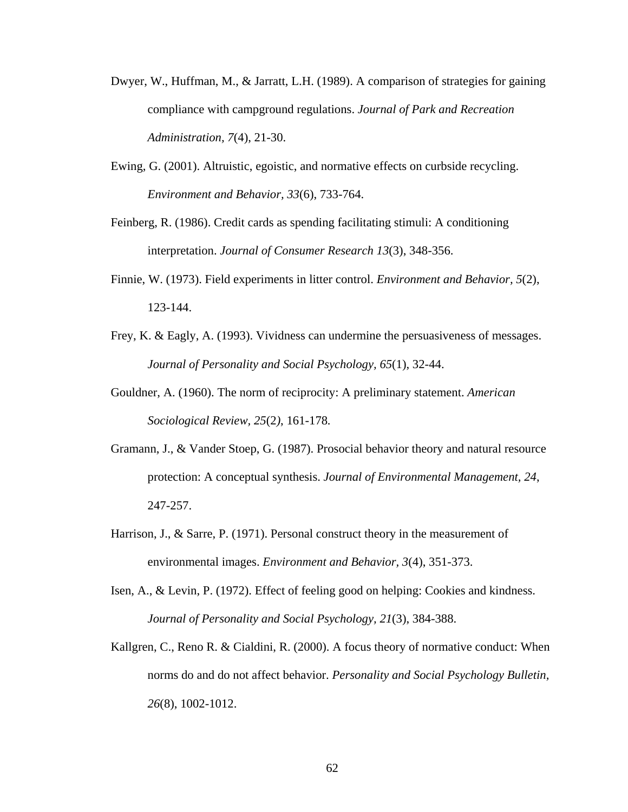- Dwyer, W., Huffman, M., & Jarratt, L.H. (1989). A comparison of strategies for gaining compliance with campground regulations. *Journal of Park and Recreation Administration, 7*(4), 21-30.
- Ewing, G. (2001). Altruistic, egoistic, and normative effects on curbside recycling. *Environment and Behavior, 33*(6), 733-764.
- Feinberg, R. (1986). Credit cards as spending facilitating stimuli: A conditioning interpretation. *Journal of Consumer Research 13*(3), 348-356.
- Finnie, W. (1973). Field experiments in litter control. *Environment and Behavior, 5*(2), 123-144.
- Frey, K. & Eagly, A. (1993). Vividness can undermine the persuasiveness of messages. *Journal of Personality and Social Psychology, 65*(1), 32-44.
- Gouldner, A. (1960). The norm of reciprocity: A preliminary statement. *American Sociological Review, 25*(2*)*, 161-178*.*
- Gramann, J., & Vander Stoep, G. (1987). Prosocial behavior theory and natural resource protection: A conceptual synthesis. *Journal of Environmental Management, 24*, 247-257.
- Harrison, J., & Sarre, P. (1971). Personal construct theory in the measurement of environmental images. *Environment and Behavior, 3*(4), 351-373.
- Isen, A., & Levin, P. (1972). Effect of feeling good on helping: Cookies and kindness. *Journal of Personality and Social Psychology, 21*(3), 384-388.
- Kallgren, C., Reno R. & Cialdini, R. (2000). A focus theory of normative conduct: When norms do and do not affect behavior. *Personality and Social Psychology Bulletin, 26*(8), 1002-1012.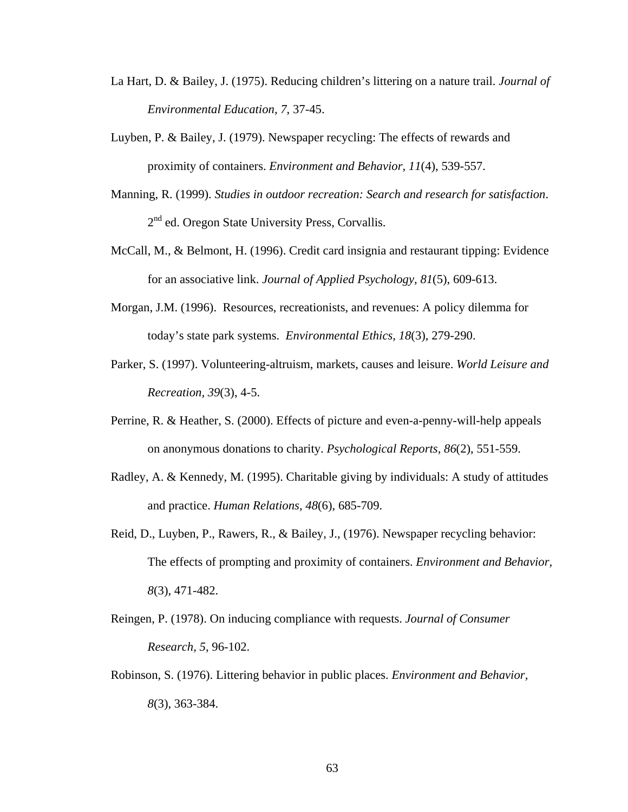- La Hart, D. & Bailey, J. (1975). Reducing children's littering on a nature trail. *Journal of Environmental Education, 7*, 37-45.
- Luyben, P. & Bailey, J. (1979). Newspaper recycling: The effects of rewards and proximity of containers. *Environment and Behavior, 11*(4), 539-557.
- Manning, R. (1999). *Studies in outdoor recreation: Search and research for satisfaction*. 2<sup>nd</sup> ed. Oregon State University Press, Corvallis.
- McCall, M., & Belmont, H. (1996). Credit card insignia and restaurant tipping: Evidence for an associative link. *Journal of Applied Psychology, 81*(5), 609-613.
- Morgan, J.M. (1996). Resources, recreationists, and revenues: A policy dilemma for today's state park systems. *Environmental Ethics, 18*(3), 279-290.
- Parker, S. (1997). Volunteering-altruism, markets, causes and leisure. *World Leisure and Recreation, 39*(3), 4-5.
- Perrine, R. & Heather, S. (2000). Effects of picture and even-a-penny-will-help appeals on anonymous donations to charity. *Psychological Reports, 86*(2), 551-559.
- Radley, A. & Kennedy, M. (1995). Charitable giving by individuals: A study of attitudes and practice. *Human Relations, 48*(6), 685-709.
- Reid, D., Luyben, P., Rawers, R., & Bailey, J., (1976). Newspaper recycling behavior: The effects of prompting and proximity of containers. *Environment and Behavior, 8*(3), 471-482.
- Reingen, P. (1978). On inducing compliance with requests. *Journal of Consumer Research, 5*, 96-102.
- Robinson, S. (1976). Littering behavior in public places. *Environment and Behavior, 8*(3), 363-384.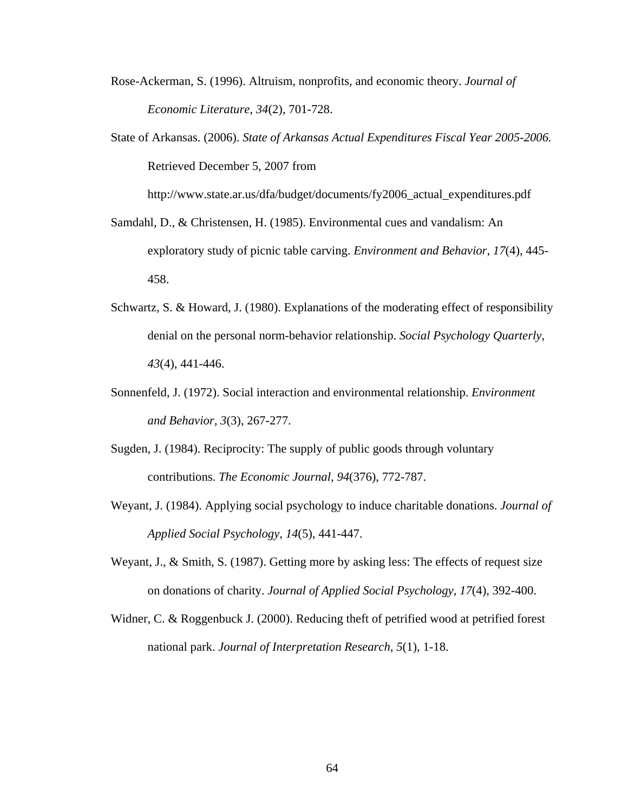- Rose-Ackerman, S. (1996). Altruism, nonprofits, and economic theory. *Journal of Economic Literature, 34*(2), 701-728.
- State of Arkansas. (2006). *State of Arkansas Actual Expenditures Fiscal Year 2005-2006.* Retrieved December 5, 2007 from

http://www.state.ar.us/dfa/budget/documents/fy2006\_actual\_expenditures.pdf

- Samdahl, D., & Christensen, H. (1985). Environmental cues and vandalism: An exploratory study of picnic table carving. *Environment and Behavior*, *17*(4), 445- 458.
- Schwartz, S. & Howard, J. (1980). Explanations of the moderating effect of responsibility denial on the personal norm-behavior relationship. *Social Psychology Quarterly, 43*(4), 441-446.
- Sonnenfeld, J. (1972). Social interaction and environmental relationship. *Environment and Behavior, 3*(3), 267-277.
- Sugden, J. (1984). Reciprocity: The supply of public goods through voluntary contributions. *The Economic Journal, 94*(376), 772-787.
- Weyant, J. (1984). Applying social psychology to induce charitable donations. *Journal of Applied Social Psychology, 14*(5), 441-447.
- Weyant, J., & Smith, S. (1987). Getting more by asking less: The effects of request size on donations of charity. *Journal of Applied Social Psychology, 17*(4), 392-400.
- Widner, C. & Roggenbuck J. (2000). Reducing theft of petrified wood at petrified forest national park. *Journal of Interpretation Research, 5*(1), 1-18.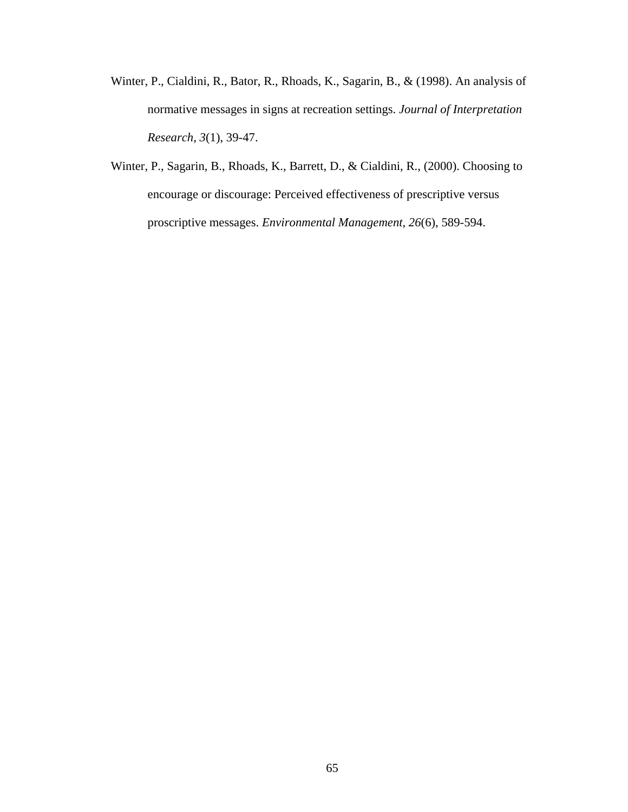- Winter, P., Cialdini, R., Bator, R., Rhoads, K., Sagarin, B., & (1998). An analysis of normative messages in signs at recreation settings. *Journal of Interpretation Research, 3*(1), 39-47.
- Winter, P., Sagarin, B., Rhoads, K., Barrett, D., & Cialdini, R., (2000). Choosing to encourage or discourage: Perceived effectiveness of prescriptive versus proscriptive messages. *Environmental Management, 26*(6), 589-594.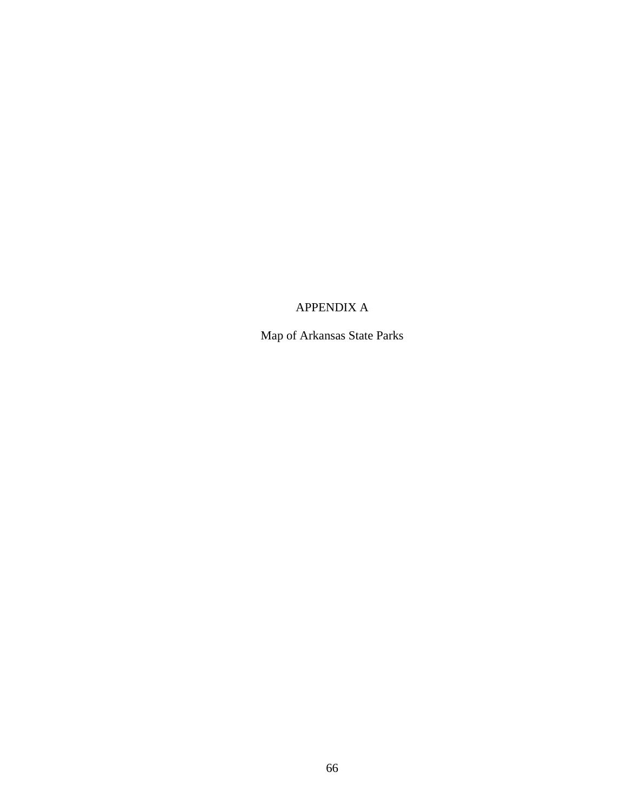# APPENDIX A

Map of Arkansas State Parks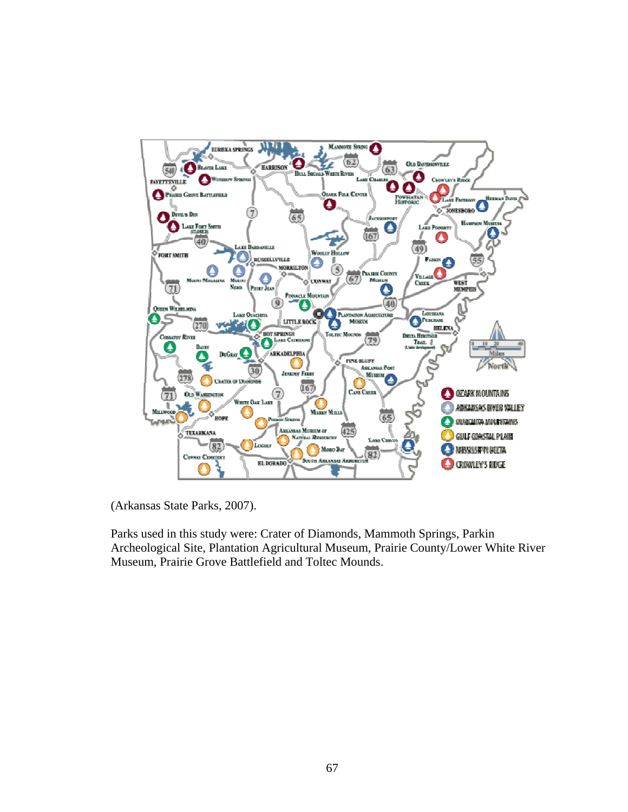

(Arkansas State Parks, 2007).

Parks used in this study were: Crater of Diamonds, Mammoth Springs, Parkin Archeological Site, Plantation Agricultural Museum, Prairie County/Lower White River Museum, Prairie Grove Battlefield and Toltec Mounds.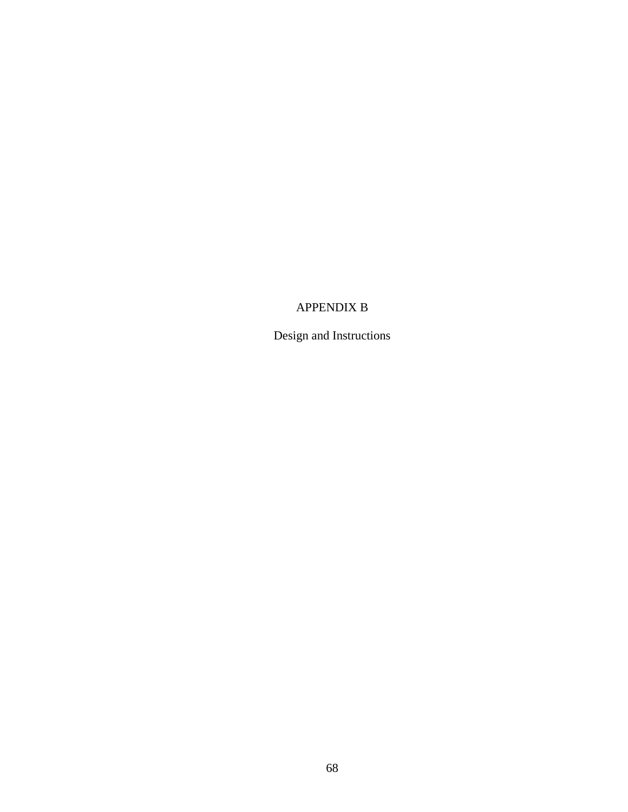### APPENDIX B

Design and Instructions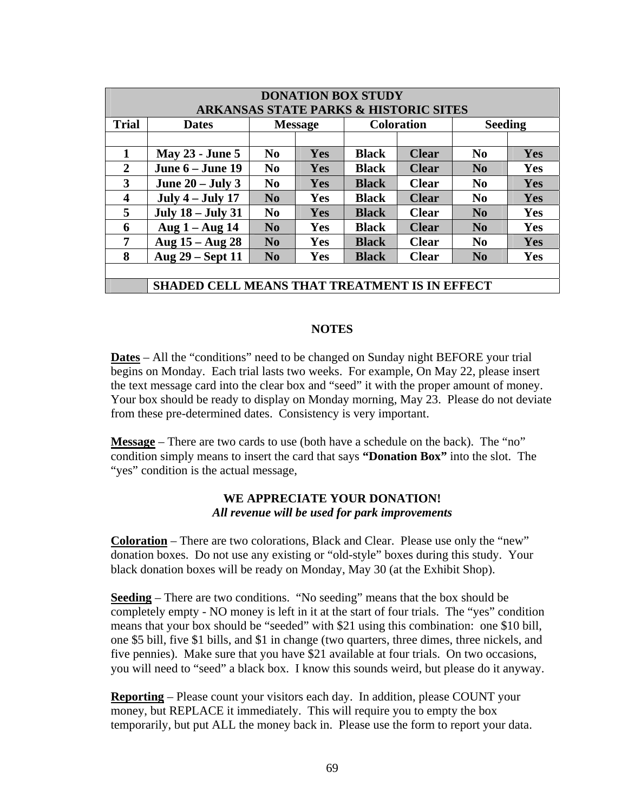| <b>DONATION BOX STUDY</b><br><b>ARKANSAS STATE PARKS &amp; HISTORIC SITES</b> |                                                      |                        |            |                   |              |                |     |  |  |
|-------------------------------------------------------------------------------|------------------------------------------------------|------------------------|------------|-------------------|--------------|----------------|-----|--|--|
| <b>Trial</b>                                                                  | <b>Dates</b>                                         | <b>Message</b>         |            | <b>Coloration</b> |              | <b>Seeding</b> |     |  |  |
|                                                                               |                                                      |                        |            |                   |              |                |     |  |  |
| 1                                                                             | <b>May 23 - June 5</b>                               | No                     | <b>Yes</b> | <b>Black</b>      | <b>Clear</b> | N <sub>0</sub> | Yes |  |  |
| 2                                                                             | June $6 -$ June 19                                   | $\bf No$               | Yes        | <b>Black</b>      | <b>Clear</b> | N <sub>0</sub> | Yes |  |  |
| 3                                                                             | June $20 -$ July 3                                   | $\bf No$               | Yes        | <b>Black</b>      | <b>Clear</b> | N <sub>0</sub> | Yes |  |  |
| $\overline{\mathbf{4}}$                                                       | July $4$ – July 17                                   | No                     | <b>Yes</b> | <b>Black</b>      | <b>Clear</b> | N <sub>0</sub> | Yes |  |  |
| 5                                                                             | <b>July 18 - July 31</b>                             | N <sub>0</sub>         | <b>Yes</b> | <b>Black</b>      | <b>Clear</b> | N <sub>0</sub> | Yes |  |  |
| 6                                                                             | Aug $1 -$ Aug $14$                                   | $\mathbf{N}\mathbf{0}$ | <b>Yes</b> | <b>Black</b>      | <b>Clear</b> | N <sub>0</sub> | Yes |  |  |
| 7                                                                             | Aug $15 - Aug 28$                                    | $\mathbf{N}\mathbf{0}$ | <b>Yes</b> | <b>Black</b>      | <b>Clear</b> | N <sub>0</sub> | Yes |  |  |
| 8                                                                             | Aug 29 – Sept 11                                     | $\mathbf{N}\mathbf{0}$ | <b>Yes</b> | <b>Black</b>      | <b>Clear</b> | No             | Yes |  |  |
|                                                                               |                                                      |                        |            |                   |              |                |     |  |  |
|                                                                               | <b>SHADED CELL MEANS THAT TREATMENT IS IN EFFECT</b> |                        |            |                   |              |                |     |  |  |

#### **NOTES**

**Dates** – All the "conditions" need to be changed on Sunday night BEFORE your trial begins on Monday. Each trial lasts two weeks. For example, On May 22, please insert the text message card into the clear box and "seed" it with the proper amount of money. Your box should be ready to display on Monday morning, May 23. Please do not deviate from these pre-determined dates. Consistency is very important.

**Message** – There are two cards to use (both have a schedule on the back). The "no" condition simply means to insert the card that says **"Donation Box"** into the slot. The "yes" condition is the actual message,

#### **WE APPRECIATE YOUR DONATION!**  *All revenue will be used for park improvements*

**Coloration** – There are two colorations, Black and Clear. Please use only the "new" donation boxes. Do not use any existing or "old-style" boxes during this study. Your black donation boxes will be ready on Monday, May 30 (at the Exhibit Shop).

**Seeding** – There are two conditions. "No seeding" means that the box should be completely empty - NO money is left in it at the start of four trials. The "yes" condition means that your box should be "seeded" with \$21 using this combination: one \$10 bill, one \$5 bill, five \$1 bills, and \$1 in change (two quarters, three dimes, three nickels, and five pennies). Make sure that you have \$21 available at four trials. On two occasions, you will need to "seed" a black box. I know this sounds weird, but please do it anyway.

**Reporting** – Please count your visitors each day. In addition, please COUNT your money, but REPLACE it immediately. This will require you to empty the box temporarily, but put ALL the money back in. Please use the form to report your data.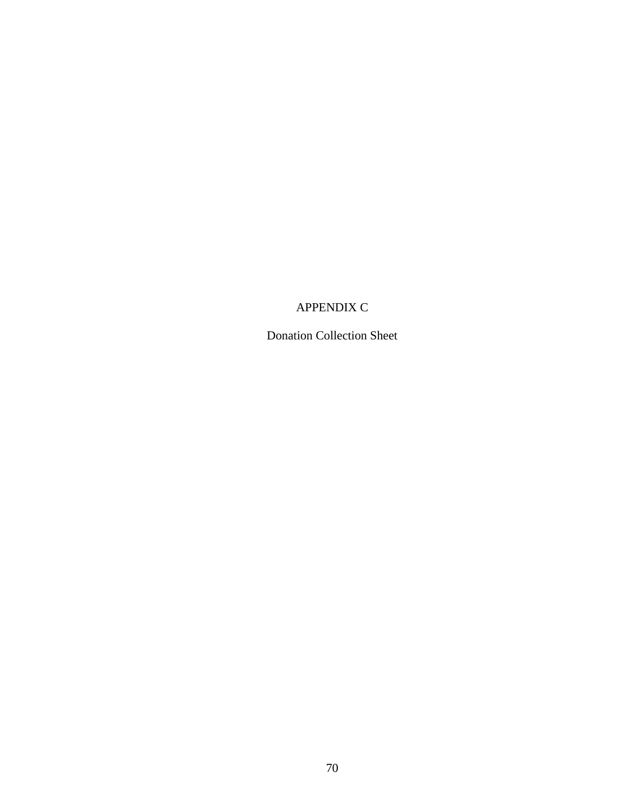# APPENDIX C

Donation Collection Sheet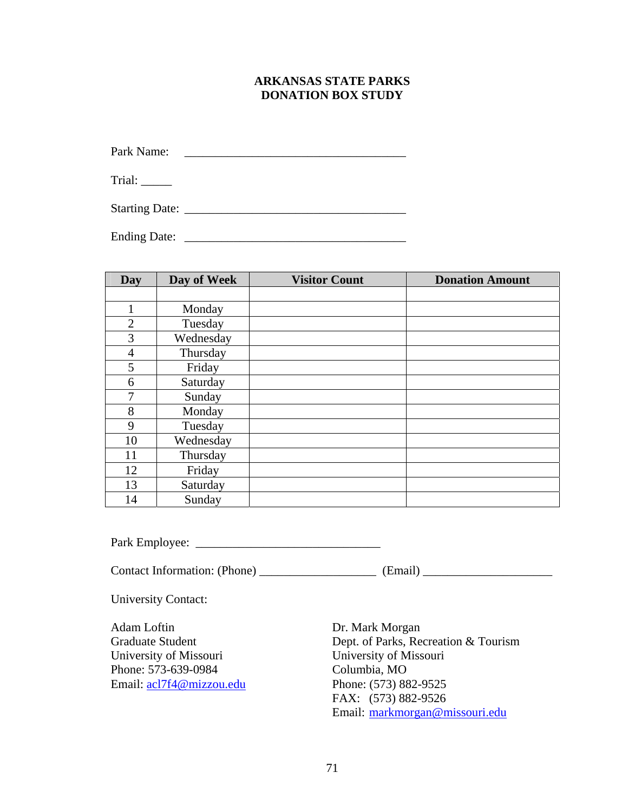#### **ARKANSAS STATE PARKS DONATION BOX STUDY**

Park Name: \_\_\_\_\_\_\_\_\_\_\_\_\_\_\_\_\_\_\_\_\_\_\_\_\_\_\_\_\_\_\_\_\_\_\_\_

Trial: \_\_\_\_\_\_

Starting Date: \_\_\_\_\_\_\_\_\_\_\_\_\_\_\_\_\_\_\_\_\_\_\_\_\_\_\_\_\_\_\_\_\_\_\_\_

Ending Date: \_\_\_\_\_\_\_\_\_\_\_\_\_\_\_\_\_\_\_\_\_\_\_\_\_\_\_\_\_\_\_\_\_\_\_\_

| Day            | Day of Week | <b>Visitor Count</b> | <b>Donation Amount</b> |
|----------------|-------------|----------------------|------------------------|
|                |             |                      |                        |
|                | Monday      |                      |                        |
| $\overline{2}$ | Tuesday     |                      |                        |
| 3              | Wednesday   |                      |                        |
| 4              | Thursday    |                      |                        |
| 5              | Friday      |                      |                        |
| 6              | Saturday    |                      |                        |
| 7              | Sunday      |                      |                        |
| 8              | Monday      |                      |                        |
| 9              | Tuesday     |                      |                        |
| 10             | Wednesday   |                      |                        |
| 11             | Thursday    |                      |                        |
| 12             | Friday      |                      |                        |
| 13             | Saturday    |                      |                        |
| 14             | Sunday      |                      |                        |

Park Employee: \_\_\_\_\_\_\_\_\_\_\_\_\_\_\_\_\_\_\_\_\_\_\_\_\_\_\_\_\_\_

Contact Information: (Phone) \_\_\_\_\_\_\_\_\_\_\_\_\_\_\_\_\_\_\_\_\_\_\_ (Email) \_\_\_\_\_\_\_\_\_\_\_\_\_\_\_\_\_\_\_\_

University Contact:

Adam Loftin Dr. Mark Morgan University of Missouri University of Missouri Phone: 573-639-0984 Columbia, MO Email: [acl7f4@mizzou.edu](mailto:acl7f4@mizzou.edu) Phone: (573) 882-9525

Graduate Student Dept. of Parks, Recreation & Tourism FAX: (573) 882-9526 Email: [markmorgan@missouri.edu](mailto:markmorgan@missouri.edu)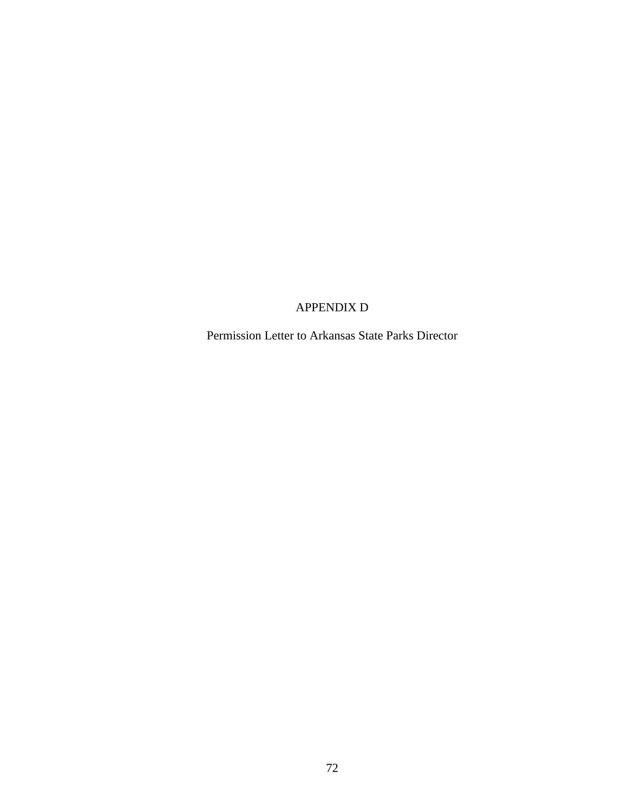# APPENDIX D

Permission Letter to Arkansas State Parks Director